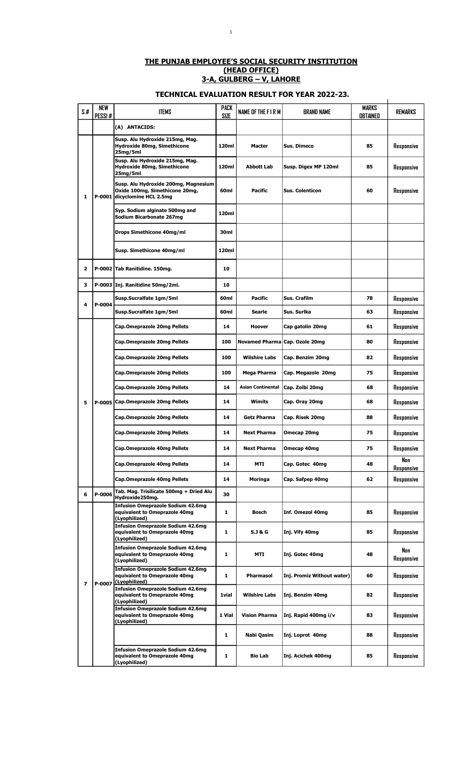## THE PUNJAB EMPLOYEE'S SOCIAL SECURITY INSTITUTION (HEAD OFFICE) 3-A, GULBERG – V, LAHORE

## TECHNICAL EVALUATION RESULT FOR YEAR 2022-23.

 $\ddot{\phantom{a}}$ 

| S.t.         | <b>NEW</b><br>PESSI# | <b>ITEMS</b>                                                                                    | <b>PACK</b><br>SIZE | NAME OF THE FIRM      | <b>BRAND NAME</b>          | MARKS<br>obtained | REMARKS           |
|--------------|----------------------|-------------------------------------------------------------------------------------------------|---------------------|-----------------------|----------------------------|-------------------|-------------------|
|              |                      | (A) ANTACIDS:                                                                                   |                     |                       |                            |                   |                   |
|              |                      | Susp. Alu Hydroxide 215mg, Mag.<br>Hydroxide 80mg, Simethicone<br>25mg/5ml                      | 120ml               | <b>Macter</b>         | <b>Sus. Dimeco</b>         | 85                | Responsive        |
|              |                      | Susp. Alu Hydroxide 215mg, Mag.<br><b>Hydroxide 80mg, Simethicone</b><br>25mg/5ml               | 120ml               | <b>Abbott Lab</b>     | Susp. Digex MP 120ml       | 85                | Responsive        |
| 1            | P-0001               | Susp. Alu Hydroxide 200mg, Magnesium<br>Oxide 100mg, Simethicone 20mg,<br>dicyclomine HCL 2.5mg | 60 <sub>ml</sub>    | Pacific               | <b>Sus. Colenticon</b>     | 60                | Responsive        |
|              |                      | Syp. Sodium alginate 500mg and<br>Sodium Bicarbonate 267mg                                      | 120ml               |                       |                            |                   |                   |
|              |                      | Drops Simethicone 40mg/ml                                                                       | 30ml                |                       |                            |                   |                   |
|              |                      | Susp. Simethicone 40mg/ml                                                                       | 120ml               |                       |                            |                   |                   |
| $\mathbf{2}$ |                      | P-0002 Tab Ranitidine. 150mg.                                                                   | 10                  |                       |                            |                   |                   |
| з            |                      | P-0003 Inj. Ranitidine 50mg/2ml.                                                                | 10                  |                       |                            |                   |                   |
| 4            | P-0004               | Susp.Sucralfate 1gm/5ml                                                                         | 60ml                | Pacific               | Sus. Crafilm               | 78                | Responsive        |
|              |                      | Susp.Sucralfate 1gm/5ml                                                                         | 60ml                | Searle                | Sus. Surika                | 63                | Responsive        |
|              |                      | Cap.Omeprazole 20mg Pellets                                                                     | 14                  | Hoover                | Cap gatolin 20mg           | 61                | Responsive        |
|              |                      | Cap.Omeprazole 20mg Pellets                                                                     | 100                 | <b>Novamed Pharma</b> | Cap. Ozole 20mg            | 80                | Responsive        |
|              |                      | Cap.Omeprazole 20mg Pellets                                                                     | 100                 | <b>Wilshire Labs</b>  | Cap. Benzim 20mg           | 82                | Responsive        |
|              |                      | Cap.Omeprazole 20mg Pellets                                                                     | 100                 | Mega Pharma           | Cap. Megazole 20mg         | 75                | Responsive        |
|              |                      | Cap.Omeprazole 20mg Pellets                                                                     | 14                  | Asian Continental     | Cap. Zolbi 20mg            | 68                | Responsive        |
| 5            |                      | P-0005 Cap.Omeprazole 20mg Pellets                                                              | 14                  | Wimits                | Cap. Oray 20mg             | 68                | Responsive        |
|              |                      | Cap.Omeprazole 20mg Pellets                                                                     | 14                  | <b>Getz Pharma</b>    | Cap. Risek 20mg            | 88                | Responsive        |
|              |                      | Cap.Omeprazole 20mg Pellets                                                                     | 14                  | <b>Next Pharma</b>    | Omecap 20mg                | 75                | Responsive        |
|              |                      | Cap.Omeprazole 40mg Pellets                                                                     | 14                  | <b>Next Pharma</b>    | Omecap 40mg                | 75                | Responsive        |
|              |                      | Cap.Omeprazole 40mg Pellets                                                                     | 14                  | MTI                   | Cap. Gotec 40mg            | 48                | Nan<br>Responsive |
|              |                      | <b>Cap.Omeprazole 40mg Pellets</b>                                                              | 14                  | Moringa               | Cap. Safpep 40mg           | 62                | Responsive        |
| 6            | P-0006               | Tab. Mag. Trisilicate 500mg + Dried Alu<br>Hydroxide250mg.                                      | 30                  |                       |                            |                   |                   |
|              |                      | <b>Infusion Omeprazole Sodium 42.6mg</b><br>equivalent to Omeprazole 40mg<br>(Lyophilized)      | 1                   | <b>Bosch</b>          | Inf. Omezol 40mg           | 85                | Responsive        |
|              |                      | <b>Infusion Omeprazole Sodium 42.6mg</b><br>equivalent to Omeprazole 40mg<br>(Lyophilized)      | 1                   | <b>S.J &amp; G</b>    | Inj. Vify 40mg             | 85                | Responsive        |
|              |                      | <b>Infusion Omeprazole Sodium 42.6mg</b><br>equivalent to Omeprazole 40mg<br>(Lyophilized)      | 1                   | MTI                   | Inj. Gotec 40mg            | 48                | Non<br>Responsive |
| 7            | P-0007               | <b>Infusion Omeprazole Sodium 42.6mg</b><br>equivalent to Omeprazole 40mg<br>(Lyophilized)      | 1                   | <b>Pharmasol</b>      | Inj. Promiz Without water) | 60                | Responsive        |
|              |                      | <b>Infusion Omeprazole Sodium 42.6mg</b><br>equivalent to Omeprazole 40mg<br>(Lyophilized)      | <b>1vial</b>        | <b>Wilshire Labs</b>  | Inj. Benzim 40mg           | 82                | Responsive        |
|              |                      | <b>Infusion Omeprazole Sodium 42.6mg</b><br>equivalent to Omeprazole 40mg<br>(Lyophilized)      | 1 Vial              | <b>Vision Pharma</b>  | Inj. Rapid 400mg i/v       | 83                | Responsive        |
|              |                      |                                                                                                 | 1                   | Nabi Qasim            | Inj. Loprot 40mg           | 88                | Responsive        |
|              |                      | <b>Infusion Omeprazole Sodium 42.6mg</b><br>equivalent to Omeprazole 40mg<br>(Lyophilized)      | 1                   | Bio Lab               | Inj. Acichek 400mg         | 85                | Responsive        |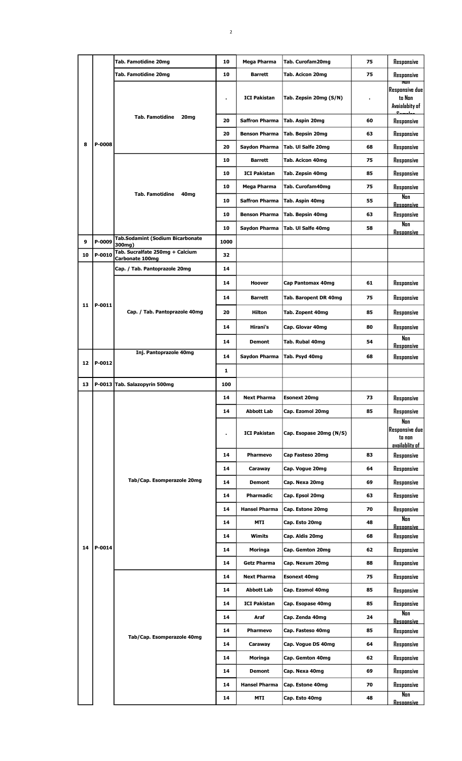|    |        | Tab. Famotidine 20mg                       | 10             | Mega Pharma           | Tab. Curofam20mg        | 75 | Responsive                                                     |
|----|--------|--------------------------------------------|----------------|-----------------------|-------------------------|----|----------------------------------------------------------------|
|    |        | Tab. Famotidine 20mg                       | 10             | <b>Barrett</b>        | Tab. Acicon 20mg        | 75 | Responsive                                                     |
|    |        |                                            | $\blacksquare$ | <b>ICI Pakistan</b>   | Tab. Zepsin 20mg (S/N)  |    | NUT<br><b>Responsive due</b><br>to Non<br>Avaialabity of<br>п. |
|    |        | <b>Tab. Famotidine</b><br>20 <sub>mg</sub> | 20             | <b>Saffron Pharma</b> | Tab. Aspin 20mg         | 60 | Responsive                                                     |
|    |        |                                            | 20             | <b>Benson Pharma</b>  | Tab. Bepsin 20mg        | 63 | Responsive                                                     |
| 8  | P-0008 |                                            | 20             | Saydon Pharma         | Tab. Ul Salfe 20mg      | 68 | Responsive                                                     |
|    |        |                                            | 10             | <b>Barrett</b>        | Tab. Acicon 40mg        | 75 | Responsive                                                     |
|    |        |                                            | 10             | <b>ICI Pakistan</b>   | Tab. Zepsin 40mg        | 85 | Responsive                                                     |
|    |        |                                            | 10             | Mega Pharma           | Tab. Curofam40mg        | 75 | Responsive                                                     |
|    |        | <b>Tab. Famotidine</b><br>40 <sub>mg</sub> | 10             | <b>Saffron Pharma</b> | Tab. Aspin 40mg         | 55 | Non                                                            |
|    |        |                                            | 10             | <b>Benson Pharma</b>  | Tab. Bepsin 40mg        | 63 | <b>Resoonsive</b><br>Responsive                                |
|    |        |                                            | 10             | Saydon Pharma         | Tab. Ul Salfe 40mg      | 58 | Non                                                            |
|    | P-0009 | Tab.Sodamint (Sodium Bicarbonate           |                |                       |                         |    | <b>Resoonsive</b>                                              |
| 9  |        | 300mg)<br>Tab. Sucralfate 250mg + Calcium  | 1000           |                       |                         |    |                                                                |
| 10 | P-0010 | Carbonate 100mg                            | 32             |                       |                         |    |                                                                |
|    |        | Cap. / Tab. Pantoprazole 20mg              | 14             |                       |                         |    |                                                                |
|    |        |                                            | 14             | Hoover                | Cap Pantomax 40mg       | 61 | Responsive                                                     |
|    |        |                                            | 14             | Barrett               | Tab. Baropent DR 40mg   | 75 | Responsive                                                     |
| 11 | P-0011 | Cap. / Tab. Pantoprazole 40mg              | 20             | Hilton                | Tab. Zopent 40mg        | 85 | Responsive                                                     |
|    |        |                                            | 14             | Hirani's              | Cap. Glovar 40mg        | 80 | Responsive                                                     |
|    |        |                                            | 14             | <b>Demont</b>         | Tab. Rubal 40mg         | 54 | Nan                                                            |
|    |        | Inj. Pantoprazole 40mg                     |                |                       |                         |    | <b>Responsive</b>                                              |
| 12 | P-0012 |                                            | 14             | Saydon Pharma         | Tab. Psyd 40mg          | 68 | Responsive                                                     |
|    |        |                                            | 1              |                       |                         |    |                                                                |
| 13 |        | P-0013 Tab. Salazopyrin 500mg              | 100            |                       |                         |    |                                                                |
|    |        |                                            | 14             | <b>Next Pharma</b>    | <b>Esonext 20mg</b>     | 73 | Responsive                                                     |
|    |        |                                            | 14             | <b>Abbott Lab</b>     | Cap. Ezomol 20mg        | 85 | Responsive                                                     |
|    |        | Tab/Cap. Esomperazole 20mg                 | $\blacksquare$ | <b>ICI Pakistan</b>   | Cap. Esopase 20mg (N/S) |    | Nan<br><b>Responsive due</b><br>to non<br>availablity of       |
|    |        |                                            | 14             | Pharmevo              | Cap Fasteso 20mg        | 83 | Responsive                                                     |
|    |        |                                            | 14             | Caraway               | Cap. Vogue 20mg         | 64 | Responsive                                                     |
|    |        |                                            | 14             | <b>Demont</b>         | Cap. Nexa 20mg          | 69 | Responsive                                                     |
|    |        |                                            | 14             | Pharmadic             | Cap. Epsol 20mg         | 63 | Responsive                                                     |
|    |        |                                            | 14             | <b>Hansel Pharma</b>  | Cap. Estone 20mg        | 70 | Responsive                                                     |
|    |        |                                            | 14             | MTI                   | Cap. Esto 20mg          | 48 | Nan<br><b>Resoonsive</b>                                       |
|    |        |                                            | 14             | Wimits                | Cap. Aldis 20mg         | 68 | Responsive                                                     |
| 14 | P-0014 |                                            | 14             | Moringa               | Cap. Gemton 20mg        | 62 | Responsive                                                     |
|    |        |                                            | 14             | <b>Getz Pharma</b>    | Cap. Nexum 20mg         | 88 | Responsive                                                     |
|    |        |                                            | 14             | <b>Next Pharma</b>    | <b>Esonext 40mg</b>     | 75 | Responsive                                                     |
|    |        |                                            | 14             | Abbott Lab            | Cap. Ezomol 40mg        | 85 | Responsive                                                     |
|    |        |                                            | 14             | <b>ICI Pakistan</b>   | Cap. Esopase 40mg       | 85 | Responsive                                                     |
|    |        |                                            | 14             | Araf                  | Cap. Zenda 40mg         | 24 | Non                                                            |
|    |        |                                            |                |                       |                         |    | <b>Resoonsive</b>                                              |
|    |        | Tab/Cap. Esomperazole 40mg                 | 14             | <b>Pharmevo</b>       | Cap. Fasteso 40mg       | 85 | Responsive                                                     |
|    |        |                                            | 14             | Caraway               | Cap. Vogue DS 40mg      | 64 | Responsive                                                     |
|    |        |                                            | 14             | Moringa               | Cap. Gemton 40mg        | 62 | Responsive                                                     |
|    |        |                                            | 14             | <b>Demont</b>         | Cap. Nexa 40mg          | 69 | Responsive                                                     |
|    |        |                                            | 14             | <b>Hansel Pharma</b>  | Cap. Estone 40mg        | 70 | Responsive                                                     |
|    |        |                                            | 14             | MTI                   | Cap. Esto 40mg          | 48 | Non<br><u>Resoonsive</u>                                       |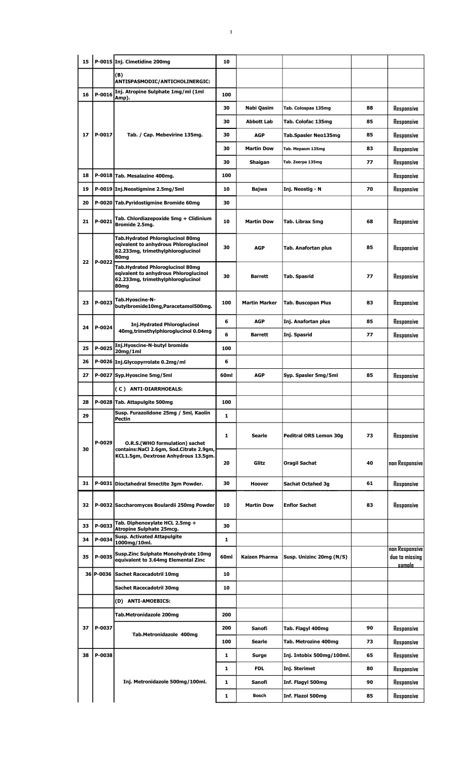| 15 |        | P-0015 Inj. Cimetidine 200mg                                                                                           | 10               |                      |                           |    |                                                   |
|----|--------|------------------------------------------------------------------------------------------------------------------------|------------------|----------------------|---------------------------|----|---------------------------------------------------|
|    |        | (B)<br>ANTISPASMODIC/ANTICHOLINERGIC:                                                                                  |                  |                      |                           |    |                                                   |
| 16 | P-0016 | Inj. Atropine Sulphate 1mg/ml (1ml                                                                                     | 100              |                      |                           |    |                                                   |
|    |        | Amp).                                                                                                                  | 30               | Nabi Qasim           | Tab. Colospas 135mg       | 88 | Responsive                                        |
|    |        |                                                                                                                        | 30               | Abbott Lab           | Tab. Colofac 135mg        | 85 | Responsive                                        |
| 17 | P-0017 | Tab. / Cap. Mebevirine 135mg.                                                                                          | 30               | <b>AGP</b>           | Tab.Spasler Neo135mg      | 85 | Responsive                                        |
|    |        |                                                                                                                        | 30               | <b>Martin Dow</b>    | Tab. Mepasm 135mg         | 83 |                                                   |
|    |        |                                                                                                                        | 30               |                      | Tab. Zeerpa 135mg         | 77 | Responsive                                        |
| 18 |        | P-0018 Tab. Mesalazine 400mg.                                                                                          | 100              | Shaigan              |                           |    | Responsive<br>Responsive                          |
| 19 |        | P-0019 Inj.Neostigmine 2.5mg/5ml                                                                                       | 10               | Bajwa                | Inj. Neostig - N          | 70 | Responsive                                        |
| 20 |        | P-0020 Tab.Pyridostigmine Bromide 60mg                                                                                 | 30               |                      |                           |    |                                                   |
|    |        |                                                                                                                        |                  |                      |                           |    |                                                   |
| 21 | P-0021 | Tab. Chlordiazepoxide 5mg + Clidinium<br>Bromide 2.5mg.                                                                | 10               | <b>Martin Dow</b>    | Tab. Librax 5mg           | 68 | Responsive                                        |
| 22 | P-0022 | Tab.Hydrated Phloroglucinol 80mg<br>egivalent to anhydrous Phloroglucinol<br>62.233mg, trimethylphloroglucinol<br>80mg | 30               | <b>AGP</b>           | Tab. Anafortan plus       | 85 | Responsive                                        |
|    |        | Tab.Hydrated Phloroglucinol 80mg<br>eqivalent to anhydrous Phloroglucinol<br>62.233mg, trimethylphloroglucinol<br>80mg | 30               | <b>Barrett</b>       | Tab. Spasrid              | 77 | Responsive                                        |
| 23 | P-0023 | Tab.Hyoscine-N-<br>butylbromide10mg,Paracetamol500mg.                                                                  | 100              | <b>Martin Marker</b> | <b>Tab. Buscopan Plus</b> | 83 | Responsive                                        |
| 24 | P-0024 | <b>Inj.Hydrated Phloroglucinol</b>                                                                                     | 6                | <b>AGP</b>           | Inj. Anafortan plus       | 85 | Responsive                                        |
|    |        | 40mg, trimethylphloroglucinol 0.04mg                                                                                   | 6                | <b>Barrett</b>       | Inj. Spasrid              | 77 | Responsive                                        |
| 25 | P-0025 | Inj.Hyoscine-N-butyl bromide<br>20mg/1ml                                                                               | 100              |                      |                           |    |                                                   |
| 26 |        | P-0026 Inj.Glycopyrrolate 0.2mg/ml                                                                                     | 6                |                      |                           |    |                                                   |
| 27 |        | P-0027 Syp.Hyoscine 5mg/5ml                                                                                            | 60 <sub>ml</sub> | <b>AGP</b>           | Syp. Spasler 5mg/5ml      | 85 | Responsive                                        |
|    |        | (C) ANTI-DIARRHOEALS:                                                                                                  |                  |                      |                           |    |                                                   |
| 28 |        | P-0028 Tab. Attapulgite 500mg                                                                                          | 100              |                      |                           |    |                                                   |
| 29 |        | Susp. Furazolidone 25mg / 5ml, Kaolin<br>Pectin                                                                        | $\mathbf{1}$     |                      |                           |    |                                                   |
| 30 | P-0029 | O.R.S.(WHO formulation) sachet<br>contains: NaCl 2.6qm, Sod. Citrate 2.9qm,                                            | 1                | <b>Searle</b>        | Peditral ORS Lemon 30g    | 73 | Responsive                                        |
|    |        | KCL1.5gm, Dextrose Anhydrous 13.5gm.                                                                                   | 20               | Glitz                | Oragil Sachat             | 40 | non Responsive                                    |
| 31 |        | P-0031 Dioctahedral Smectite 3gm Powder.                                                                               | 30               | <b>Hoover</b>        | <b>Sachat Octahed 3g</b>  | 61 | Responsive                                        |
| 32 |        | P-0032 Saccharomyces Boulardii 250mg Powder                                                                            | 10               | <b>Martin Dow</b>    | <b>Enflor Sachet</b>      | 83 | Responsive                                        |
| 33 | P-0033 | Tab. Diphenoxylate HCL 2.5mg +<br>Atropine Sulphate 25mcg.                                                             | 30               |                      |                           |    |                                                   |
| 34 | P-0034 | <b>Susp. Activated Attapulgite</b><br>1000mg/10ml.                                                                     | 1                |                      |                           |    |                                                   |
| 35 | P-0035 | Susp.Zinc Sulphate Monohydrate 10mg<br>equivalent to 3.64mg Elemental Zinc                                             | 60ml             | <b>Kaizen Pharma</b> | Susp. Unizinc 20mg (N/S)  |    | non Responsive<br>due to missing<br><u>samnle</u> |
|    |        | 36 P-0036 Sachet Racecadotril 10mg                                                                                     | 10               |                      |                           |    |                                                   |
|    |        | Sachet Racecadotril 30mg                                                                                               | 10               |                      |                           |    |                                                   |
|    |        | (D) ANTI-AMOEBICS:                                                                                                     |                  |                      |                           |    |                                                   |
|    |        | Tab.Metronidazole 200mg                                                                                                | 200              |                      |                           |    |                                                   |
| 37 | P-0037 | Tab.Metronidazole 400mg                                                                                                | 200              | Sanofi               | Tab. Flagyl 400mg         | 90 | Responsive                                        |
|    |        |                                                                                                                        | 100              | Searle               | Tab. Metrozine 400mg      | 73 | Responsive                                        |
| 38 | P-0038 |                                                                                                                        | $\mathbf{1}$     | Surge                | Inj. Intobix 500mg/100ml. | 65 | Responsive                                        |
|    |        |                                                                                                                        | 1                | <b>FDL</b>           | Inj. Sterimet             | 80 | Responsive                                        |
|    |        | Inj. Metronidazole 500mg/100ml.                                                                                        | $\mathbf{1}$     | Sanofi               | Inf. Flagyl 500mg         | 90 | Responsive                                        |
|    |        |                                                                                                                        | 1                | Bosch                | Inf. Flazol 500mg         | 85 | Responsive                                        |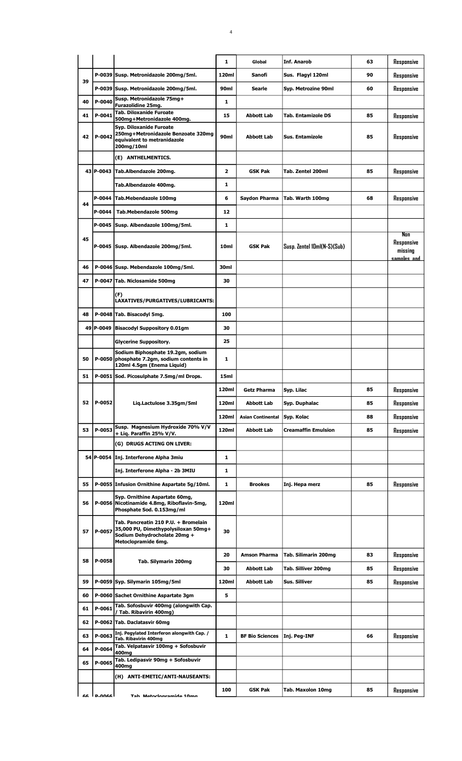|    |               |                                                                                                                                    | 1                       | Global                                   | Inf. Anarob                                 | 63       | Responsive                                  |
|----|---------------|------------------------------------------------------------------------------------------------------------------------------------|-------------------------|------------------------------------------|---------------------------------------------|----------|---------------------------------------------|
|    |               | P-0039 Susp. Metronidazole 200mg/5ml.                                                                                              | 120ml                   | Sanofi                                   | Sus. Flagyl 120ml                           | 90       | Responsive                                  |
| 39 |               | P-0039 Susp. Metronidazole 200mg/5ml.                                                                                              | 90ml                    | Searle                                   | Syp. Metrozine 90ml                         | 60       | Responsive                                  |
| 40 | P-0040        | Susp. Metronidazole 75mg+<br>Furazolidine 25mg.                                                                                    | 1                       |                                          |                                             |          |                                             |
| 41 | P-0041        | <b>Tab. Diloxanide Furoate</b><br>500mg+Metronidazole 400mg.                                                                       | 15                      | <b>Abbott Lab</b>                        | <b>Tab. Entamizole DS</b>                   | 85       | Responsive                                  |
| 42 | P-0042        | Syp. Diloxanide Furoate<br>250mg+Metronidazole Benzoate 320mg<br>equivalent to metranidazole<br>200mg/10ml                         | 90ml                    | <b>Abbott Lab</b>                        | Sus. Entamizole                             | 85       | Responsive                                  |
|    |               | (E) ANTHELMENTICS.                                                                                                                 |                         |                                          |                                             |          |                                             |
|    |               | 43 P-0043 Tab.Albendazole 200mg.                                                                                                   | $\overline{\mathbf{z}}$ | <b>GSK Pak</b>                           | Tab. Zentel 200ml                           | 85       | Responsive                                  |
|    |               | Tab.Albendazole 400mg.                                                                                                             | 1                       |                                          |                                             |          |                                             |
| 44 | P-0044        | Tab.Mebendazole 100mg                                                                                                              | 6                       | Saydon Pharma                            | Tab. Warth 100mg                            | 68       | Responsive                                  |
|    | P-0044        | Tab.Mebendazole 500mg                                                                                                              | 12                      |                                          |                                             |          |                                             |
|    | $P-0045$      | Susp. Albendazole 100mg/5ml.                                                                                                       | 1                       |                                          |                                             |          |                                             |
| 45 |               | P-0045 Susp. Albendazole 200mg/5ml.                                                                                                | 10 <sub>ml</sub>        | <b>GSK Pak</b>                           | Susp. Zentel 10ml(N-S)(Sub)                 |          | Non<br>Responsive<br>missing<br>samnles and |
| 46 |               | P-0046 Susp. Mebendazole 100mg/5ml.                                                                                                | 30ml                    |                                          |                                             |          |                                             |
| 47 |               | P-0047 Tab. Niclosamide 500mg                                                                                                      | 30                      |                                          |                                             |          |                                             |
|    |               | (F)<br>LAXATIVES/PURGATIVES/LUBRICANTS:                                                                                            |                         |                                          |                                             |          |                                             |
| 48 |               | P-0048 Tab. Bisacodyl 5mg.                                                                                                         | 100                     |                                          |                                             |          |                                             |
| 49 |               | P-0049  Bisacodyl Suppository 0.01gm                                                                                               | 30                      |                                          |                                             |          |                                             |
|    |               | <b>Glycerine Suppository.</b>                                                                                                      | 25                      |                                          |                                             |          |                                             |
| 50 | P-0050        | Sodium Biphosphate 19.2qm, sodium<br>phosphate 7.2gm, sodium contents in<br>120ml 4.5gm (Enema Liquid)                             | 1                       |                                          |                                             |          |                                             |
| 51 |               | P-0051 Sod. Picosulphate 7.5mg/ml Drops.                                                                                           | 15ml                    |                                          |                                             |          |                                             |
|    |               |                                                                                                                                    | 120ml                   | <b>Getz Pharma</b>                       | Svp. Lilac                                  | 85       | Responsive                                  |
| 52 | P-0052        | Liq.Lactulose 3.35gm/5ml                                                                                                           | 120ml                   | <b>Abbott Lab</b>                        | Syp. Duphalac                               | 85       | Responsive                                  |
|    |               |                                                                                                                                    | 120ml                   | <b>Asian Continental</b>                 | Syp. Kolac                                  | 88       | Responsive                                  |
| 53 | P-0053        | Susp. Magnesium Hydroxide 70% V/V<br>+ Liq. Paraffin 25% V/V.                                                                      | 120ml                   | <b>Abbott Lab</b>                        | <b>Creamaffin Emulsion</b>                  | 85       | Responsive                                  |
|    |               | (G) DRUGS ACTING ON LIVER:                                                                                                         |                         |                                          |                                             |          |                                             |
|    |               | 54 P-0054 Inj. Interferone Alpha 3miu                                                                                              | 1                       |                                          |                                             |          |                                             |
|    |               | Inj. Interferone Alpha - 2b 3MIU                                                                                                   | 1                       |                                          |                                             |          |                                             |
| 55 |               | P-0055 Infusion Ornithine Aspartate 5g/10ml.                                                                                       | 1                       | <b>Brookes</b>                           | Inj. Hepa merz                              | 85       | Responsive                                  |
| 56 |               | Syp. Ornithine Aspartate 60mg,<br>P-0056 Nicotinamide 4.8mg, Riboflavin-5mg,<br>Phosphate Sod. 0.153mg/ml                          | 120ml                   |                                          |                                             |          |                                             |
| 57 | P-0057        | Tab. Pancreatin 210 P.U. + Bromelain<br>35,000 PU, Dimethypolysiloxan 50mg+<br>Sodium Dehydrocholate 20mg +<br>Metoclopramide 6mg. | 30                      |                                          |                                             |          |                                             |
| 58 | P-0058        | Tab. Silymarin 200mg                                                                                                               | 20<br>30                | <b>Amson Pharma</b><br><b>Abbott Lab</b> | Tab. Silimarin 200mg<br>Tab. Silliver 200mg | 83<br>85 | Responsive<br>Responsive                    |
| 59 |               | P-0059 Syp. Silymarin 105mg/5ml                                                                                                    | 120ml                   | <b>Abbott Lab</b>                        | Sus. Silliver                               | 85       | Responsive                                  |
| 60 |               | P-0060 Sachet Ornithine Aspartate 3gm                                                                                              | 5                       |                                          |                                             |          |                                             |
| 61 | P-0061        | Tab. Sofosbuvir 400mg (alongwith Cap.                                                                                              |                         |                                          |                                             |          |                                             |
| 62 |               | / Tab. Ribavirin 400mg)<br>P-0062 Tab. Daclatasvir 60mg                                                                            |                         |                                          |                                             |          |                                             |
| 63 | P-0063        | Inj. Pegylated Interferon alongwith Cap. /                                                                                         | 1                       |                                          |                                             |          |                                             |
|    |               | Tab. Ribavirin 400mg<br>Tab. Velpatasvir 100mg + Sofosbuvir                                                                        |                         | <b>BF Bio Sciences</b>                   | Inj. Peg-INF                                | 66       | Responsive                                  |
| 64 | P-0064        | 400mg<br>Tab. Ledipasvir 90mg + Sofosbuvir                                                                                         |                         |                                          |                                             |          |                                             |
| 65 | P-0065        | 400mg                                                                                                                              |                         |                                          |                                             |          |                                             |
|    |               | (H) ANTI-EMETIC/ANTI-NAUSEANTS:                                                                                                    |                         |                                          |                                             |          |                                             |
| 66 | <b>AAOO-Q</b> | Tah Matoclonramida 10mg                                                                                                            | 100                     | <b>GSK Pak</b>                           | Tab. Maxolon 10mg                           | 85       | Responsive                                  |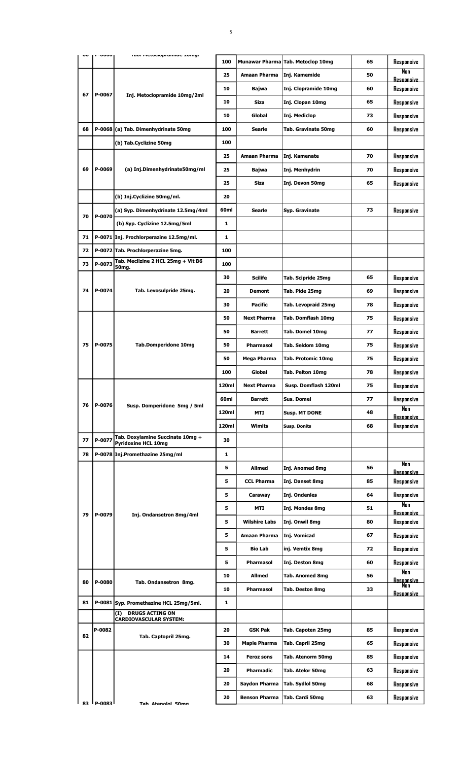|    |        | ran. Mcmcinhi annuc Tring.                              | 100          |                      | Munawar Pharma Tab. Metoclop 10mg | 65 | Responsive               |
|----|--------|---------------------------------------------------------|--------------|----------------------|-----------------------------------|----|--------------------------|
|    |        |                                                         | 25           | Amaan Pharma         | Inj. Kamemide                     | 50 | Nan<br><u>Resoonsive</u> |
|    |        |                                                         | 10           | Bajwa                | Inj. Clopramide 10mg              | 60 | Responsive               |
| 67 | P-0067 | Inj. Metoclopramide 10mg/2ml                            | 10           | Siza                 | Inj. Clopan 10mg                  | 65 | Responsive               |
|    |        |                                                         | 10           | Global               | Inj. Mediclop                     | 73 | Responsive               |
| 68 |        | P-0068 (a) Tab. Dimenhydrinate 50mg                     | 100          | <b>Searle</b>        | Tab. Gravinate 50mg               | 60 | Responsive               |
|    |        | (b) Tab.Cyclizine 50mg                                  | 100          |                      |                                   |    |                          |
|    |        |                                                         | 25           | Amaan Pharma         | Inj. Kamenate                     | 70 | Responsive               |
| 69 | P-0069 | (a) Inj.Dimenhydrinate50mg/ml                           | 25           | Bajwa                | Inj. Menhydrin                    | 70 | Responsive               |
|    |        |                                                         | 25           | <b>Siza</b>          | Inj. Devon 50mg                   | 65 | Responsive               |
|    |        | (b) Inj.Cyclizine 50mg/ml.                              | 20           |                      |                                   |    |                          |
|    |        | (a) Syp. Dimenhydrinate 12.5mg/4ml                      | 60ml         | Searle               | Syp. Gravinate                    | 73 | Responsive               |
| 70 | P-0070 | (b) Syp. Cyclizine 12.5mg/5ml                           | 1            |                      |                                   |    |                          |
| 71 |        | P-0071 Inj. Prochlorperazine 12.5mg/ml.                 | 1            |                      |                                   |    |                          |
| 72 |        | P-0072 Tab. Prochlorperazine 5mg.                       | 100          |                      |                                   |    |                          |
| 73 | P-0073 | Tab. Meclizine 2 HCL 25mg + Vit B6                      | 100          |                      |                                   |    |                          |
|    |        | 50mg.                                                   | 30           | <b>Scilife</b>       | Tab. Scipride 25mg                | 65 | Responsive               |
| 74 | P-0074 | Tab. Levosulpride 25mg.                                 | 20           | <b>Demont</b>        | Tab. Pide 25mg                    | 69 | Responsive               |
|    |        |                                                         | 30           | Pacific              | Tab. Levopraid 25mg               | 78 | Responsive               |
|    |        |                                                         | 50           | Next Pharma          | Tab. Domflash 10mg                | 75 | Responsive               |
|    |        |                                                         | 50           | <b>Barrett</b>       | Tab. Domel 10mg                   | 77 | Responsive               |
| 75 | P-0075 | <b>Tab.Domperidone 10mg</b>                             |              | Pharmasol            |                                   | 75 |                          |
|    |        |                                                         | 50<br>50     |                      | Tab. Seldom 10mg                  | 75 | Responsive               |
|    |        |                                                         |              | Mega Pharma          | <b>Tab. Protomic 10mg</b>         |    | Responsive               |
|    |        |                                                         | 100          | Global               | <b>Tab. Pelton 10mg</b>           | 78 | Responsive               |
|    |        |                                                         | 120ml        | <b>Next Pharma</b>   | Susp. Domflash 120ml              | 75 | Responsive               |
| 76 | P-0076 | Susp. Domperidone 5mg / 5ml                             | 60ml         | <b>Barrett</b>       | <b>Sus, Domel</b>                 | 77 | Responsive<br>Nan        |
|    |        |                                                         | 120ml        | MTI                  | Susp. MT DONE                     | 48 | <b>Resoonsive</b>        |
|    |        | Tab. Doxylamine Succinate 10mg +                        | 120ml        | Wimits               | <b>Susp. Donits</b>               | 68 | Responsive               |
| 77 | P-0077 | <b>Pyridoxine HCL 10mg</b>                              | 30           |                      |                                   |    |                          |
| 78 |        | P-0078 Inj.Promethazine 25mg/ml                         | $\mathbf{1}$ |                      |                                   |    | Non                      |
|    |        |                                                         | 5            | Allmed               | Inj. Anomed 8mg                   | 56 | <u>Resoonsive</u>        |
|    |        |                                                         | 5            | <b>CCL Pharma</b>    | Inj. Danset 8mg                   | 85 | Responsive               |
|    |        |                                                         | 5            | Caraway              | Inj. Ondenles                     | 64 | Responsive               |
| 79 | P-0079 | Inj. Ondansetron 8mg/4ml                                | 5            | MTI                  | Inj. Mondes 8mg                   | 51 | Nan<br>Resoonsive        |
|    |        |                                                         | 5            | <b>Wilshire Labs</b> | Inj. Onwil 8mg                    | 80 | Responsive               |
|    |        |                                                         | 5            | Amaan Pharma         | Inj. Vomicad                      | 67 | Responsive               |
|    |        |                                                         | 5            | <b>Bio Lab</b>       | inj. Vemtix 8mg                   | 72 | Responsive               |
|    |        |                                                         | 5            | Pharmasol            | Inj. Deston 8mg                   | 60 | Responsive               |
| 80 | P-0080 | Tab. Ondansetron 8mg.                                   | 10           | Allmed               | <b>Tab. Anomed 8mg</b>            | 56 | Nan<br><u>Resoonsive</u> |
|    |        |                                                         | 10           | Pharmasol            | Tab. Deston 8mg                   | 33 | Non<br>Resoonsive        |
| 81 |        | P-0081 Syp. Promethazine HCL 25mg/5ml.                  | 1            |                      |                                   |    |                          |
|    |        | <b>DRUGS ACTING ON</b><br>(I)<br>CARDIOVASCULAR SYSTEM: |              |                      |                                   |    |                          |
|    | P-0082 |                                                         | 20           | GSK Pak              | Tab. Capoten 25mg                 | 85 | Responsive               |
| 82 |        | Tab. Captopril 25mg.                                    | 30           | <b>Maple Pharma</b>  | Tab. Capril 25mg                  | 65 | Responsive               |
|    |        |                                                         | 14           | <b>Feroz sons</b>    | Tab. Atenorm 50mg                 | 85 | Responsive               |
|    |        |                                                         | 20           | Pharmadic            | Tab. Atelor 50mg                  | 63 | Responsive               |
|    |        |                                                         | 20           | Saydon Pharma        | Tab. Sydlol 50mg                  | 68 | Responsive               |

**20 Benson Pharma Tab. Cardi 50mg 63 Responsive** 

 $\begin{bmatrix} 1 \\ 0 \\ 0 \\ 0 \end{bmatrix}$ 

P-0083 Tab. Atenolol 50mg.

5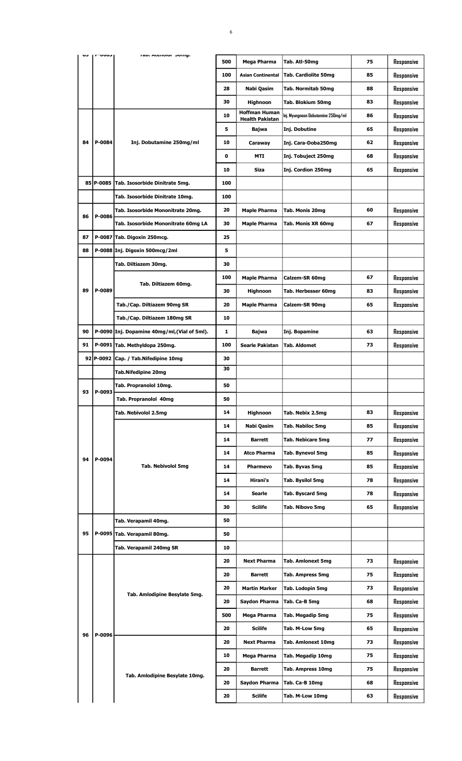|    | いいいし      | ran. Atcholor bong.                          | 500 | Mega Pharma                            | Tab. Atl-50mg                      | 75 | Responsive |
|----|-----------|----------------------------------------------|-----|----------------------------------------|------------------------------------|----|------------|
|    |           |                                              | 100 | <b>Asian Continental</b>               | <b>Tab. Cardiolite 50mg</b>        | 85 | Responsive |
|    |           |                                              | 28  | Nabi Qasim                             | <b>Tab. Normitab 50mg</b>          | 88 | Responsive |
|    |           |                                              | 30  | Highnoon                               | <b>Tab. Blokium 50mg</b>           | 83 | Responsive |
|    |           |                                              | 10  | <b>Hoffman Human</b>                   | Inj. Myungnoon Dobutamine 250mg/ml | 86 | Responsive |
|    |           |                                              | 5   | <b>Health Pakistan</b><br><b>Bajwa</b> | Inj. Dobutine                      | 65 | Responsive |
| 84 | P-0084    | Inj. Dobutamine 250mg/ml                     | 10  | Caraway                                | Inj. Cara-Doba250mg                | 62 | Responsive |
|    |           |                                              | 0   | MTI                                    | Inj. Tobuject 250mg                | 68 | Responsive |
|    |           |                                              | 10  | Siza                                   | Inj. Cordion 250mg                 | 65 | Responsive |
|    | 85 P-0085 | Tab. Isosorbide Dinitrate 5mg.               | 100 |                                        |                                    |    |            |
|    |           | Tab. Isosorbide Dinitrate 10mg.              | 100 |                                        |                                    |    |            |
|    |           | Tab. Isosorbide Mononitrate 20mg.            | 20  | <b>Maple Pharma</b>                    | Tab. Monis 20mg                    | 60 | Responsive |
| 86 | P-0086    |                                              | 30  |                                        |                                    | 67 |            |
|    |           | Tab. Isosorbide Mononitrate 60mg LA          |     | <b>Maple Pharma</b>                    | Tab. Monis XR 60mg                 |    | Responsive |
| 87 |           | P-0087 Tab. Digoxin 250mcg.                  | 25  |                                        |                                    |    |            |
| 88 |           | P-0088 Inj. Digoxin 500mcg/2ml               | 5   |                                        |                                    |    |            |
|    |           | Tab. Diltiazem 30mg.                         | 30  |                                        |                                    |    |            |
|    |           | Tab. Diltiazem 60mg.                         | 100 | <b>Maple Pharma</b>                    | Calzem-SR 60mg                     | 67 | Responsive |
| 89 | P-0089    |                                              | 30  | Highnoon                               | Tab. Herbesser 60mg                | 83 | Responsive |
|    |           | Tab./Cap. Diltiazem 90mg SR                  | 20  | <b>Maple Pharma</b>                    | Calzem-SR 90mg                     | 65 | Responsive |
|    |           | Tab./Cap. Diltiazem 180mg SR                 | 10  |                                        |                                    |    |            |
| 90 |           | P-0090 Inj. Dopamine 40mg/ml, (Vial of 5ml). | 1   | Bajwa                                  | Inj. Bopamine                      | 63 | Responsive |
| 91 |           | P-0091 Tab. Methyldopa 250mg.                | 100 | <b>Searle Pakistan</b>                 | <b>Tab. Aldomet</b>                | 73 | Responsive |
| 92 | P-0092    | Cap. / Tab.Nifedipine 10mg                   | 30  |                                        |                                    |    |            |
|    |           | <b>Tab.Nifedipine 20mg</b>                   | 30  |                                        |                                    |    |            |
|    |           | Tab. Propranolol 10mg.                       | 50  |                                        |                                    |    |            |
| 93 | P-0093    | Tab. Propranolol 40mg                        | 50  |                                        |                                    |    |            |
|    |           | Tab. Nebivolol 2.5mg                         | 14  | Highnoon                               | Tab. Nebix 2.5mg                   | 83 | Responsive |
|    |           |                                              | 14  | Nabi Qasim                             | <b>Tab. Nabiloc 5mg</b>            | 85 | Responsive |
|    |           |                                              | 14  | <b>Barrett</b>                         | <b>Tab. Nebicare 5mg</b>           | 77 | Responsive |
|    |           |                                              | 14  | <b>Atco Pharma</b>                     | Tab. Bynevol 5mg                   | 85 | Responsive |
| 94 | P-0094    | <b>Tab. Nebivolol 5mg</b>                    | 14  | Pharmevo                               | Tab. Byvas 5mg                     | 85 | Responsive |
|    |           |                                              | 14  | Hirani's                               | Tab. Bysilol 5mg                   | 78 | Responsive |
|    |           |                                              | 14  | <b>Searle</b>                          | <b>Tab. Byscard 5mg</b>            | 78 | Responsive |
|    |           |                                              | 30  | <b>Scilife</b>                         | Tab. Nibovo 5mg                    | 65 | Responsive |
|    |           | Tab. Verapamil 40mg.                         | 50  |                                        |                                    |    |            |
| 95 |           | P-0095 Tab. Verapamil 80mg.                  | 50  |                                        |                                    |    |            |
|    |           | Tab. Verapamil 240mg SR                      | 10  |                                        |                                    |    |            |
|    |           |                                              | 20  | <b>Next Pharma</b>                     | <b>Tab. Amlonext 5mg</b>           | 73 | Responsive |
|    |           |                                              | 20  | <b>Barrett</b>                         | <b>Tab. Ampress 5mg</b>            | 75 | Responsive |
|    |           |                                              | 20  | <b>Martin Marker</b>                   | Tab. Lodopin 5mg                   | 73 | Responsive |
|    |           | Tab. Amlodipine Besylate 5mg.                | 20  |                                        |                                    | 68 |            |
|    |           |                                              |     | Saydon Pharma                          | Tab. Ca-B 5mg                      |    | Responsive |
|    |           |                                              | 500 | Mega Pharma                            | Tab. Megadip 5mg                   | 75 | Responsive |
| 96 | P-0096    |                                              | 20  | <b>Scilife</b>                         | Tab. M-Low 5mg                     | 65 | Responsive |
|    |           |                                              | 20  | <b>Next Pharma</b>                     | <b>Tab. Amlonext 10mg</b>          | 73 | Responsive |
|    |           |                                              | 10  | Mega Pharma                            | Tab. Megadip 10mg                  | 75 | Responsive |
|    |           | Tab. Amlodipine Besylate 10mg.               | 20  | <b>Barrett</b>                         | <b>Tab. Ampress 10mg</b>           | 75 | Responsive |
|    |           |                                              | 20  | Saydon Pharma                          | Tab. Ca-B 10mg                     | 68 | Responsive |
|    |           |                                              | 20  | <b>Scilife</b>                         | Tab. M-Low 10mg                    | 63 | Responsive |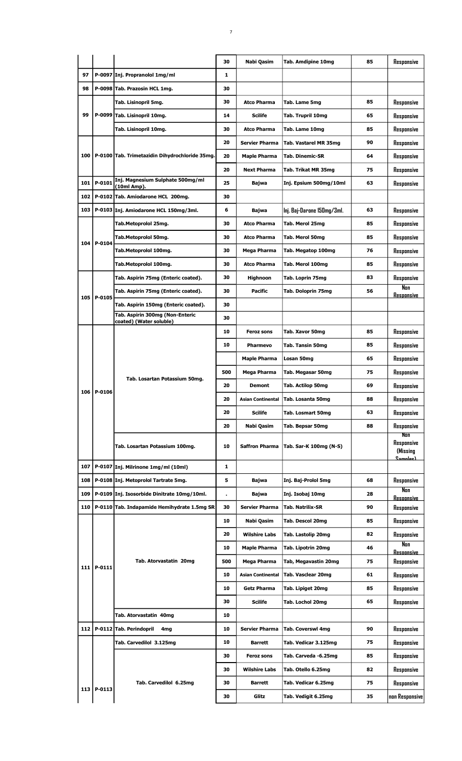|     |                |                                                            | 30           | Nabi Qasim               | Tab. Amdipine 10mg         | 85 | Responsive                                        |
|-----|----------------|------------------------------------------------------------|--------------|--------------------------|----------------------------|----|---------------------------------------------------|
| 97  |                | P-0097 Inj. Propranolol 1mg/ml                             | 1            |                          |                            |    |                                                   |
| 98  |                | P-0098 Tab. Prazosin HCL 1mg.                              | 30           |                          |                            |    |                                                   |
|     |                | Tab. Lisinopril 5mg.                                       | 30           | <b>Atco Pharma</b>       | Tab. Lame 5mg              | 85 | Responsive                                        |
| 99  |                | P-0099 Tab. Lisinopril 10mg.                               | 14           | Scilife                  | Tab. Trupril 10mg          | 65 | Responsive                                        |
|     |                | Tab. Lisinopril 10mg.                                      | 30           | <b>Atco Pharma</b>       | Tab. Lame 10mg             | 85 | Responsive                                        |
|     |                |                                                            | 20           | <b>Servier Pharma</b>    | Tab. Vastarel MR 35mg      | 90 | Responsive                                        |
| 100 |                | P-0100 Tab. Trimetazidin Dihydrochloride 35mg.             | 20           | <b>Maple Pharma</b>      | <b>Tab. Dinemic-SR</b>     | 64 | Responsive                                        |
|     |                |                                                            | 20           | <b>Next Pharma</b>       | Tab. Trikat MR 35mg        | 75 | Responsive                                        |
| 101 | P-0101         | Inj. Magnesium Sulphate 500mg/ml<br>(10ml Amp).            | 25           | Bajwa                    | Inj. Epsium 500mg/10ml     | 63 | Responsive                                        |
| 102 |                | P-0102 Tab. Amiodarone HCL 200mg.                          | 30           |                          |                            |    |                                                   |
| 103 |                | P-0103 Inj. Amiodarone HCL 150mg/3ml.                      | 6            | <b>Bajwa</b>             | Inj. Baj-Darone 150mg/3ml. | 63 | Responsive                                        |
|     |                | Tab.Metoprolol 25mg.                                       | 30           | <b>Atco Pharma</b>       | Tab. Merol 25mg            | 85 | Responsive                                        |
|     |                | Tab.Metoprolol 50mg.                                       | 30           | <b>Atco Pharma</b>       | Tab. Merol 50mg            | 85 | Responsive                                        |
|     | 104 P-0104     | Tab.Metoprolol 100mg.                                      | 30           | Mega Pharma              | Tab. Megatop 100mg         | 76 | Responsive                                        |
|     |                | Tab.Metoprolol 100mg.                                      | 30           | <b>Atco Pharma</b>       | Tab. Merol 100mg           | 85 | Responsive                                        |
|     |                | Tab. Aspirin 75mg (Enteric coated).                        | 30           | <b>Highnoon</b>          | Tab. Loprin 75mg           | 83 | Responsive                                        |
|     |                | Tab. Aspirin 75mg (Enteric coated).                        | 30           | <b>Pacific</b>           | Tab. Doloprin 75mg         | 56 | Non<br><b>Resoonsive</b>                          |
|     | 105 P-0105     | Tab. Aspirin 150mg (Enteric coated).                       | 30           |                          |                            |    |                                                   |
|     |                | Tab. Aspirin 300mg (Non-Enteric<br>coated) (Water soluble) | 30           |                          |                            |    |                                                   |
|     |                |                                                            | 10           | <b>Feroz sons</b>        | Tab. Xavor 50mg            | 85 | Responsive                                        |
|     |                |                                                            | 10           | <b>Pharmevo</b>          | Tab. Tansin 50mg           | 85 | Responsive                                        |
|     |                |                                                            |              | <b>Maple Pharma</b>      | Losan 50mg                 | 65 | Responsive                                        |
|     |                |                                                            | 500          | Mega Pharma              | Tab. Megasar 50mg          | 75 | Responsive                                        |
|     | 106 P-0106     | Tab. Losartan Potassium 50mg.                              | 20           | <b>Demont</b>            | Tab. Actilop 50mg          | 69 | Responsive                                        |
|     |                |                                                            | 20           | <b>Asian Continental</b> | Tab. Losanta 50mg          | 88 | Responsive                                        |
|     |                |                                                            | 20           | <b>Scilife</b>           | <b>Tab. Losmart 50mg</b>   | 63 | Responsive                                        |
|     |                |                                                            | 20           | Nabi Qasim               | Tab. Bepsar 50mg           | 88 | Responsive                                        |
|     |                | Tab. Losartan Potassium 100mg.                             | 10           | <b>Saffron Pharma</b>    | Tab. Sar-K 100mg (N-S)     |    | Non<br>Responsive<br>(Missing<br><u> Samnloe)</u> |
| 107 |                | P-0107 Inj. Milrinone 1mg/ml (10ml)                        | $\mathbf{1}$ |                          |                            |    |                                                   |
| 108 |                | P-0108 Inj. Metoprolol Tartrate 5mg.                       | 5            | Bajwa                    | Inj. Baj-Prolol 5mg        | 68 | Responsive                                        |
| 109 |                | P-0109 Inj. Isosorbide Dinitrate 10mg/10ml.                |              | Bajwa                    | Inj. Isobaj 10mg           | 28 | Nan<br><b>Resoonsive</b>                          |
| 110 |                | P-0110 Tab. Indapamide Hemihydrate 1.5mg SR                | 30           | Servier Pharma           | Tab. Natrilix-SR           | 90 | Responsive                                        |
|     |                |                                                            | 10           | Nabi Qasim               | Tab. Descol 20mg           | 85 | Responsive                                        |
|     |                |                                                            | 20           | <b>Wilshire Labs</b>     | Tab. Lastolip 20mg         | 82 | Responsive                                        |
|     |                |                                                            | 10           | <b>Maple Pharma</b>      | Tab. Lipotrin 20mg         | 46 | Nan<br><b>Resonnsive</b>                          |
|     | $111$   P-0111 | Tab. Atorvastatin 20mg                                     | 500          | Mega Pharma              | Tab, Megavastin 20mg       | 75 | Responsive                                        |
|     |                |                                                            | 10           | <b>Asian Continental</b> | Tab. Vasclear 20mg         | 61 | Responsive                                        |
|     |                |                                                            | 10           | Getz Pharma              | Tab. Lipiget 20mg          | 85 | Responsive                                        |
|     |                |                                                            | 30           | <b>Scilife</b>           | Tab. Lochol 20mg           | 65 | Responsive                                        |
|     |                | Tab. Atorvastatin 40mg                                     | 10           |                          |                            |    |                                                   |
| 112 |                | P-0112 Tab. Perindopril<br>4mg                             | 10           | Servier Pharma           | Tab. Coverswl 4mg          | 90 | Responsive                                        |
|     |                | Tab. Carvedilol 3.125mg                                    | 10           | <b>Barrett</b>           | Tab. Vedicar 3.125mg       | 75 | Responsive                                        |
|     |                |                                                            | 30           | Feroz sons               | Tab. Carveda -6.25mg       | 85 | Responsive                                        |
|     |                |                                                            | 30           | <b>Wilshire Labs</b>     | Tab. Otello 6.25mg         | 82 | Responsive                                        |
|     | 113 P-0113     | Tab. Carvedilol 6.25mg                                     | 30           | Barrett                  | Tab. Vedicar 6.25mg        | 75 | Responsive                                        |
|     |                |                                                            | 30           | Glitz                    | Tab. Vedigit 6.25mg        | 35 | non Responsive                                    |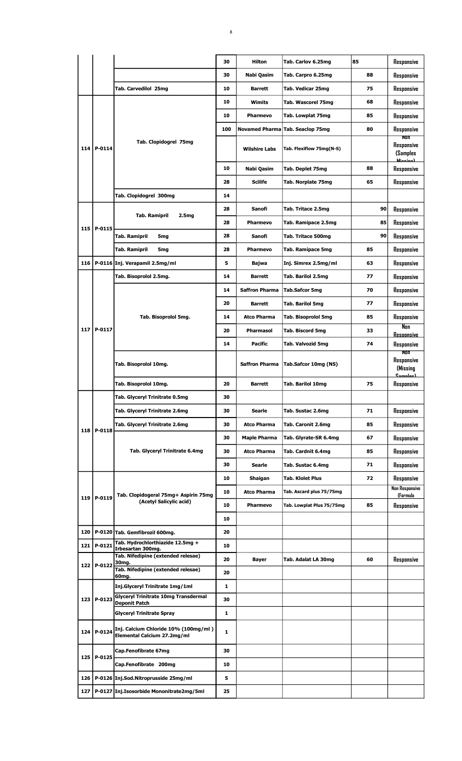|       |              |                                                                                | 30  | Hilton                | Tab. Carlov 6.25mg        | 85 |    | Responsive                                |
|-------|--------------|--------------------------------------------------------------------------------|-----|-----------------------|---------------------------|----|----|-------------------------------------------|
|       |              |                                                                                | 30  | Nabi Qasim            | Tab. Carpro 6.25mg        | 88 |    | Responsive                                |
|       |              | Tab. Carvedilol 25mg                                                           | 10  | <b>Barrett</b>        | Tab. Vedicar 25mg         | 75 |    | Responsive                                |
|       |              |                                                                                | 10  | Wimits                | Tab. Wascorel 75mg        | 68 |    | Responsive                                |
|       |              |                                                                                | 10  | <b>Pharmevo</b>       | Tab. Lowplat 75mg         | 85 |    | Responsive                                |
|       |              |                                                                                | 100 | <b>Novamed Pharma</b> | Tab. Seaclop 75mg         | 80 |    | Responsive<br>Non                         |
| 114   | P-0114       | Tab. Clopidogrel 75mg                                                          |     | <b>Wilshire Labs</b>  | Tab. Flexiflow 75mg(N-S)  |    |    | Responsive<br>(Samples<br><b>Minning</b>  |
|       |              |                                                                                | 10  | Nabi Qasim            | Tab. Deplet 75mg          | 88 |    | Responsive                                |
|       |              |                                                                                | 28  | <b>Scilife</b>        | Tab. Norplate 75mg        | 65 |    | Responsive                                |
|       |              | Tab. Clopidogrel 300mg                                                         | 14  |                       |                           |    |    |                                           |
|       |              |                                                                                | 28  | Sanofi                | Tab. Tritace 2.5mg        |    | 90 | Responsive                                |
|       |              | <b>Tab. Ramipril</b><br>2.5mg                                                  | 28  | <b>Pharmevo</b>       | Tab. Ramipace 2.5mg       |    | 85 | Responsive                                |
| 115   | P-0115       | <b>Tab. Ramipril</b><br>5mg                                                    | 28  | Sanofi                | Tab. Tritace 500mg        |    | 90 | Responsive                                |
|       |              | Tab. Ramipril<br>5mg                                                           | 28  | <b>Pharmevo</b>       | Tab. Ramipace 5mg         | 85 |    | Responsive                                |
| 116   |              | P-0116 Inj. Verapamil 2.5mg/ml                                                 | 5   | Bajwa                 | Inj. Simrex 2.5mg/ml      | 63 |    | Responsive                                |
|       |              | Tab. Bisoprolol 2.5mg.                                                         | 14  | <b>Barrett</b>        | Tab. Barilol 2.5mg        | 77 |    | Responsive                                |
|       |              |                                                                                | 14  | <b>Saffron Pharma</b> | Tab.Safcor 5mg            | 70 |    | Responsive                                |
|       |              |                                                                                | 20  | <b>Barrett</b>        | Tab. Barilol 5mg          | 77 |    | Responsive                                |
|       |              | Tab. Bisoprolol 5mg.                                                           | 14  | <b>Atco Pharma</b>    | Tab. Bisoprolol 5mg       | 85 |    | Responsive                                |
| 117   | P-0117       |                                                                                | 20  | <b>Pharmasol</b>      | Tab. Biscord 5mg          | 33 |    | Non                                       |
|       |              |                                                                                | 14  |                       |                           | 74 |    | <b>Resoonsive</b>                         |
|       |              |                                                                                |     | <b>Pacific</b>        | Tab. Valvozid 5mg         |    |    | Responsive<br>Non                         |
|       |              | Tab. Bisoprolol 10mg.                                                          |     | <b>Saffron Pharma</b> | Tab.Safcor 10mg (NS)      |    |    | Responsive<br>(Missing<br><u>Camnlae)</u> |
|       |              | Tab. Bisoprolol 10mg.                                                          | 20  | Barrett               | <b>Tab. Barilol 10mg</b>  | 75 |    | Responsive                                |
|       |              | Tab. Glyceryl Trinitrate 0.5mg                                                 | 30  |                       |                           |    |    |                                           |
|       |              | Tab. Glyceryl Trinitrate 2.6mg                                                 | 30  | Searle                | Tab. Sustac 2.6mg         | 71 |    | Responsive                                |
|       | 118   P-0118 | Tab. Glyceryl Trinitrate 2.6mg                                                 | 30  | <b>Atco Pharma</b>    | Tab. Caronit 2.6mg        | 85 |    | Responsive                                |
|       |              |                                                                                | 30  | <b>Maple Pharma</b>   | Tab. Glyrate-SR 6.4mg     | 67 |    | Responsive                                |
|       |              | Tab. Glyceryl Trinitrate 6.4mg                                                 | 30  | <b>Atco Pharma</b>    | Tab. Cardnit 6.4mg        | 85 |    | Responsive                                |
|       |              |                                                                                | 30  | Searle                | Tab. Sustac 6.4mg         | 71 |    | Responsive                                |
|       |              |                                                                                | 10  | Shaigan               | Tab. Klolet Plus          | 72 |    | Responsive                                |
|       |              |                                                                                | 10  | <b>Atco Pharma</b>    | Tab. Ascard plus 75/75mg  |    |    | Non Responsive                            |
| 119 l | P-0119       | Tab. Clopidogeral 75mg+ Aspirin 75mg<br>(Acetyl Salicylic acid)                | 10  | Pharmevo              | Tab. Lowplat Plus 75/75mg | 85 |    | (Formula<br>Responsive                    |
|       |              |                                                                                | 10  |                       |                           |    |    |                                           |
| 120   |              | P-0120 Tab. Gemfibrozil 600mg.                                                 | 20  |                       |                           |    |    |                                           |
| 121   | P-0121       | Tab. Hydrochlorthiazide 12.5mg +                                               | 10  |                       |                           |    |    |                                           |
|       |              | Irbesartan 300mg.<br>Tab. Nifedipine (extended relesae)                        | 20  |                       |                           | 60 |    |                                           |
| 122   | P-0122       | 30mg.<br>Tab. Nifedipine (extended relesae)                                    |     | Bayer                 | Tab. Adalat LA 30mg       |    |    | Responsive                                |
|       |              | 60mg.                                                                          | 20  |                       |                           |    |    |                                           |
|       |              | Inj.Glyceryl Trinitrate 1mg/1ml<br><b>Glyceryl Trinitrate 10mg Transdermal</b> | 1   |                       |                           |    |    |                                           |
| 123   | P-0123       | <b>Deponit Patch</b>                                                           | 30  |                       |                           |    |    |                                           |
|       |              | <b>Glyceryl Trinitrate Spray</b>                                               | 1   |                       |                           |    |    |                                           |
| 124   | P-0124       | Inj. Calcium Chloride 10% (100mg/ml)<br>Elemental Calcium 27.2mg/ml            | 1   |                       |                           |    |    |                                           |
| 125   | P-0125       | Cap.Fenofibrate 67mg                                                           | 30  |                       |                           |    |    |                                           |
|       |              | Cap.Fenofibrate 200mg                                                          | 10  |                       |                           |    |    |                                           |
| 126   |              | P-0126 Inj.Sod.Nitroprusside 25mg/ml                                           | 5   |                       |                           |    |    |                                           |
| 127   |              | P-0127 Inj.Isosorbide Mononitrate2mg/5ml                                       | 25  |                       |                           |    |    |                                           |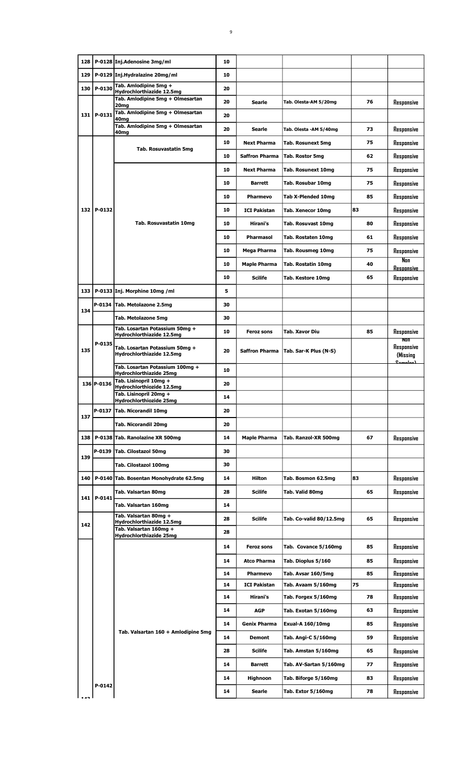| 128 |            | P-0128 Inj.Adenosine 3mg/ml                                 | 10       |                                 |                                          |          |                                   |
|-----|------------|-------------------------------------------------------------|----------|---------------------------------|------------------------------------------|----------|-----------------------------------|
| 129 |            | P-0129 Inj.Hydralazine 20mg/ml                              | 10       |                                 |                                          |          |                                   |
| 130 | P-0130     | Tab. Amlodipine 5mg +<br>Hydrochlorthiazide 12.5mg          | 20       |                                 |                                          |          |                                   |
|     |            | Tab. Amlodipine 5mg + Olmesartan<br>20 <sub>mg</sub>        | 20       | <b>Searle</b>                   | Tab. Olesta-AM 5/20mg                    | 76       | Responsive                        |
|     | 131 P-0131 | Tab. Amlodipine 5mg + Olmesartan                            | 20       |                                 |                                          |          |                                   |
|     |            | 40 <sub>mg</sub><br>Tab. Amlodipine 5mg + Olmesartan        | 20       | Searle                          | Tab. Olesta - AM 5/40mg                  | 73       | Responsive                        |
|     |            | 40mg                                                        | 10       | <b>Next Pharma</b>              | <b>Tab. Rosunext 5mg</b>                 | 75       | Responsive                        |
|     |            | Tab. Rosuvastatin 5mg                                       | 10       | <b>Saffron Pharma</b>           | Tab. Rostor 5mg                          | 62       | Responsive                        |
|     |            |                                                             | 10       | <b>Next Pharma</b>              | <b>Tab. Rosunext 10mg</b>                | 75       | Responsive                        |
|     |            |                                                             | 10       | <b>Barrett</b>                  | Tab. Rosubar 10mg                        | 75       | Responsive                        |
|     |            |                                                             | 10       | Pharmevo                        | Tab X-Plended 10mg                       | 85       |                                   |
|     | 132 P-0132 |                                                             | 10       | <b>ICI Pakistan</b>             |                                          | 83       | Responsive                        |
|     |            |                                                             |          |                                 | Tab. Xenecor 10mg                        |          | Responsive                        |
|     |            | Tab. Rosuvastatin 10mg                                      | 10       | Hirani's                        | <b>Tab. Rosuvast 10mg</b>                | 80       | Responsive                        |
|     |            |                                                             | 10       | Pharmasol                       | Tab. Rostaten 10mg                       | 61       | Responsive                        |
|     |            |                                                             | 10       | Mega Pharma                     | Tab. Rousmeg 10mg                        | 75       | Responsive<br>Nan                 |
|     |            |                                                             | 10       | <b>Maple Pharma</b>             | Tab. Rostatin 10mg                       | 40       | <b>Resoonsive</b>                 |
|     |            |                                                             | 10       | <b>Scilife</b>                  | Tab. Kestore 10mg                        | 65       | Responsive                        |
|     |            | 133   P-0133   Inj. Morphine 10mg / ml                      | 5        |                                 |                                          |          |                                   |
| 134 |            | P-0134 Tab. Metolazone 2.5mg                                | 30       |                                 |                                          |          |                                   |
|     |            | <b>Tab. Metolazone 5mg</b>                                  | 30       |                                 |                                          |          |                                   |
|     |            | Tab. Losartan Potassium 50mg +<br>Hydrochlorthiazide 12.5mg | 10       | <b>Feroz sons</b>               | Tab. Xavor Diu                           | 85       | Responsive<br>NON                 |
| 135 | $P-0135$   | Tab. Losartan Potassium 50mg +<br>Hydrochlorthiazide 12.5mg | 20       | <b>Saffron Pharma</b>           | Tab. Sar-K Plus (N-S)                    |          | Responsive<br>(Missing<br>المسلسك |
|     |            | Tab. Losartan Potassium 100mg +<br>Hydrochlorthiazide 25mg  | 10       |                                 |                                          |          |                                   |
|     | 136 P-0136 | Tab. Lisinopril 10mg +<br>Hydrochlorthiozide 12.5mg         | 20       |                                 |                                          |          |                                   |
|     |            | Tab. Lisinopril 20mg +<br>Hydrochlorthiozide 25mg           | 14       |                                 |                                          |          |                                   |
|     |            | P-0137 Tab. Nicorandil 10mg                                 | 20       |                                 |                                          |          |                                   |
| 137 |            | Tab. Nicorandil 20mg                                        | 20       |                                 |                                          |          |                                   |
|     |            | 138   P-0138   Tab. Ranolazine XR 500mg                     | 14       | <b>Maple Pharma</b>             | Tab. Ranzol-XR 500mg                     | 67       | Responsive                        |
|     |            | P-0139 Tab. Cilostazol 50mg                                 | 30       |                                 |                                          |          |                                   |
| 139 |            | Tab. Cilostazol 100mg                                       | 30       |                                 |                                          |          |                                   |
| 140 |            | P-0140 Tab. Bosentan Monohydrate 62.5mg                     | 14       | Hilton                          | Tab. Bosmon 62.5mg                       | 83       | Responsive                        |
|     |            | Tab. Valsartan 80mg                                         | 28       | <b>Scilife</b>                  | Tab. Valid 80mg                          | 65       | Responsive                        |
|     | 141 P-0141 | Tab. Valsartan 160mg                                        | 14       |                                 |                                          |          |                                   |
|     |            | Tab. Valsartan 80mg +                                       | 28       | <b>Scilife</b>                  | Tab. Co-valid 80/12.5mg                  | 65       | Responsive                        |
| 142 |            | Hydrochlorthiazide 12.5mg<br>Tab. Valsartan 160mg +         | 28       |                                 |                                          |          |                                   |
|     |            | Hydrochlorthiazide 25mg                                     | 14       | <b>Feroz sons</b>               | Tab. Covance 5/160mg                     | 85       | Responsive                        |
|     |            |                                                             | 14       |                                 |                                          |          |                                   |
|     |            |                                                             |          | <b>Atco Pharma</b>              | Tab. Dioplus 5/160                       | 85       | Responsive                        |
|     |            |                                                             | 14<br>14 | Pharmevo<br><b>ICI Pakistan</b> | Tab. Avsar 160/5mg<br>Tab. Avaam 5/160mg | 85<br>75 | Responsive<br>Responsive          |
|     |            |                                                             | 14       | Hirani's                        | Tab. Forgex 5/160mg                      | 78       | Responsive                        |
|     |            |                                                             | 14       | AGP                             | Tab. Exotan 5/160mg                      | 63       | Responsive                        |
|     |            |                                                             | 14       | <b>Genix Pharma</b>             | <b>Exual-A 160/10mg</b>                  | 85       | Responsive                        |
|     |            | Tab. Valsartan 160 + Amlodipine 5mg                         | 14       | <b>Demont</b>                   | Tab. Angi-C 5/160mg                      | 59       | Responsive                        |
|     |            |                                                             | 28       | Scilife                         | Tab. Amstan 5/160mg                      | 65       | Responsive                        |
|     |            |                                                             | 14       | <b>Barrett</b>                  | Tab. AV-Sartan 5/160mg                   | 77       | Responsive                        |
|     |            |                                                             | 14       |                                 |                                          | 83       |                                   |
|     | P-0142     |                                                             |          | <b>Highnoon</b>                 | Tab. Biforge 5/160mg                     |          | Responsive                        |
|     |            |                                                             | 14       | Searle                          | Tab. Extor 5/160mg                       | 78       | Responsive                        |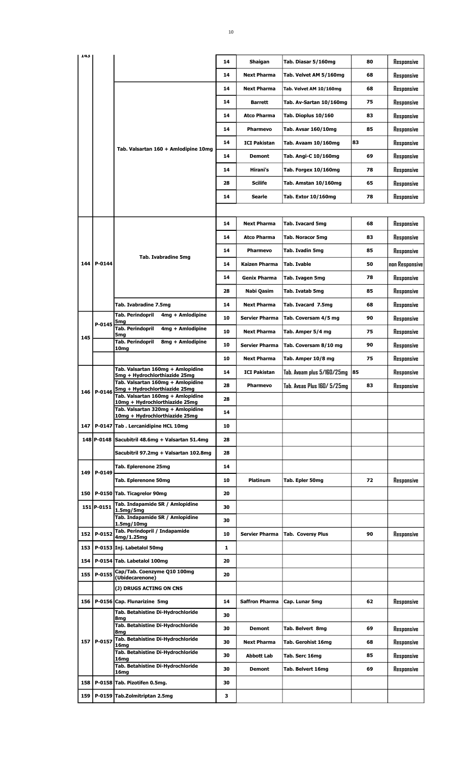| 143 |            |                                                                        | 14 | Shaigan               | Tab. Diasar 5/160mg        | 80 | Responsive     |
|-----|------------|------------------------------------------------------------------------|----|-----------------------|----------------------------|----|----------------|
|     |            |                                                                        | 14 | <b>Next Pharma</b>    | Tab. Velvet AM 5/160mg     | 68 | Responsive     |
|     |            |                                                                        | 14 | <b>Next Pharma</b>    | Tab. Velvet AM 10/160mg    | 68 | Responsive     |
|     |            |                                                                        | 14 | <b>Barrett</b>        | Tab. Av-Sartan 10/160mg    | 75 | Responsive     |
|     |            |                                                                        | 14 | <b>Atco Pharma</b>    | Tab. Dioplus 10/160        | 83 | Responsive     |
|     |            |                                                                        |    |                       |                            |    |                |
|     |            |                                                                        | 14 | Pharmevo              | Tab. Avsar 160/10mg        | 85 | Responsive     |
|     |            | Tab. Valsartan 160 + Amlodipine 10mg                                   | 14 | <b>ICI Pakistan</b>   | Tab. Avaam 10/160mg        | 83 | Responsive     |
|     |            |                                                                        | 14 | <b>Demont</b>         | Tab. Angi-C 10/160mg       | 69 | Responsive     |
|     |            |                                                                        | 14 | Hirani's              | Tab. Forgex 10/160mg       | 78 | Responsive     |
|     |            |                                                                        | 28 | <b>Scilife</b>        | Tab. Amstan 10/160mg       | 65 | Responsive     |
|     |            |                                                                        | 14 | Searle                | Tab. Extor 10/160mg        | 78 | Responsive     |
|     |            |                                                                        |    |                       |                            |    |                |
|     |            |                                                                        | 14 | <b>Next Pharma</b>    | Tab. Ivacard 5mg           | 68 | Responsive     |
|     |            |                                                                        | 14 | <b>Atco Pharma</b>    | <b>Tab. Noracor 5mg</b>    | 83 | Responsive     |
|     |            |                                                                        | 14 | <b>Pharmevo</b>       | Tab. Ivadin 5mg            | 85 | Responsive     |
| 144 | P-0144     | <b>Tab. Ivabradine 5mg</b>                                             | 14 | Kaizen Pharma         | Tab. Ivable                | 50 |                |
|     |            |                                                                        |    |                       |                            |    | non Responsive |
|     |            |                                                                        | 14 | <b>Genix Pharma</b>   | Tab. Ivagen 5mg            | 78 | Responsive     |
|     |            |                                                                        | 28 | Nabi Qasim            | Tab. Ivatab 5mg            | 85 | Responsive     |
|     |            | Tab. Ivabradine 7.5mg                                                  | 14 | <b>Next Pharma</b>    | Tab. Ivacard 7.5mg         | 68 | Responsive     |
|     | P-0145     | <b>Tab. Perindopril</b><br>4mg + Amlodipine<br>5mg                     | 10 | <b>Servier Pharma</b> | Tab. Coversam 4/5 mg       | 90 | Responsive     |
| 145 |            | <b>Tab. Perindopril</b><br>4mg + Amlodipine<br>5mg                     | 10 | <b>Next Pharma</b>    | Tab. Amper 5/4 mg          | 75 | Responsive     |
|     |            | <b>Tab. Perindopril</b><br>8mg + Amlodipine<br>10mg                    | 10 | <b>Servier Pharma</b> | Tab. Coversam 8/10 mg      | 90 | Responsive     |
|     |            |                                                                        | 10 | <b>Next Pharma</b>    | Tab. Amper 10/8 mg         | 75 | Responsive     |
|     |            | Tab. Valsartan 160mg + Amlopidine<br>5mg + Hydrochlorthiazide 25mg     | 14 | <b>ICI Pakistan</b>   | Tab. Avaam plus 5/160/25mg | 85 | Responsive     |
|     |            | Tab. Valsartan 160mg + Amlopidine                                      | 28 | Pharmevo              | Tab. Avsas Plus 160/5/25mg | 83 | Responsive     |
|     | 146 P-0146 | 5mg + Hydrochlorthiazide 25mg<br>Tab. Valsartan 160mg + Amlopidine     | 28 |                       |                            |    |                |
|     |            | 10mg + Hydrochlorthiazide 25mg<br>Tab. Valsartan 320mg + Amlopidine    |    |                       |                            |    |                |
|     |            | 10mg + Hydrochlorthiazide 25mg                                         | 14 |                       |                            |    |                |
|     |            | 147   P-0147 Tab. Lercanidipine HCL 10mg                               | 10 |                       |                            |    |                |
|     |            | 148 P-0148 Sacubitril 48.6mg + Valsartan 51.4mg                        | 28 |                       |                            |    |                |
|     |            | Sacubitril 97.2mg + Valsartan 102.8mg                                  | 28 |                       |                            |    |                |
| 149 | P-0149     | Tab. Eplerenone 25mg                                                   | 14 |                       |                            |    |                |
|     |            | Tab. Eplerenone 50mg                                                   | 10 | Platinum              | Tab. Epler 50mg            | 72 | Responsive     |
| 150 |            | P-0150 Tab. Ticagrelor 90mg                                            | 20 |                       |                            |    |                |
|     | 151 P-0151 | Tab. Indapamide SR / Amlopidine<br>1.5 <sub>mg</sub> /5 <sub>mg</sub>  | 30 |                       |                            |    |                |
|     |            | Tab. Indapamide SR / Amlopidine<br>1.5 <sub>mg</sub> /10 <sub>mg</sub> | 30 |                       |                            |    |                |
| 152 | P-0152     | Tab. Perindopril / Indapamide                                          | 10 | <b>Servier Pharma</b> | <b>Tab. Coversy Plus</b>   | 90 | Responsive     |
| 153 |            | 4mg/1.25mg<br>P-0153 Inj. Labetalol 50mg                               | 1  |                       |                            |    |                |
| 154 |            | P-0154 Tab. Labetalol 100mg                                            | 20 |                       |                            |    |                |
| 155 | P-0155     | Cap/Tab. Coenzyme Q10 100mg                                            | 20 |                       |                            |    |                |
|     |            | (Ubidecarenone)                                                        |    |                       |                            |    |                |
|     |            | (J) DRUGS ACTING ON CNS                                                |    |                       |                            |    |                |
| 156 |            | P-0156 Cap. Flunarizine 5mg<br>Tab. Betahistine Di-Hydrochloride       | 14 | <b>Saffron Pharma</b> | Cap. Lunar 5mg             | 62 | Responsive     |
|     |            | 8mg                                                                    | 30 |                       |                            |    |                |
|     |            | Tab. Betahistine Di-Hydrochloride<br>8mg                               | 30 | Demont                | Tab. Belvert 8mg           | 69 | Responsive     |
|     | 157 P-0157 | Tab. Betahistine Di-Hydrochloride<br>16 <sub>mg</sub>                  | 30 | <b>Next Pharma</b>    | Tab. Gerohist 16mg         | 68 | Responsive     |
|     |            | Tab. Betahistine Di-Hydrochloride<br>16 <sub>mg</sub>                  | 30 | Abbott Lab            | Tab. Serc 16mg             | 85 | Responsive     |
|     |            | Tab. Betahistine Di-Hydrochloride<br>16 <sub>ma</sub>                  | 30 | Demont                | Tab. Belvert 16mg          | 69 | Responsive     |
| 158 |            | P-0158 Tab. Pizotifen 0.5mg.                                           | 30 |                       |                            |    |                |
| 159 |            | P-0159 Tab.Zolmitriptan 2.5mg                                          | з  |                       |                            |    |                |
|     |            |                                                                        |    |                       |                            |    |                |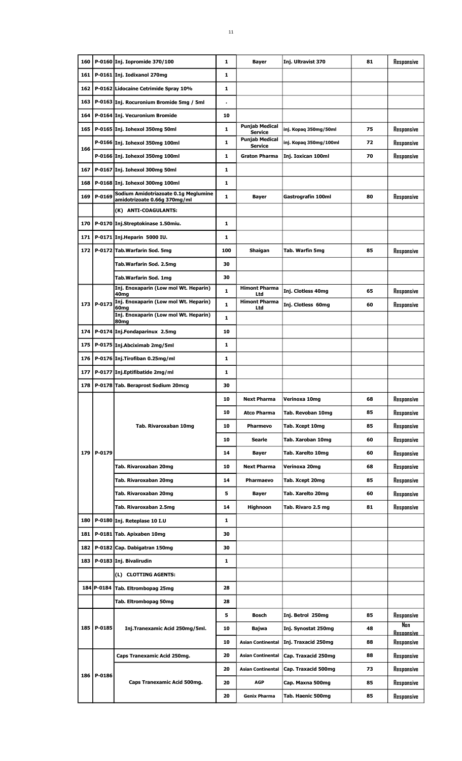| 160 |              | P-0160 Inj. Iopromide 370/100                                        | 1            | <b>Bayer</b>                            | Inj. Ultravist 370     | 81 | Responsive                           |
|-----|--------------|----------------------------------------------------------------------|--------------|-----------------------------------------|------------------------|----|--------------------------------------|
| 161 |              | P-0161 Inj. Iodixanol 270mg                                          | 1            |                                         |                        |    |                                      |
| 162 |              | P-0162 Lidocaine Cetrimide Spray 10%                                 | 1            |                                         |                        |    |                                      |
| 163 |              | P-0163 Inj. Rocuronium Bromide 5mg / 5ml                             |              |                                         |                        |    |                                      |
| 164 |              | P-0164 Inj. Vecuronium Bromide                                       | 10           |                                         |                        |    |                                      |
| 165 |              | P-0165 Inj. Iohexol 350mg 50ml                                       | 1            | <b>Punjab Medical</b><br><b>Service</b> | inj. Kopaq 350mg/50ml  | 75 | Responsive                           |
|     |              | P-0166 Inj. Iohexol 350mg 100ml                                      | 1            | <b>Punjab Medical</b><br><b>Service</b> | inj. Kopaq 350mg/100ml | 72 | Responsive                           |
| 166 |              | P-0166 Inj. Iohexol 350mg 100ml                                      | 1            | <b>Graton Pharma</b>                    | Inj. Ioxican 100ml     | 70 | Responsive                           |
| 167 |              | P-0167 Inj. Iohexol 300mg 50ml                                       | $\mathbf{1}$ |                                         |                        |    |                                      |
| 168 |              | P-0168 Inj. Iohexol 300mg 100ml                                      | $\mathbf{1}$ |                                         |                        |    |                                      |
| 169 | P-0169       | Sodium Amidotriazoate 0.1g Meglumine<br>amidotrizoate 0.66g 370mg/ml | $\mathbf{1}$ | <b>Bayer</b>                            | Gastrografin 100ml     | 80 | Responsive                           |
|     |              | (K) ANTI-COAGULANTS:                                                 |              |                                         |                        |    |                                      |
| 170 |              | P-0170 Inj.Streptokinase 1.50miu.                                    | 1            |                                         |                        |    |                                      |
| 171 |              | P-0171 Inj.Heparin 5000 IU.                                          | 1            |                                         |                        |    |                                      |
| 172 |              | P-0172 Tab.Warfarin Sod. 5mg                                         | 100          | Shaigan                                 | Tab. Warfin 5mg        | 85 | Responsive                           |
|     |              | Tab.Warfarin Sod. 2.5mg                                              | 30           |                                         |                        |    |                                      |
|     |              | Tab.Warfarin Sod. 1mg                                                | 30           |                                         |                        |    |                                      |
|     |              | Inj. Enoxaparin (Low mol Wt. Heparin)<br>40 <sub>mg</sub>            | $\mathbf{1}$ | <b>Himont Pharma</b><br>Ltd             | Inj. Clotless 40mg     | 65 | Responsive                           |
|     |              | 173 P-0173 Inj. Enoxaparin (Low mol Wt. Heparin)<br>60 <sub>mg</sub> | $\mathbf{1}$ | <b>Himont Pharma</b><br>Ltd             | Inj. Clotless 60mg     | 60 | Responsive                           |
|     |              | Inj. Enoxaparin (Low mol Wt. Heparin)<br>80 <sub>mg</sub>            | $\mathbf{1}$ |                                         |                        |    |                                      |
| 174 |              | P-0174 Inj.Fondaparinux 2.5mg                                        | 10           |                                         |                        |    |                                      |
| 175 |              | P-0175 Inj.Abciximab 2mg/5ml                                         | 1            |                                         |                        |    |                                      |
| 176 |              | P-0176 Inj. Tirofiban 0.25mg/ml                                      | 1            |                                         |                        |    |                                      |
| 177 |              | P-0177 Inj.Eptifibatide 2mg/ml                                       | 1            |                                         |                        |    |                                      |
|     |              | 178   P-0178 Tab. Beraprost Sodium 20mcg                             | 30           |                                         |                        |    |                                      |
|     |              |                                                                      | 10           | <b>Next Pharma</b>                      | Verinoxa 10mg          | 68 | Responsive                           |
|     |              |                                                                      | 10           | Atco Pharma                             | Tab. Revoban 10mg      | 85 | Responsive                           |
|     |              | Tab. Rivaroxaban 10mg                                                | 10           | Pharmevo                                | Tab. Xcept 10mg        | 85 | Responsive                           |
|     |              |                                                                      | 10           | Searle                                  | Tab. Xaroban 10mg      | 60 | Responsive                           |
|     | 179   P-0179 |                                                                      | 14           | <b>Bayer</b>                            | Tab. Xarelto 10mg      | 60 | Responsive                           |
|     |              | Tab. Rivaroxaban 20mg                                                | 10           | Next Pharma                             | Verinoxa 20mg          | 68 | Responsive                           |
|     |              | Tab. Rivaroxaban 20mg                                                | 14           | Pharmaevo                               | Tab. Xcept 20mg        | 85 | Responsive                           |
|     |              | Tab. Rivaroxaban 20mg                                                | 5.           | <b>Bayer</b>                            | Tab. Xarelto 20mg      | 60 | Responsive                           |
|     |              | Tab. Rivaroxaban 2.5mg                                               | 14           | <b>Highnoon</b>                         | Tab. Rivaro 2.5 mg     | 81 | Responsive                           |
| 180 |              | P-0180 Inj. Reteplase 10 I.U                                         | 1            |                                         |                        |    |                                      |
| 181 |              | P-0181 Tab. Apixaben 10mg                                            | 30           |                                         |                        |    |                                      |
| 182 |              | P-0182 Cap. Dabigatran 150mg                                         | 30           |                                         |                        |    |                                      |
| 183 |              | P-0183 Inj. Bivalirudin                                              | $\mathbf{1}$ |                                         |                        |    |                                      |
|     |              | (L) CLOTTING AGENTS:                                                 |              |                                         |                        |    |                                      |
|     |              | 184 P-0184 Tab. Eltrombopag 25mg                                     | 28           |                                         |                        |    |                                      |
|     |              | Tab. Eltrombopag 50mg                                                | 28           |                                         |                        |    |                                      |
|     |              |                                                                      | 5            | <b>Bosch</b>                            | Inj. Betrol 250mg      | 85 | Responsive                           |
|     | 185   P-0185 | Inj.Tranexamic Acid 250mg/5ml.                                       | 10           | Bajwa                                   | Inj. Synostat 250mg    | 48 | N <sub>on</sub><br><b>Resonnsive</b> |
|     |              |                                                                      | 10           | <b>Asian Continental</b>                | Inj. Traxacid 250mg    | 88 | Responsive                           |
|     |              | Caps Tranexamic Acid 250mg.                                          | 20           | <b>Asian Continental</b>                | Cap. Traxacid 250mg    | 88 | Responsive                           |
|     |              |                                                                      |              |                                         |                        | 73 |                                      |
|     |              |                                                                      | 20           | <b>Asian Continental</b>                | Cap. Traxacid 500mg    |    | Responsive                           |
|     | 186   P-0186 | Caps Tranexamic Acid 500mg.                                          | 20           | <b>AGP</b>                              | Cap. Maxna 500mg       | 85 | Responsive                           |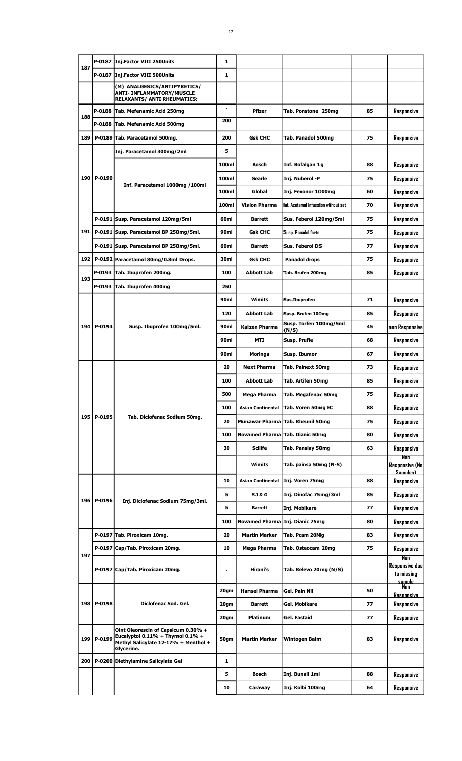| 187 | P-0187       | Inj.Factor VIII 250Units                                                                                                            | 1              |                                 |                                     |    |                                                             |
|-----|--------------|-------------------------------------------------------------------------------------------------------------------------------------|----------------|---------------------------------|-------------------------------------|----|-------------------------------------------------------------|
|     |              | P-0187 Inj.Factor VIII 500Units                                                                                                     | 1              |                                 |                                     |    |                                                             |
|     |              | (M) ANALGESICS/ANTIPYRETICS/<br><b>ANTI- INFLAMMATORY/MUSCLE</b><br><b>RELAXANTS/ ANTI RHEUMATICS:</b>                              |                |                                 |                                     |    |                                                             |
| 188 | P-0188       | Tab. Mefenamic Acid 250mg                                                                                                           | $\blacksquare$ | <b>Pfizer</b>                   | Tab. Ponstone 250mg                 | 85 | Responsive                                                  |
|     |              | P-0188 Tab. Mefenamic Acid 500mg                                                                                                    | 200            |                                 |                                     |    |                                                             |
| 189 |              | P-0189 Tab. Paracetamol 500mg.                                                                                                      | 200            | <b>Gsk CHC</b>                  | Tab. Panadol 500mg                  | 75 | Responsive                                                  |
|     |              | Inj. Paracetamol 300mg/2ml                                                                                                          | 5              |                                 |                                     |    |                                                             |
|     |              |                                                                                                                                     | 100ml          | Bosch                           | Inf. Bofalgan 1g                    | 88 | Responsive                                                  |
|     | 190   P-0190 |                                                                                                                                     | 100ml          | Searle                          | Inj. Nuberol -P                     | 75 | Responsive                                                  |
|     |              | Inf. Paracetamol 1000mg /100ml                                                                                                      | 100ml          | Global                          | Inj. Fevonor 1000mg                 | 60 | Responsive                                                  |
|     |              |                                                                                                                                     | 100ml          | <b>Vision Pharma</b>            | Inf. Acetamol Infussion without set | 70 | Responsive                                                  |
|     |              | P-0191 Susp. Paracetamol 120mg/5ml                                                                                                  | 60ml           | <b>Barrett</b>                  | Sus. Feberol 120mg/5ml              | 75 | Responsive                                                  |
| 191 |              | P-0191 Susp. Paracetamol BP 250mg/5ml.                                                                                              | 90ml           | Gsk CHC                         | Susp. Panadol forte                 | 75 | Responsive                                                  |
|     |              | P-0191 Susp. Paracetamol BP 250mg/5ml.                                                                                              | 60ml           | <b>Barrett</b>                  | Sus. Feberol DS                     | 77 | Responsive                                                  |
|     |              | 192   P-0192   Paracetamol 80mg/0.8ml Drops.                                                                                        | 30ml           | <b>Gsk CHC</b>                  | Panadol drops                       | 75 | Responsive                                                  |
|     |              | P-0193 Tab. Ibuprofen 200mg.                                                                                                        | 100            | <b>Abbott Lab</b>               | Tab. Brufen 200mg                   | 85 | Responsive                                                  |
| 193 |              | P-0193 Tab. Ibuprofen 400mg                                                                                                         | 250            |                                 |                                     |    |                                                             |
|     |              |                                                                                                                                     | 90ml           | Wimits                          | Sus.Ibuprofen                       | 71 | Responsive                                                  |
|     |              |                                                                                                                                     | 120            | <b>Abbott Lab</b>               | Susp. Brufen 100mg                  | 85 | Responsive                                                  |
| 194 | P-0194       | Susp. Ibuprofen 100mg/5ml.                                                                                                          | 90ml           | Kaizen Pharma                   | Susp. Torfen 100mg/5ml<br>(N/S)     | 45 | non Responsive                                              |
|     |              |                                                                                                                                     | 90ml           | MTI                             | Susp. Prufie                        | 68 | Responsive                                                  |
|     |              |                                                                                                                                     | 90ml           | Moringa                         | Susp. Ibumor                        | 67 | Responsive                                                  |
|     |              |                                                                                                                                     | 20             | Next Pharma                     | Tab. Painext 50mg                   | 73 | Responsive                                                  |
|     |              |                                                                                                                                     | 100            | <b>Abbott Lab</b>               | Tab. Artifen 50mg                   | 85 | Responsive                                                  |
|     |              |                                                                                                                                     | 500            | Mega Pharma                     | Tab. Megafenac 50mg                 | 75 | Responsive                                                  |
|     |              |                                                                                                                                     | 100            | <b>Asian Continental</b>        | Tab. Voren 50mg EC                  | 88 | Responsive                                                  |
|     | 195 P-0195   | Tab. Diclofenac Sodium 50mg.                                                                                                        | 20             |                                 | Munawar Pharma Tab. Rheunil 50mg    | 75 | Responsive                                                  |
|     |              |                                                                                                                                     | 100            |                                 | Novamed Pharma Tab. Dianic 50mg     | 80 | Responsive                                                  |
|     |              |                                                                                                                                     | 30             | <b>Scilife</b>                  | Tab. Panslay 50mg                   | 63 | Responsive                                                  |
|     |              |                                                                                                                                     |                | Wimits                          | Tab. painsa 50mg (N-S)              |    | Non<br><b>Responsive (No</b><br><u>Samnlae)</u>             |
|     |              |                                                                                                                                     | 10             | Asian Continental               | Inj. Voren 75mg                     | 88 | Responsive                                                  |
|     | 196   P-0196 | Inj. Diclofenac Sodium 75mg/3ml.                                                                                                    | 5              | <b>S.J &amp; G</b>              | Inj. Dinofac 75mg/3ml               | 85 | Responsive                                                  |
|     |              |                                                                                                                                     | 5              | <b>Barrett</b>                  | Inj. Mobikare                       | 77 | Responsive                                                  |
|     |              |                                                                                                                                     | 100            | Novamed Pharma Inj. Dianic 75mg |                                     | 80 | Responsive                                                  |
|     |              | P-0197 Tab. Piroxicam 10mg.                                                                                                         | 20             | <b>Martin Marker</b>            | Tab. Pcam 20Mg                      | 83 | Responsive                                                  |
| 197 |              | P-0197 Cap/Tab. Piroxicam 20mg.                                                                                                     | 10             | Mega Pharma                     | Tab. Osteocam 20mg                  | 75 | Responsive                                                  |
|     |              | P-0197 Cap/Tab. Piroxicam 20mg.                                                                                                     |                | Hirani's                        | Tab. Relevo 20mg (N/S)              |    | Non<br><b>Responsive due</b><br>to missing<br><u>samnle</u> |
|     |              |                                                                                                                                     | 20gm           | <b>Hansel Pharma</b>            | Gel. Pain Nil                       | 50 | Nan<br><u>Resoonsive</u>                                    |
|     | 198   P-0198 | Diclofenac Sod. Gel.                                                                                                                | 20gm           | <b>Barrett</b>                  | Gel. Mobikare                       | 77 | Responsive                                                  |
|     |              |                                                                                                                                     | 20gm           | <b>Platinum</b>                 | Gel. Fastaid                        | 77 | Responsive                                                  |
| 199 | P-0199       | Oint Oleorescin of Capsicum 0.30% +<br>Eucalyptol $0.11\%$ + Thymol $0.1\%$ +<br>Methyl Salicylate 12-17% + Menthol +<br>Glycerine. | 50gm           | <b>Martin Marker</b>            | Wintogen Balm                       | 83 | Responsive                                                  |
| 200 |              | P-0200 Diethylamine Salicylate Gel                                                                                                  | $\mathbf{1}$   |                                 |                                     |    |                                                             |
|     |              |                                                                                                                                     | 5              | <b>Bosch</b>                    | Inj. Bunail 1ml                     | 88 | Responsive                                                  |
|     |              |                                                                                                                                     | 10             | Caraway                         | Inj. Kolbi 100mg                    | 64 | Responsive                                                  |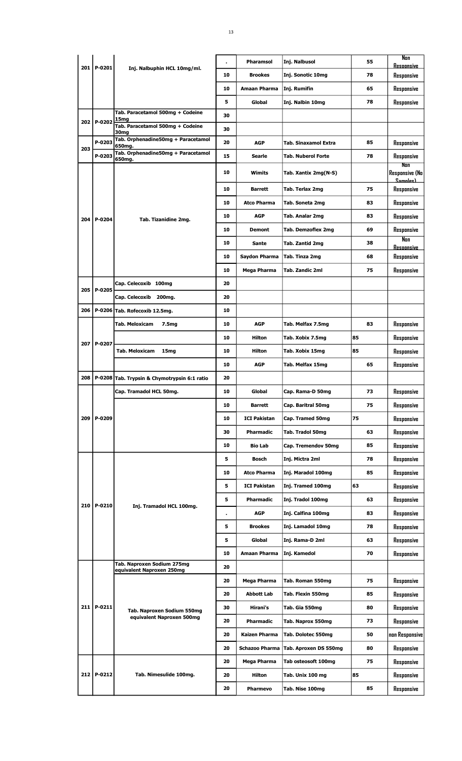|       |              |                                                         |                | <b>Pharamsol</b>      | Inj. Nalbusol               | 55 | Nan                               |
|-------|--------------|---------------------------------------------------------|----------------|-----------------------|-----------------------------|----|-----------------------------------|
|       | 201   P-0201 | Inj. Nalbuphin HCL 10mg/ml.                             | 10             | <b>Brookes</b>        | Inj. Sonotic 10mg           | 78 | Resoonsive<br>Responsive          |
|       |              |                                                         | 10             | Amaan Pharma          | Inj. Rumifin                | 65 | Responsive                        |
|       |              |                                                         | 5              | Global                | Inj. Nalbin 10mg            | 78 | Responsive                        |
|       |              | Tab. Paracetamol 500mg + Codeine                        | 30             |                       |                             |    |                                   |
| 202 l | P-0202       | 15 <sub>mg</sub><br>Tab. Paracetamol 500mg + Codeine    | 30             |                       |                             |    |                                   |
|       | P-0203       | 30 <sub>mg</sub><br>Tab. Orphenadine50mg + Paracetamol  | 20             | <b>AGP</b>            | <b>Tab. Sinaxamol Extra</b> | 85 | Responsive                        |
| 203   | P-0203       | 650mg.<br>Tab. Orphenadine50mg + Paracetamol            | 15             | Searle                | <b>Tab. Nuberol Forte</b>   | 78 | Responsive                        |
|       |              | 650mg.                                                  |                |                       |                             |    | Non                               |
|       |              |                                                         | 10             | Wimits                | Tab. Xantix 2mg(N-S)        |    | <b>Responsive (No</b><br>Samnles) |
|       |              |                                                         | 10             | Barrett               | Tab. Terlax 2mg             | 75 | Responsive                        |
|       |              |                                                         | 10             | <b>Atco Pharma</b>    | Tab. Soneta 2mg             | 83 | Responsive                        |
| 204   | P-0204       | Tab. Tizanidine 2mg.                                    | 10             | <b>AGP</b>            | Tab. Analar 2mg             | 83 | Responsive                        |
|       |              |                                                         | 10             | <b>Demont</b>         | Tab. Demzoflex 2mg          | 69 | Responsive                        |
|       |              |                                                         | 10             | <b>Sante</b>          | Tab. Zantid 2mg             | 38 | Nan<br>Resoonsive                 |
|       |              |                                                         | 10             | Saydon Pharma         | Tab. Tinza 2mg              | 68 | Responsive                        |
|       |              |                                                         | 10             | Mega Pharma           | Tab. Zandic 2ml             | 75 | Responsive                        |
|       |              | Cap. Celecoxib 100mg                                    | 20             |                       |                             |    |                                   |
| 205   | P-0205       | Cap. Celecoxib 200mg.                                   | 20             |                       |                             |    |                                   |
| 206   |              | P-0206 Tab. Rofecoxib 12.5mg.                           | 10             |                       |                             |    |                                   |
|       |              | Tab. Meloxicam<br>7.5mg                                 | 10             | <b>AGP</b>            | Tab. Melfax 7.5mg           | 83 | Responsive                        |
|       |              |                                                         | 10             | Hilton                | Tab. Xobix 7.5mg            | 85 | Responsive                        |
|       | 207   P-0207 | Tab. Meloxicam<br>15mg                                  | 10             | Hilton                | Tab. Xobix 15mg             | 85 | Responsive                        |
|       |              |                                                         | 10             | <b>AGP</b>            | Tab. Melfax 15mg            | 65 | Responsive                        |
| 208   |              | P-0208 Tab. Trypsin & Chymotrypsin 6:1 ratio            | 20             |                       |                             |    |                                   |
|       |              | Cap. Tramadol HCL 50mg.                                 | 10             | Global                | Cap. Rama-D 50mg            | 73 | Responsive                        |
|       |              |                                                         | 10             | <b>Barrett</b>        | Cap. Baritral 50mg          | 75 | Responsive                        |
| 209   | P-0209       |                                                         | 10             | <b>ICI Pakistan</b>   | Cap. Tramed 50mg            | 75 | Responsive                        |
|       |              |                                                         | 30             | Pharmadic             | Tab. Tradol 50mg            | 63 | Responsive                        |
|       |              |                                                         | 10             | <b>Bio Lab</b>        | Cap. Tremendov 50mg         | 85 | Responsive                        |
|       |              |                                                         | 5              | Bosch                 | Inj. Mictra 2ml             | 78 | Responsive                        |
|       |              |                                                         | 10             | <b>Atco Pharma</b>    | Inj. Maradol 100mg          | 85 | Responsive                        |
|       |              |                                                         | 5              | <b>ICI Pakistan</b>   | Inj. Tramed 100mg           | 63 | Responsive                        |
|       |              |                                                         | 5              | Pharmadic             |                             | 63 |                                   |
| 210   | P-0210       | Inj. Tramadol HCL 100mg.                                |                |                       | Inj. Tradol 100mg           |    | Responsive                        |
|       |              |                                                         | $\blacksquare$ | <b>AGP</b>            | Inj. Calfina 100mg          | 83 | Responsive                        |
|       |              |                                                         | 5              | <b>Brookes</b>        | Inj. Lamadol 10mg           | 78 | Responsive                        |
|       |              |                                                         | 5              | Global                | Inj. Rama-D 2ml             | 63 | Responsive                        |
|       |              | Tab. Naproxen Sodium 275mg                              | 10             | Amaan Pharma          | Inj. Kamedol                | 70 | Responsive                        |
|       |              | equivalent Naproxen 250mg                               | 20             |                       |                             |    |                                   |
|       |              |                                                         | 20             | Mega Pharma           | Tab. Roman 550mg            | 75 | Responsive                        |
|       |              |                                                         | 20             | Abbott Lab            | Tab. Flexin 550mg           | 85 | Responsive                        |
|       | 211   P-0211 | Tab. Naproxen Sodium 550mg<br>equivalent Naproxen 500mg | 30             | Hirani's              | Tab. Gia 550mg              | 80 | Responsive                        |
|       |              |                                                         | 20             | Pharmadic             | Tab. Naprox 550mg           | 73 | Responsive                        |
|       |              |                                                         | 20             | <b>Kaizen Pharma</b>  | Tab. Dolotec 550mg          | 50 | non Responsive                    |
|       |              |                                                         | 20             | <b>Schazoo Pharma</b> | Tab. Aproxen DS 550mg       | 80 | Responsive                        |
|       |              |                                                         | 20             | Mega Pharma           | Tab osteosoft 100mg         | 75 | Responsive                        |
|       | 212 P-0212   | Tab. Nimesulide 100mg.                                  | 20             | Hilton                | Tab. Unix 100 mg            | 85 | Responsive                        |
|       |              |                                                         | 20             | Pharmevo              | Tab. Nise 100mg             | 85 | Responsive                        |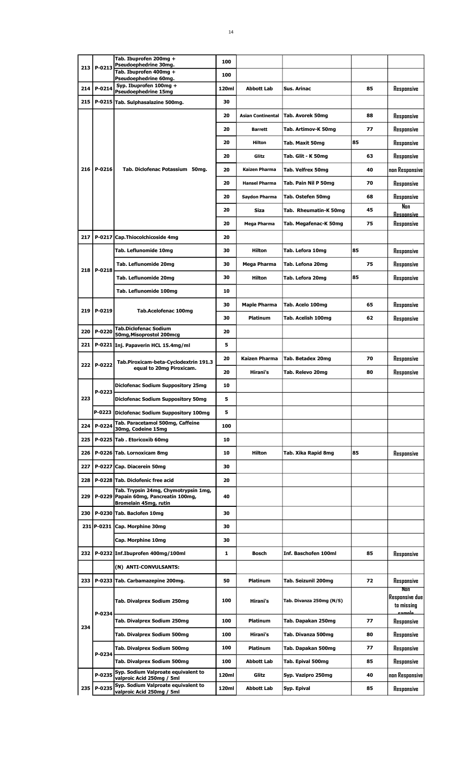|     |              | Tab. Ibuprofen 200mg +                                                                                 | 100   |                      |                          |    |                                                       |
|-----|--------------|--------------------------------------------------------------------------------------------------------|-------|----------------------|--------------------------|----|-------------------------------------------------------|
| 213 | P-0213       | Pseudoephedrine 30mg.<br>Tab. Ibuprofen 400mg +                                                        |       |                      |                          |    |                                                       |
|     |              | Pseudoephedrine 60mg.                                                                                  | 100   |                      |                          |    |                                                       |
| 214 | P-0214       | Syp. Ibuprofen 100mg +<br><b>Pseudoephedrine 15mg</b>                                                  | 120ml | <b>Abbott Lab</b>    | <b>Sus. Arinac</b>       | 85 | Responsive                                            |
| 215 |              | P-0215 Tab. Sulphasalazine 500mg.                                                                      | 30    |                      |                          |    |                                                       |
|     |              |                                                                                                        | 20    | Asian Continental    | Tab. Avorek 50mg         | 88 | Responsive                                            |
|     |              |                                                                                                        | 20    | <b>Barrett</b>       | Tab. Artimov-K 50mg      | 77 | Responsive                                            |
|     |              |                                                                                                        | 20    | Hilton               | Tab. Maxit 50mg          | 85 | Responsive                                            |
|     |              |                                                                                                        | 20    | Glitz                | Tab. Glit - K 50mg       | 63 | Responsive                                            |
|     | 216   P-0216 | Tab. Diclofenac Potassium 50mg.                                                                        | 20    | Kaizen Pharma        | Tab. Velfrex 50mg        | 40 | non Responsive                                        |
|     |              |                                                                                                        | 20    | <b>Hansel Pharma</b> | Tab. Pain Nil P 50mg     | 70 | Responsive                                            |
|     |              |                                                                                                        | 20    | Saydon Pharma        | Tab. Ostefen 50mg        | 68 | Responsive                                            |
|     |              |                                                                                                        | 20    | Siza                 | Tab. Rheumatin-K 50mg    | 45 | N <sub>on</sub><br><b>Resoonsive</b>                  |
|     |              |                                                                                                        | 20    | Mega Pharma          | Tab. Megafenac-K 50mg    | 75 | Responsive                                            |
| 217 | $P-0217$     | Cap.Thiocolchicoside 4mg                                                                               | 20    |                      |                          |    |                                                       |
|     |              | Tab. Leflunomide 10mg                                                                                  | 30    | <b>Hilton</b>        | Tab. Lefora 10mg         | 85 | Responsive                                            |
|     | 218   P-0218 | Tab. Leflunomide 20mg                                                                                  | 30    | Mega Pharma          | Tab. Lefona 20mg         | 75 | Responsive                                            |
|     |              | Tab. Leflunomide 20mg                                                                                  | 30    | <b>Hilton</b>        | Tab. Lefora 20mg         | 85 | Responsive                                            |
|     |              | Tab. Leflunomide 100mg                                                                                 | 10    |                      |                          |    |                                                       |
| 219 | P-0219       | <b>Tab.Acelofenac 100mg</b>                                                                            | 30    | Maple Pharma         | Tab. Acelo 100mg         | 65 | Responsive                                            |
|     |              |                                                                                                        | 30    | <b>Platinum</b>      | Tab. Acelish 100mg       | 62 | Responsive                                            |
| 220 | P-0220       | <b>Tab.Diclofenac Sodium</b><br>50mg, Misoprostol 200mcg                                               | 20    |                      |                          |    |                                                       |
| 221 |              | P-0221 Inj. Papaverin HCL 15.4mg/ml                                                                    | 5     |                      |                          |    |                                                       |
|     | 222 P-0222   | Tab.Piroxicam-beta-Cyclodextrin 191.3                                                                  | 20    | Kaizen Pharma        | Tab. Betadex 20mg        | 70 | Responsive                                            |
|     |              | equal to 20mg Piroxicam.                                                                               | 20    | Hirani's             | Tab. Relevo 20mg         | 80 | Responsive                                            |
|     | P-0223       | <b>Diclofenac Sodium Suppository 25mg</b>                                                              | 10    |                      |                          |    |                                                       |
| 223 |              | <b>Diclofenac Sodium Suppository 50mg</b>                                                              | 5     |                      |                          |    |                                                       |
|     |              | P-0223 Diclofenac Sodium Suppository 100mg                                                             | 5     |                      |                          |    |                                                       |
| 224 | P-0224       | Tab. Paracetamol 500mg, Caffeine<br>30mg, Codeine 15mg                                                 | 100   |                      |                          |    |                                                       |
| 225 |              | P-0225 Tab. Etoricoxib 60mg                                                                            | 10    |                      |                          |    |                                                       |
| 226 |              | P-0226 Tab. Lornoxicam 8mg                                                                             | 10    | <b>Hilton</b>        | Tab. Xika Rapid 8mg      | 85 | Responsive                                            |
| 227 |              | P-0227 Cap. Diacerein 50mg                                                                             | 30    |                      |                          |    |                                                       |
| 228 |              | P-0228 Tab. Diclofenic free acid                                                                       | 20    |                      |                          |    |                                                       |
| 229 |              | Tab. Trypsin 24mg, Chymotrypsin 1mg,<br>P-0229 Papain 60mg, Pancreatin 100mg,<br>Bromelain 45mg, rutin | 40    |                      |                          |    |                                                       |
| 230 |              | P-0230 Tab. Baclofen 10mg                                                                              | 30    |                      |                          |    |                                                       |
|     |              | 231 P-0231 Cap. Morphine 30mg                                                                          | 30    |                      |                          |    |                                                       |
|     |              | Cap. Morphine 10mg                                                                                     | 30    |                      |                          |    |                                                       |
|     |              | 232   P-0232   Inf. Ibuprofen 400mg/100ml                                                              | 1     | <b>Bosch</b>         | Inf. Baschofen 100ml     | 85 | Responsive                                            |
|     |              | (N) ANTI-CONVULSANTS:                                                                                  |       |                      |                          |    |                                                       |
|     |              | 233   P-0233 Tab. Carbamazepine 200mg.                                                                 | 50    | Platinum             | Tab. Seizunil 200mg      | 72 | Responsive                                            |
|     | P-0234       | Tab. Divalprex Sodium 250mg                                                                            | 100   | Hirani's             | Tab. Divanza 250mg (N/S) |    | Non<br>Responsive due<br>to missinq<br><u>oomnlo </u> |
| 234 |              | Tab. Divalprex Sodium 250mg                                                                            | 100   | <b>Platinum</b>      | Tab. Dapakan 250mg       | 77 | Responsive                                            |
|     |              | Tab. Divalprex Sodium 500mg                                                                            | 100   | Hirani's             | Tab. Divanza 500mg       | 80 | Responsive                                            |
|     | P-0234       | Tab. Divalprex Sodium 500mg                                                                            | 100   | <b>Platinum</b>      | Tab. Dapakan 500mg       | 77 | Responsive                                            |
|     |              | Tab. Divalprex Sodium 500mg                                                                            | 100   | Abbott Lab           | Tab. Epival 500mg        | 85 | Responsive                                            |
|     | P-0235       | Syp. Sodium Valproate equivalent to<br>valproic Acid 250mg / 5ml                                       | 120ml | Glitz                | Syp. Vazipro 250mg       | 40 | non Responsive                                        |
|     | 235   P-0235 | Syp. Sodium Valproate equivalent to<br>valproic Acid 250mg / 5ml                                       | 120ml | <b>Abbott Lab</b>    | Syp. Epival              | 85 | Responsive                                            |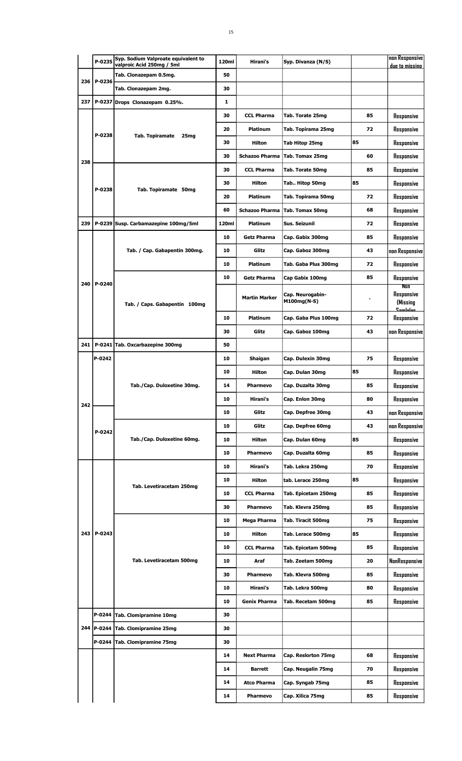|     | P-0235       | Syp. Sodium Valproate equivalent to<br>valproic Acid 250mg / 5ml | 120ml    | Hirani's              | Syp. Divanza (N/S)              |          | non Responsive<br>due to missino |
|-----|--------------|------------------------------------------------------------------|----------|-----------------------|---------------------------------|----------|----------------------------------|
|     |              | Tab. Clonazepam 0.5mg.                                           | 50       |                       |                                 |          |                                  |
| 236 | P-0236       | Tab. Clonazepam 2mg.                                             | 30       |                       |                                 |          |                                  |
| 237 |              | P-0237 Drops Clonazepam 0.25%.                                   | 1        |                       |                                 |          |                                  |
|     |              |                                                                  | 30       | <b>CCL Pharma</b>     | Tab. Torate 25mg                | 85       | Responsive                       |
|     |              |                                                                  | 20       | <b>Platinum</b>       | Tab. Topirama 25mg              | 72       | Responsive                       |
|     | P-0238       | <b>Tab. Topiramate</b><br>25mg                                   | 30       | Hilton                | Tab Hitop 25mg                  | 85       | Responsive                       |
|     |              |                                                                  | 30       | <b>Schazoo Pharma</b> | Tab. Tomax 25mg                 | 60       | Responsive                       |
| 238 |              |                                                                  | 30       | <b>CCL Pharma</b>     | Tab. Torate 50mg                | 85       | Responsive                       |
|     |              |                                                                  | 30       | <b>Hilton</b>         | Tab Hitop 50mg                  | 85       | Responsive                       |
|     | P-0238       | Tab. Topiramate 50mg                                             | 20       | Platinum              | Tab. Topirama 50mg              | 72       | Responsive                       |
|     |              |                                                                  | 60       | <b>Schazoo Pharma</b> | <b>Tab. Tomax 50mg</b>          | 68       | Responsive                       |
| 239 |              | P-0239 Susp. Carbamazepine 100mg/5ml                             | 120ml    | Platinum              | Sus. Seizunil                   | 72       | Responsive                       |
|     |              |                                                                  | 10       | <b>Getz Pharma</b>    | Cap. Gabix 300mg                | 85       | Responsive                       |
|     |              | Tab. / Cap. Gabapentin 300mg.                                    | 10       | Glitz                 | Cap. Gaboz 300mg                | 43       | non Responsive                   |
|     |              |                                                                  | 10       | Platinum              | Tab. Gaba Plus 300mg            | 72       | Responsive                       |
|     |              |                                                                  | 10       | <b>Getz Pharma</b>    | Cap Gabix 100mg                 | 85       | Responsive                       |
| 240 | P-0240       |                                                                  |          |                       |                                 |          | Non                              |
|     |              | Tab. / Caps. Gabapentin 100mg                                    |          | <b>Martin Marker</b>  | Cap. Neurogabin-<br>M100mg(N-S) |          | Responsive<br>(Missing           |
|     |              |                                                                  | 10       | <b>Platinum</b>       | Cap. Gaba Plus 100mg            | 72       | <u>Caminiae</u><br>Responsive    |
|     |              |                                                                  | 30       | Glitz                 | Cap. Gaboz 100mg                | 43       | non Responsive                   |
| 241 |              | P-0241 Tab. Oxcarbazepine 300mg                                  | 50       |                       |                                 |          |                                  |
|     | P-0242       |                                                                  | 10       | Shaigan               | Cap. Dulexin 30mg               | 75       | Responsive                       |
|     |              |                                                                  | 10       | Hilton                |                                 | 85       |                                  |
|     |              | Tab./Cap. Duloxetine 30mg.                                       | 14       |                       | Cap. Dulan 30mg                 | 85       | Responsive                       |
|     |              |                                                                  | 10       | Pharmevo<br>Hirani's  | Cap. Duzalta 30mg               |          | Responsive                       |
| 242 |              |                                                                  |          |                       | Cap. Enlon 30mg                 | 80       | Responsive                       |
|     |              | Tab./Cap. Duloxetine 60mg.                                       | 10<br>10 | Glitz                 | Cap. Depfree 30mg               | 43<br>43 | non Responsive                   |
|     | $P-0242$     |                                                                  |          | Glitz                 | Cap. Depfree 60mg               |          | non Responsive                   |
|     |              |                                                                  | 10       | Hilton                | Cap. Dulan 60mg                 | 85       | Responsive                       |
|     |              |                                                                  | 10       | <b>Pharmevo</b>       | Cap. Duzalta 60mg               | 85       | Responsive                       |
|     |              |                                                                  | 10       | Hirani's              | Tab. Lekra 250mg                | 70       | Responsive                       |
|     |              | Tab. Levetiracetam 250mg                                         | 10       | Hilton                | tab. Lerace 250mg               | 85       | Responsive                       |
|     |              |                                                                  | 10       | <b>CCL Pharma</b>     | Tab. Epicetam 250mg             | 85       | Responsive                       |
|     |              |                                                                  | 30       | <b>Pharmevo</b>       | Tab. Klevra 250mg               | 85       | Responsive                       |
|     |              |                                                                  | 10       | Mega Pharma           | Tab. Tiracit 500mg              | 75       | Responsive                       |
| 243 | P-0243       |                                                                  | 10       | Hilton                | Tab. Lerace 500mg               | 85       | Responsive                       |
|     |              |                                                                  | 10       | <b>CCL Pharma</b>     | Tab. Epicetam 500mg             | 85       | Responsive                       |
|     |              | Tab. Levetiracetam 500mg                                         | 10       | Araf                  | Tab. Zeetam 500mg               | 20       | NonResponsive                    |
|     |              |                                                                  | 30       | <b>Pharmevo</b>       | Tab. Klevra 500mg               | 85       | Responsive                       |
|     |              |                                                                  | 10       | Hirani's              | Tab. Lekra 500mg                | 80       | Responsive                       |
|     |              |                                                                  | 10       | Genix Pharma          | Tab. Recetam 500mg              | 85       | Responsive                       |
|     |              | P-0244 Tab. Clomipramine 10mg                                    | 30       |                       |                                 |          |                                  |
|     | 244   P-0244 | <b>Tab. Clomipramine 25mg</b>                                    | 30       |                       |                                 |          |                                  |
|     |              | P-0244 Tab. Clomipramine 75mg                                    | 30       |                       |                                 |          |                                  |
|     |              |                                                                  | 14       | <b>Next Pharma</b>    | Cap. Reslorton 75mg             | 68       | Responsive                       |
|     |              |                                                                  | 14       | <b>Barrett</b>        | Cap. Neugalin 75mg              | 70       | Responsive                       |
|     |              |                                                                  | 14       | <b>Atco Pharma</b>    | Cap. Syngab 75mg                | 85       | Responsive                       |
|     |              |                                                                  | 14       | <b>Pharmevo</b>       | Cap. Xilica 75mg                | 85       | Responsive                       |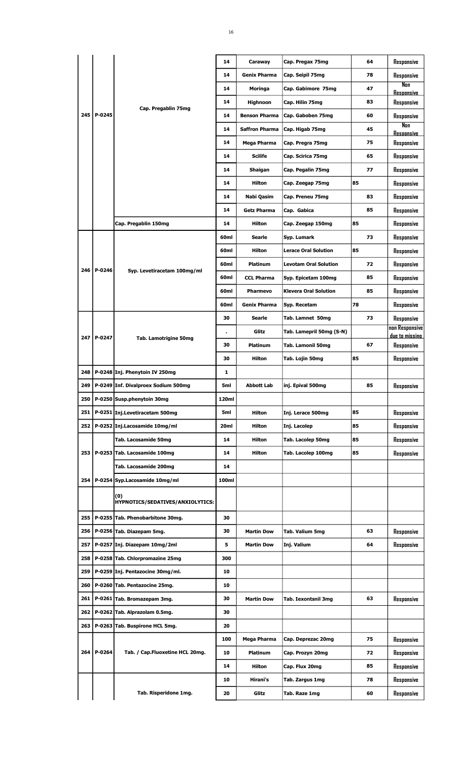|     |        |                                         | 14             | Caraway               | Cap. Pregax 75mg             | 64 | Responsive                       |
|-----|--------|-----------------------------------------|----------------|-----------------------|------------------------------|----|----------------------------------|
|     |        |                                         | 14             | <b>Genix Pharma</b>   | Cap. Seipil 75mg             | 78 | Responsive                       |
|     |        |                                         | 14             | Moringa               | Cap. Gabimore 75mg           | 47 | Nan<br><b>Resoonsive</b>         |
|     |        |                                         | 14             | <b>Highnoon</b>       | Cap. Hilin 75mg              | 83 | Responsive                       |
| 245 | P-0245 | Cap. Pregablin 75mg                     | 14             | <b>Benson Pharma</b>  | Cap. Gaboben 75mg            | 60 | Responsive                       |
|     |        |                                         | 14             | <b>Saffron Pharma</b> | Cap. Higab 75mg              | 45 | Nan                              |
|     |        |                                         | 14             | Mega Pharma           | Cap. Pregra 75mg             | 75 | <b>Resoonsive</b><br>Responsive  |
|     |        |                                         | 14             | <b>Scilife</b>        | Cap. Scirica 75mg            | 65 | Responsive                       |
|     |        |                                         | 14             | Shaigan               | Cap. Pegalin 75mg            | 77 | Responsive                       |
|     |        |                                         | 14             | Hilton                | Cap. Zeegap 75mg             | 85 | Responsive                       |
|     |        |                                         |                |                       |                              | 83 |                                  |
|     |        |                                         | 14             | Nabi Qasim            | Cap. Preneu 75mg             |    | Responsive                       |
|     |        |                                         | 14             | <b>Getz Pharma</b>    | Cap. Gabica                  | 85 | Responsive                       |
|     |        | Cap. Pregablin 150mg                    | 14             | Hilton                | Cap. Zeegap 150mg            | 85 | Responsive                       |
|     |        |                                         | 60ml           | Searle                | Syp. Lumark                  | 73 | Responsive                       |
|     |        |                                         | 60ml           | <b>Hilton</b>         | <b>Lerace Oral Solution</b>  | 85 | Responsive                       |
| 246 | P-0246 | Syp. Levetiracetam 100mg/ml             | 60ml           | Platinum              | <b>Levotam Oral Solution</b> | 72 | Responsive                       |
|     |        |                                         | 60ml           | <b>CCL Pharma</b>     | Syp. Epicetam 100mg          | 85 | Responsive                       |
|     |        |                                         | 60ml           | <b>Pharmevo</b>       | <b>Klevera Oral Solution</b> | 85 | Responsive                       |
|     |        |                                         | 60ml           | <b>Genix Pharma</b>   | Syp. Recetam                 | 78 | Responsive                       |
|     |        |                                         | 30             | <b>Searle</b>         | Tab. Lamnet 50mg             | 73 | Responsive                       |
| 247 | P-0247 |                                         | $\blacksquare$ | Glitz                 | Tab. Lamepril 50mg (S-N)     |    | non Responsive<br>due to missino |
|     |        | Tab. Lamotrigine 50mg                   | 30             | Platinum              | <b>Tab. Lamonil 50mg</b>     | 67 | Responsive                       |
|     |        |                                         | 30             | Hilton                | Tab. Lojin 50mg              | 85 | Responsive                       |
| 248 |        | P-0248 Inj. Phenytoin IV 250mg          | 1              |                       |                              |    |                                  |
| 249 |        | P-0249 Inf. Divalproex Sodium 500mg     | 5ml            | Abbott Lab            | inj. Epival 500mg            | 85 | Responsive                       |
| 250 |        | P-0250 Susp.phenytoin 30mg              | 120ml          |                       |                              |    |                                  |
| 251 |        | P-0251 Inj.Levetiracetam 500mg          | 5ml            | <b>Hilton</b>         | Inj. Lerace 500mg            | 85 | Responsive                       |
| 252 |        | P-0252 Inj.Lacosamide 10mg/ml           | 20ml           | Hilton                | Inj. Lacolep                 | 85 | Responsive                       |
|     |        | Tab. Lacosamide 50mg                    | 14             | Hilton                | Tab. Lacolep 50mg            | 85 | Responsive                       |
| 253 |        | P-0253 Tab. Lacosamide 100mg            | 14             | Hilton                | Tab. Lacolep 100mg           | 85 | Responsive                       |
|     |        | Tab. Lacosamide 200mg                   | 14             |                       |                              |    |                                  |
| 254 |        | P-0254 Syp.Lacosamide 10mg/ml           | 100ml          |                       |                              |    |                                  |
|     |        |                                         |                |                       |                              |    |                                  |
|     |        | (0)<br>HYPNOTICS/SEDATIVES/ANXIOLYTICS: |                |                       |                              |    |                                  |
| 255 |        | P-0255 Tab. Phenobarbitone 30mg.        | 30             |                       |                              |    |                                  |
| 256 |        | P-0256 Tab. Diazepam 5mg.               | 30             | <b>Martin Dow</b>     | Tab. Valium 5mg              | 63 | Responsive                       |
| 257 |        | P-0257 Inj. Diazepam 10mg/2ml           | 5              | <b>Martin Dow</b>     | Inj. Valium                  | 64 | Responsive                       |
| 258 |        | P-0258 Tab. Chlorpromazine 25mg         | 300            |                       |                              |    |                                  |
| 259 |        | P-0259 Inj. Pentazocine 30mg/ml.        | 10             |                       |                              |    |                                  |
| 260 |        | P-0260 Tab. Pentazocine 25mg.           | 10             |                       |                              |    |                                  |
| 261 |        | P-0261 Tab. Bromazepam 3mg.             | 30             | <b>Martin Dow</b>     | Tab. Iexontsnil 3mg          | 63 | Responsive                       |
|     |        |                                         |                |                       |                              |    |                                  |
| 262 |        | P-0262 Tab. Alprazolam 0.5mg.           | 30             |                       |                              |    |                                  |
| 263 |        | P-0263 Tab. Buspirone HCL 5mg.          | 20             |                       |                              |    |                                  |
|     |        |                                         | 100            | Mega Pharma           | Cap. Deprezac 20mg           | 75 | Responsive                       |
| 264 | P-0264 | Tab. / Cap.Fluoxetine HCL 20mg.         | 10             | Platinum              | Cap. Prozyn 20mg             | 72 | Responsive                       |
|     |        |                                         | 14             | Hilton                | Cap. Flux 20mg               | 85 | Responsive                       |
|     |        |                                         | 10             | Hirani's              | Tab. Zargus 1mg              | 78 | Responsive                       |
|     |        | Tab. Risperidone 1mg.                   | 20             | Glitz                 | Tab. Raze 1mg                | 60 | Responsive                       |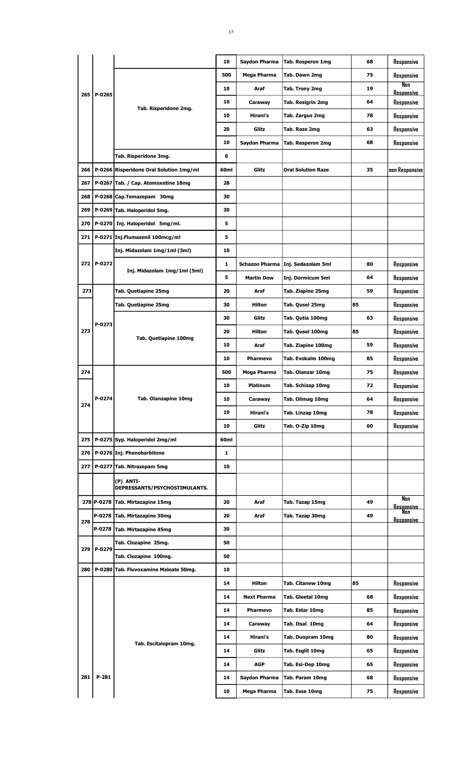|                             | 17               |                      |                                     |    |                                 |
|-----------------------------|------------------|----------------------|-------------------------------------|----|---------------------------------|
|                             |                  |                      |                                     |    |                                 |
|                             | 10               | <b>Saydon Pharma</b> | Tab. Resperon 1mg                   | 68 | Responsive                      |
|                             | 500              | Mega Pharma          | Tab. Dawn 2mg                       | 75 | Responsive                      |
|                             | 10               | Araf                 | Tab. Trony 2mg                      | 19 | <b>Non</b><br><b>Resoonsive</b> |
| Tab. Risperidone 2mg.       | 10               | Caraway              | Tab. Resigrin 2mg                   | 64 | Responsive                      |
|                             | 10               | Hirani's             | Tab. Zargus 2mg                     | 78 | Responsive                      |
|                             | 20               | Glitz                | Tab. Raze 2mg                       | 63 | Responsive                      |
|                             | 10               | Saydon Pharma        | <b>Tab. Resperon 2mg</b>            | 68 | Responsive                      |
| isperidone 3mg.             | 6                |                      |                                     |    |                                 |
| ridone Oral Solution 1mg/ml | 60 <sub>ml</sub> | Glitz                | <b>Oral Solution Raze</b>           | 35 | non Responsiv                   |
| Cap. Atomoxetine 18mg       | 28               |                      |                                     |    |                                 |
| emazepam 30mg               | 30               |                      |                                     |    |                                 |
| laloperidol 5mg.            | 30               |                      |                                     |    |                                 |
| laloperidol 5mg/ml.         | 5                |                      |                                     |    |                                 |
| umazenil 100mcg/ml          | 5                |                      |                                     |    |                                 |
| idazolam 1mg/1ml (3ml)      | 10               |                      |                                     |    |                                 |
|                             | 1                |                      | Schazoo Pharma   Inj. Sedazolam 5ml | 80 | Responsive                      |
| nj. Midazolam 1mg/1ml (5ml) | 5                | <b>Martin Dow</b>    | Inj. Dormicum 5ml                   | 64 | Responsive                      |
| uetiapine 25mg              | 20               | Araf                 | Tab. Ziapine 25mg                   | 59 | Responsive                      |
| uetiapine 25mg              | 30               | <b>Hilton</b>        | Tab. Qusel 25mg                     | 85 | Responsive                      |

265 P-0265

|       |            |                                            | 10   | Saydon Pharma      | <b>Tab. Resperon 2mg</b>            | 68 | Responsive               |
|-------|------------|--------------------------------------------|------|--------------------|-------------------------------------|----|--------------------------|
|       |            | Tab. Risperidone 3mg.                      | 6    |                    |                                     |    |                          |
| 266   |            | P-0266 Risperidone Oral Solution 1mg/ml    | 60ml | Glitz              | <b>Oral Solution Raze</b>           | 35 | non Responsive           |
| 267   |            | P-0267 Tab. / Cap. Atomoxetine 18mg        | 28   |                    |                                     |    |                          |
| 268   |            | P-0268 Cap.Temazepam 30mg                  | 30   |                    |                                     |    |                          |
| 269   |            | P-0269 Tab. Haloperidol 5mg.               | 30   |                    |                                     |    |                          |
| 270   |            | P-0270 Inj. Haloperidol 5mg/ml.            | 5    |                    |                                     |    |                          |
| 271   |            | P-0271 Inj.Flumazenil 100mcg/ml            | 5    |                    |                                     |    |                          |
|       |            | Inj. Midazolam 1mg/1ml (3ml)               | 10   |                    |                                     |    |                          |
|       | 272 P-0272 |                                            | 1    |                    | Schazoo Pharma   Inj. Sedazolam 5ml | 80 | Responsive               |
|       |            | Inj. Midazolam 1mg/1ml (5ml)               | 5    | <b>Martin Dow</b>  | Inj. Dormicum 5ml                   | 64 | Responsive               |
| 273   |            | Tab. Quetiapine 25mg                       | 20   | Araf               | Tab. Ziapine 25mg                   | 59 | Responsive               |
|       |            | Tab. Quetiapine 25mg                       | 30   | Hilton             | Tab. Qusel 25mg                     | 85 | Responsive               |
|       | P-0273     |                                            | 30   | Glitz              | Tab. Qutia 100mg                    | 63 | Responsive               |
| 273   |            |                                            | 20   | <b>Hilton</b>      | Tab. Qusel 100mg                    | 85 | Responsive               |
|       |            | <b>Tab. Quetiapine 100mg</b>               | 10   | Araf               | Tab. Ziapine 100mg                  | 59 | Responsive               |
|       |            |                                            | 10   | <b>Pharmevo</b>    | Tab. Evokalm 100mg                  | 85 | Responsive               |
| 274   |            |                                            | 500  | Mega Pharma        | Tab. Olanzar 10mg                   | 75 | Responsive               |
|       |            |                                            | 10   | Platinum           | Tab. Schizap 10mg                   | 72 | Responsive               |
| 274   | P-0274     | <b>Tab. Olanzapine 10mg</b>                | 10   | Caraway            | Tab. Olimag 10mg                    | 64 | Responsive               |
|       |            |                                            | 10   | Hirani's           | Tab. Linzap 10mg                    | 78 | Responsive               |
|       |            |                                            | 10   | Glitz              | Tab. O-Zip 10mg                     | 60 | Responsive               |
| 275   |            | P-0275 Syp. Haloperidol 2mg/ml             | 60ml |                    |                                     |    |                          |
| 276   |            | P-0276 Inj. Phenobarbitone                 | 1    |                    |                                     |    |                          |
| 277   |            | P-0277 Tab. Nitrazepam 5mg                 | 10   |                    |                                     |    |                          |
|       |            | (P) ANTI-<br>DEPRESSANTS/PSYCHOSTIMULANTS. |      |                    |                                     |    |                          |
|       |            | 278 P-0278 Tab. Mirtazapine 15mg           | 20   | Araf               | Tab. Tazap 15mg                     | 49 | Nan<br><b>Resoonsive</b> |
| 278   | P-0278     | Tab. Mirtazapine 30mg                      | 20   | Araf               | Tab. Tazap 30mg                     | 49 | Non<br><b>Resoonsive</b> |
|       |            | P-0278 Tab. Mirtazapine 45mg               | 30   |                    |                                     |    |                          |
| 279 l | P-0279     | Tab. Clozapine 25mg.                       | 50   |                    |                                     |    |                          |
|       |            | Tab. Clozapine 100mg.                      | 50   |                    |                                     |    |                          |
| 280 l |            | P-0280 Tab. Fluvoxamine Maleate 50mg.      | 10   |                    |                                     |    |                          |
|       |            |                                            | 14   | Hilton             | Tab. Citanew 10mg                   | 85 | Responsive               |
|       |            |                                            | 14   | <b>Next Pharma</b> | Tab. Gleetal 10mg                   | 68 | Responsive               |
|       |            |                                            | 14   | Pharmevo           | Tab. Estar 10mg                     | 85 | Responsive               |
|       |            |                                            | 14   | Caraway            | Tab. Itsal 10mg                     | 64 | Responsive               |
|       |            | Tab. Escitalopram 10mg.                    | 14   | Hirani's           | Tab. Duopram 10mg                   | 80 | Responsive               |
|       |            |                                            | 14   | Glitz              | Tab. Esglit 10mg                    | 65 | Responsive               |
|       |            |                                            | 14   | <b>AGP</b>         | Tab. Esi-Dep 10mg                   | 65 | Responsive               |
| 281   | P-281      |                                            | 14   | Saydon Pharma      | Tab. Param 10mg                     | 68 | Responsive               |
|       |            |                                            | 10   | Mega Pharma        | Tab. Esse 10mg                      | 75 | Responsive               |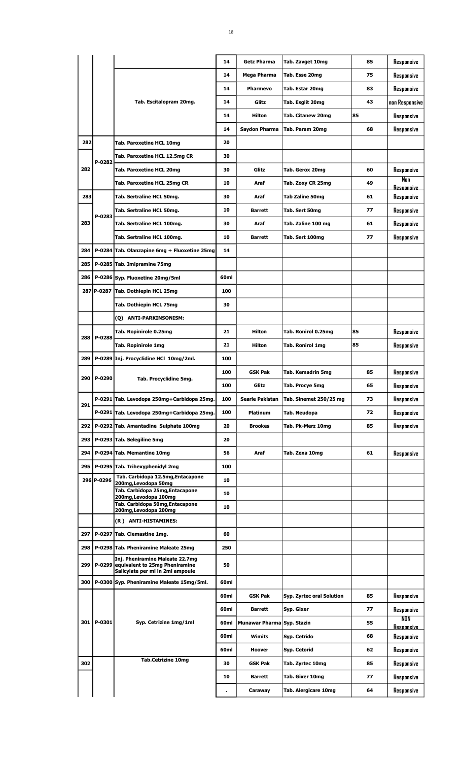|       |            |                                                                                                                    | 14   | <b>Getz Pharma</b>         | Tab. Zavget 10mg            | 85 | Responsive               |
|-------|------------|--------------------------------------------------------------------------------------------------------------------|------|----------------------------|-----------------------------|----|--------------------------|
|       |            |                                                                                                                    | 14   | Mega Pharma                | Tab. Esse 20mg              | 75 | Responsive               |
|       |            |                                                                                                                    | 14   | <b>Pharmevo</b>            | Tab. Estar 20mg             | 83 | Responsive               |
|       |            | Tab. Escitalopram 20mg.                                                                                            | 14   | Glitz                      | Tab. Esglit 20mg            | 43 | non Responsive           |
|       |            |                                                                                                                    | 14   | Hilton                     | Tab. Citanew 20mg           | 85 | Responsive               |
|       |            |                                                                                                                    | 14   | Saydon Pharma              | Tab. Param 20mg             | 68 | Responsive               |
| 282   |            | Tab. Paroxetine HCL 10mg                                                                                           | 20   |                            |                             |    |                          |
|       | P-0282     | Tab. Paroxetine HCL 12.5mg CR                                                                                      | 30   |                            |                             |    |                          |
| 282   |            | Tab. Paroxetine HCL 20mg                                                                                           | 30   | Glitz                      | Tab. Gerox 20mg             | 60 | Responsive               |
|       |            | Tab. Paroxetine HCL 25mg CR                                                                                        | 10   | Araf                       | Tab. Zoxy CR 25mg           | 49 | Non<br>Resoonsive        |
| 283   |            | Tab. Sertraline HCL 50mg.                                                                                          | 30   | Araf                       | <b>Tab Zaline 50mg</b>      | 61 | Responsive               |
|       |            | Tab. Sertraline HCL 50mg.                                                                                          | 10   | <b>Barrett</b>             | Tab. Sert 50mg              | 77 | Responsive               |
| 283   | P-0283     | Tab. Sertraline HCL 100mg.                                                                                         | 30   | Araf                       | Tab. Zaline 100 mg          | 61 | Responsive               |
|       |            | Tab. Sertraline HCL 100mg.                                                                                         | 10   | <b>Barrett</b>             | Tab. Sert 100mg             | 77 | Responsive               |
| 284   |            | P-0284 Tab. Olanzapine 6mg + Fluoxetine 25mg                                                                       | 14   |                            |                             |    |                          |
| 285   |            | P-0285 Tab. Imipramine 75mg                                                                                        |      |                            |                             |    |                          |
|       |            | 286   P-0286   Syp. Fluoxetine 20mg/5ml                                                                            | 60ml |                            |                             |    |                          |
|       |            | 287 P-0287 Tab. Dothiepin HCL 25mg                                                                                 | 100  |                            |                             |    |                          |
|       |            | Tab. Dothiepin HCL 75mg                                                                                            | 30   |                            |                             |    |                          |
|       |            | (Q) ANTI-PARKINSONISM:                                                                                             |      |                            |                             |    |                          |
|       |            | Tab. Ropinirole 0.25mg                                                                                             | 21   | Hilton                     | Tab. Ronirol 0.25mg         | 85 | Responsive               |
| 288   | P-0288     |                                                                                                                    | 21   | Hilton                     |                             | 85 |                          |
|       |            | Tab. Ropinirole 1mg                                                                                                |      |                            | <b>Tab. Ronirol 1mg</b>     |    | Responsive               |
| 289   |            | P-0289 Inj. Procyclidine HCl 10mg/2ml.                                                                             | 100  |                            |                             |    |                          |
| 290   | P-0290     | Tab. Procyclidine 5mg.                                                                                             | 100  | <b>GSK Pak</b>             | Tab. Kemadrin 5mg           | 85 | Responsive               |
|       |            |                                                                                                                    | 100  | Glitz                      | Tab. Procye 5mg             | 65 | Responsive               |
| 291   |            | P-0291 Tab. Levodopa 250mg+Carbidopa 25mg.                                                                         | 100  | Searle Pakistan            | Tab. Sinemet 250/25 mg      | 73 | Responsive               |
|       |            | P-0291 Tab. Levodopa 250mg+Carbidopa 25mg.                                                                         | 100  | <b>Platinum</b>            | Tab. Neudopa                | 72 | Responsive               |
|       |            | 292   P-0292 Tab. Amantadine Sulphate 100mg                                                                        | 20   | <b>Brookes</b>             | Tab. Pk-Merz 10mg           | 85 | Responsive               |
| 293   |            | P-0293 Tab. Selegiline 5mg                                                                                         | 20   |                            |                             |    |                          |
| 294   |            | P-0294 Tab. Memantine 10mg                                                                                         | 56   | Araf                       | Tab. Zexa 10mg              | 61 | Responsive               |
| 295   |            | P-0295 Tab. Trihexyphenidyl 2mg                                                                                    | 100  |                            |                             |    |                          |
|       | 296 P-0296 | Tab. Carbidopa 12.5mg, Entacapone<br>200mg, Levodopa 50mg                                                          | 10   |                            |                             |    |                          |
|       |            | Tab. Carbidopa 25mg, Entacapone<br>200mg, Levodopa 100mg                                                           | 10   |                            |                             |    |                          |
|       |            | Tab. Carbidopa 50mg,Entacapone<br>200mg, Levodopa 200mg                                                            | 10   |                            |                             |    |                          |
|       |            | (R) ANTI-HISTAMINES:                                                                                               |      |                            |                             |    |                          |
| 297   |            | P-0297 Tab. Clemastine 1mg.                                                                                        | 60   |                            |                             |    |                          |
| 298   |            | P-0298 Tab. Pheniramine Maleate 25mg                                                                               | 250  |                            |                             |    |                          |
|       |            | Inj. Pheniramine Maleate 22.7mg<br>299   P-0299 equivalent to 25mg Pheniramine<br>Salicylate per ml in 2ml ampoule | 50   |                            |                             |    |                          |
| 300 l |            | P-0300 Syp. Pheniramine Maleate 15mg/5ml.                                                                          | 60ml |                            |                             |    |                          |
|       |            |                                                                                                                    | 60ml | <b>GSK Pak</b>             | Syp. Zyrtec oral Solution   | 85 | Responsive               |
|       |            |                                                                                                                    | 60ml | <b>Barrett</b>             | Syp. Gixer                  | 77 | Responsive               |
|       | 301 P-0301 | Syp. Cetrizine 1mg/1ml                                                                                             | 60ml | Munawar Pharma Syp. Stazin |                             | 55 | NON<br><u>Resoonsive</u> |
|       |            |                                                                                                                    | 60ml | Wimits                     | Syp. Cetrido                | 68 | Responsive               |
|       |            |                                                                                                                    | 60ml | Hoover                     | Syp. Cetorid                | 62 | Responsive               |
| 302   |            | <b>Tab.Cetrizine 10mg</b>                                                                                          | 30   | GSK Pak                    | Tab. Zyrtec 10mg            | 85 | Responsive               |
|       |            |                                                                                                                    | 10   | <b>Barrett</b>             | Tab. Gixer 10mg             | 77 | Responsive               |
|       |            |                                                                                                                    |      | Caraway                    | <b>Tab. Alergicare 10mg</b> | 64 | Responsive               |
|       |            |                                                                                                                    |      |                            |                             |    |                          |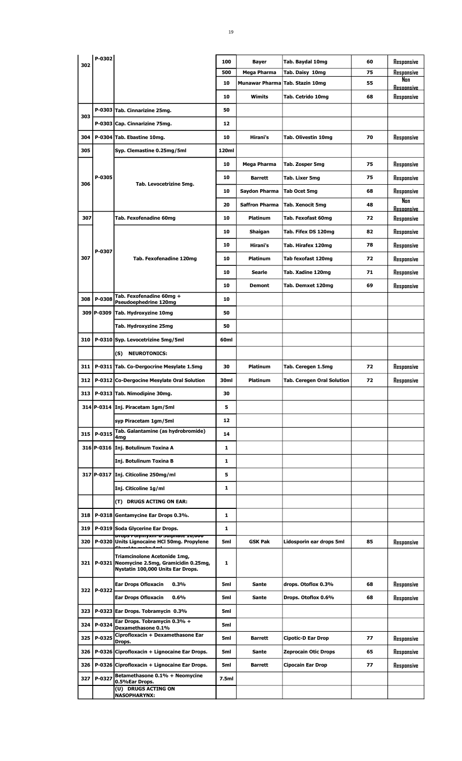|     | P-0302     |                                                                                                                            |            |                             |                                     |          |                                 |
|-----|------------|----------------------------------------------------------------------------------------------------------------------------|------------|-----------------------------|-------------------------------------|----------|---------------------------------|
| 302 |            |                                                                                                                            | 100<br>500 | <b>Bayer</b><br>Mega Pharma | Tab. Baydal 10mg<br>Tab. Daisy 10mg | 60<br>75 | Responsive<br>Responsive        |
|     |            |                                                                                                                            | 10         |                             | Munawar Pharma Tab. Stazin 10mg     | 55       | Nan                             |
|     |            |                                                                                                                            | 10         | Wimits                      | Tab. Cetrido 10mg                   | 68       | <b>Responsive</b><br>Responsive |
|     |            | P-0303 Tab. Cinnarizine 25mg.                                                                                              | 50         |                             |                                     |          |                                 |
| 303 |            | P-0303 Cap. Cinnarizine 75mg.                                                                                              | 12         |                             |                                     |          |                                 |
| 304 |            | P-0304 Tab. Ebastine 10mg.                                                                                                 | 10         | Hirani's                    | Tab. Olivestin 10mg                 | 70       | Responsive                      |
| 305 |            | Syp. Clemastine 0.25mg/5ml                                                                                                 | 120ml      |                             |                                     |          |                                 |
|     |            |                                                                                                                            | 10         | Mega Pharma                 | Tab. Zosper 5mg                     | 75       | Responsive                      |
|     | P-0305     |                                                                                                                            | 10         | <b>Barrett</b>              | Tab. Lixer 5mg                      | 75       | Responsive                      |
| 306 |            | Tab. Levocetrizine 5mg.                                                                                                    | 10         | Saydon Pharma               | Tab Ocet 5mg                        | 68       | Responsive                      |
|     |            |                                                                                                                            | 20         | <b>Saffron Pharma</b>       | <b>Tab. Xenocit 5mg</b>             | 48       | Nan                             |
| 307 |            | Tab. Fexofenadine 60mg                                                                                                     | 10         | <b>Platinum</b>             | Tab. Fexofast 60mg                  | 72       | <b>Resonnsive</b><br>Responsive |
|     |            |                                                                                                                            | 10         |                             |                                     | 82       |                                 |
|     |            |                                                                                                                            |            | Shaigan                     | Tab. Fifex DS 120mg                 | 78       | Responsive                      |
|     | P-0307     |                                                                                                                            | 10         | Hirani's                    | Tab. Hirafex 120mg                  |          | Responsive                      |
| 307 |            | Tab. Fexofenadine 120mg                                                                                                    | 10         | <b>Platinum</b>             | Tab fexofast 120mg                  | 72       | Responsive                      |
|     |            |                                                                                                                            | 10         | <b>Searle</b>               | Tab. Xadine 120mg                   | 71       | Responsive                      |
|     |            | Tab. Fexofenadine 60mg +                                                                                                   | 10         | <b>Demont</b>               | Tab. Demxet 120mg                   | 69       | Responsive                      |
| 308 | P-0308     | Pseudoephedrine 120mg                                                                                                      | 10         |                             |                                     |          |                                 |
|     | 309 P-0309 | Tab. Hydroxyzine 10mg                                                                                                      | 50         |                             |                                     |          |                                 |
|     |            | Tab. Hydroxyzine 25mg                                                                                                      | 50         |                             |                                     |          |                                 |
| 310 |            | P-0310 Syp. Levocetrizine 5mg/5ml                                                                                          | 60ml       |                             |                                     |          |                                 |
|     |            | <b>NEUROTONICS:</b><br>(S)                                                                                                 |            |                             |                                     |          |                                 |
| 311 |            | P-0311 Tab. Co-Dergocrine Mesylate 1.5mg                                                                                   | 30         | <b>Platinum</b>             | Tab. Ceregen 1.5mg                  | 72       | Responsive                      |
| 312 |            | P-0312 Co-Dergocine Mesylate Oral Solution                                                                                 | 30ml       | Platinum                    | <b>Tab. Ceregen Oral Solution</b>   | 72       | Responsive                      |
| 313 |            | P-0313 Tab. Nimodipine 30mg.                                                                                               | 30         |                             |                                     |          |                                 |
|     |            | 314 P-0314 Inj. Piracetam 1gm/5ml                                                                                          | 5          |                             |                                     |          |                                 |
|     |            | syp Piracetam 1gm/5ml                                                                                                      | 12         |                             |                                     |          |                                 |
| 315 | P-0315     | Tab. Galantamine (as hydrobromide)<br>4mg                                                                                  | 14         |                             |                                     |          |                                 |
|     |            | 316 P-0316 Inj. Botulinum Toxina A                                                                                         | 1          |                             |                                     |          |                                 |
|     |            | Inj. Botulinum Toxina B                                                                                                    | 1          |                             |                                     |          |                                 |
|     |            | 317 P-0317 Inj. Citicoline 250mg/ml                                                                                        | 5          |                             |                                     |          |                                 |
|     |            | Inj. Citicoline 1g/ml                                                                                                      | 1          |                             |                                     |          |                                 |
|     |            | (T) DRUGS ACTING ON EAR:                                                                                                   |            |                             |                                     |          |                                 |
| 318 |            | P-0318 Gentamycine Ear Drops 0.3%.                                                                                         | 1          |                             |                                     |          |                                 |
| 319 |            | P-0319 Soda Glycerine Ear Drops.                                                                                           | 1          |                             |                                     |          |                                 |
| 320 |            | <mark>טטט<sub>י</sub>טב <del>Corput פ-May מיו</del>זיוס <del>C</del></mark><br>P-0320 Units Lignocaine HCI 50mg. Propylene | 5ml        | <b>GSK Pak</b>              | Lidosporin ear drops 5ml            | 85       | Responsive                      |
| 321 | P-0321     | Triamcinolone Acetonide 1mg,<br>Neomycine 2.5mg, Gramicidin 0.25mg,<br>Nystatin 100,000 Units Ear Drops.                   | 1          |                             |                                     |          |                                 |
|     |            | <b>Ear Drops Ofloxacin</b><br>0.3%                                                                                         | 5ml        | Sante                       | drops. Otoflox 0.3%                 | 68       | Responsive                      |
| 322 | P-0322     | <b>Ear Drops Ofloxacin</b><br>0.6%                                                                                         | 5ml        | Sante                       | Drops. Otoflox 0.6%                 | 68       | Responsive                      |
| 323 |            | P-0323 Ear Drops. Tobramycin 0.3%                                                                                          | 5ml        |                             |                                     |          |                                 |
| 324 | P-0324     | Ear Drops. Tobramycin 0.3% +<br>Dexamethasone 0.1%                                                                         | 5ml        |                             |                                     |          |                                 |
| 325 | P-0325     | Ciprofloxacin + Dexamethasone Ear                                                                                          | 5ml        | <b>Barrett</b>              | Cipotic-D Ear Drop                  | 77       | Responsive                      |
| 326 |            | Drops.<br>P-0326 Ciprofloxacin + Lignocaine Ear Drops.                                                                     | 5ml        | <b>Sante</b>                | <b>Zeprocain Otic Drops</b>         | 65       | Responsive                      |
| 326 |            | P-0326 Ciprofloxacin + Lignocaine Ear Drops.                                                                               | 5ml        | <b>Barrett</b>              | Cipocain Ear Drop                   | 77       | Responsive                      |
| 327 | P-0327     | Betamethasone 0.1% + Neomycine                                                                                             | 7.5ml      |                             |                                     |          |                                 |
|     |            | 0.5%Ear Drops.<br>(U) DRUGS ACTING ON                                                                                      |            |                             |                                     |          |                                 |
|     |            | <b>NASOPHARYNX:</b>                                                                                                        |            |                             |                                     |          |                                 |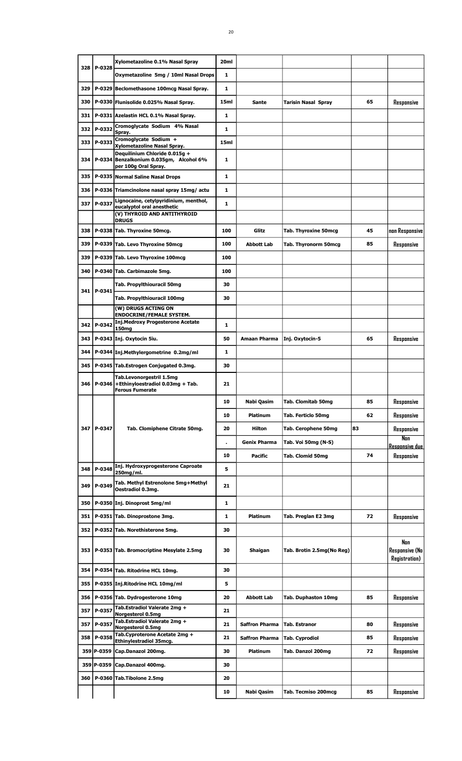| 328   | P-0328     | Xylometazoline 0.1% Nasal Spray                                                                  | 20 <sub>ml</sub> |                       |                           |    |                                                |
|-------|------------|--------------------------------------------------------------------------------------------------|------------------|-----------------------|---------------------------|----|------------------------------------------------|
|       |            | Oxymetazoline 5mg / 10ml Nasal Drops                                                             | 1                |                       |                           |    |                                                |
| 329   |            | P-0329 Beclomethasone 100mcg Nasal Spray.                                                        | $\mathbf{1}$     |                       |                           |    |                                                |
| 330   |            | P-0330 Flunisolide 0.025% Nasal Spray.                                                           | 15ml             | <b>Sante</b>          | Tarisin Nasal Spray       | 65 | Responsive                                     |
| 331   |            | P-0331 Azelastin HCL 0.1% Nasal Spray.                                                           | 1                |                       |                           |    |                                                |
| 332   | P-0332     | Cromoglycate Sodium 4% Nasal<br>Spray.                                                           | 1                |                       |                           |    |                                                |
| 333   | P-0333     | Cromoglycate Sodium +<br>Xylometazoline Nasal Spray.                                             | 15ml             |                       |                           |    |                                                |
| 334   |            | Deauilinium Chloride 0.015a +<br>P-0334 Benzalkonium 0.035gm, Alcohol 6%<br>per 100g Oral Spray. | 1                |                       |                           |    |                                                |
| 335   |            | P-0335 Normal Saline Nasal Drops                                                                 | 1                |                       |                           |    |                                                |
| 336   |            | P-0336 Triamcinolone nasal spray 15mg/ actu                                                      | 1                |                       |                           |    |                                                |
| 337   | P-0337     | Lignocaine, cetylpyridinium, menthol,<br>eucalyptol oral anesthetic                              | 1                |                       |                           |    |                                                |
|       |            | (V) THYROID AND ANTITHYROID<br><b>DRUGS</b>                                                      |                  |                       |                           |    |                                                |
| 338   |            | P-0338 Tab. Thyroxine 50mcg.                                                                     | 100              | Glitz                 | Tab. Thyroxine 50mcg      | 45 | non Responsive                                 |
| 339   |            | P-0339 Tab. Levo Thyroxine 50mcg                                                                 | 100              | <b>Abbott Lab</b>     | Tab. Thyronorm 50mcg      | 85 | Responsive                                     |
| 339   |            | P-0339 Tab. Levo Thyroxine 100mcg                                                                | 100              |                       |                           |    |                                                |
| 340   |            | P-0340 Tab. Carbimazole 5mg.                                                                     | 100              |                       |                           |    |                                                |
|       |            | Tab. Propylthiouracil 50mg                                                                       | 30               |                       |                           |    |                                                |
| 341 I | P-0341     | Tab. Propylthiouracil 100mg                                                                      | 30               |                       |                           |    |                                                |
|       |            | (W) DRUGS ACTING ON                                                                              |                  |                       |                           |    |                                                |
| 342   | P-0342     | <b>ENDOCRINE/FEMALE SYSTEM.</b><br><b>Inj.Medroxy Progesterone Acetate</b>                       | 1                |                       |                           |    |                                                |
|       |            | 150 <sub>mg</sub>                                                                                |                  |                       |                           |    |                                                |
| 343   |            | P-0343 Inj. Oxytocin 5iu.                                                                        | 50               | Amaan Pharma          | Inj. Oxytocin-5           | 65 | Responsive                                     |
| 344   |            | P-0344 Inj.Methylergometrine 0.2mg/ml                                                            | 1                |                       |                           |    |                                                |
| 345   |            | P-0345 Tab.Estrogen Conjugated 0.3mg.                                                            | 30               |                       |                           |    |                                                |
| 346   | P-0346     | Tab.Levonorgestril 1.5mg<br>+Ethinyloestradiol 0.03mg + Tab.<br><b>Ferous Fumerate</b>           | 21               |                       |                           |    |                                                |
|       |            |                                                                                                  | 10               | Nabi Qasim            | Tab. Clomitab 50mg        | 85 | Responsive                                     |
|       |            |                                                                                                  | 10               | <b>Platinum</b>       | Tab. Ferticlo 50mg        | 62 | Responsive                                     |
| 347   | P-0347     | Tab. Clomiphene Citrate 50mg.                                                                    | 20               | Hilton                | Tab. Cerophene 50mg       | 83 | Responsive                                     |
|       |            |                                                                                                  |                  | <b>Genix Pharma</b>   | Tab. Voi 50mg (N-S)       |    | Nan<br><b>Resoonsive due</b>                   |
|       |            |                                                                                                  | 10               | <b>Pacific</b>        | Tab. Clomid 50mg          | 74 | Responsive                                     |
| 348   | P-0348     | Inj. Hydroxyprogesterone Caproate<br>250mg/ml.                                                   | 5                |                       |                           |    |                                                |
| 349   | P-0349     | Tab. Methyl Estrenolone 5mg+Methyl<br>Oestradiol 0.3mg.                                          | 21               |                       |                           |    |                                                |
| 350   |            | P-0350 Inj. Dinoprost 5mg/ml                                                                     | 1                |                       |                           |    |                                                |
| 351   |            | P-0351 Tab. Dinoprostone 3mg.                                                                    | 1                | Platinum              | Tab. Preglan E2 3mg       | 72 | Responsive                                     |
| 352   |            | P-0352 Tab. Norethisterone 5mg.                                                                  | 30               |                       |                           |    |                                                |
| 353   |            | P-0353 Tab. Bromocriptine Mesylate 2.5mg                                                         | 30               | Shaigan               | Tab. Brotin 2.5mg(No Reg) |    | Nan<br>Responsive (No<br><b>Registration</b> ) |
| 354   |            | P-0354 Tab. Ritodrine HCL 10mg.                                                                  | 30               |                       |                           |    |                                                |
| 355   |            | P-0355 Inj.Ritodrine HCL 10mg/ml                                                                 | 5                |                       |                           |    |                                                |
| 356   |            | P-0356 Tab. Dydrogesterone 10mg                                                                  | 20               | <b>Abbott Lab</b>     | Tab. Duphaston 10mg       | 85 | Responsive                                     |
| 357   | P-0357     | Tab.Estradiol Valerate 2mg +<br><b>Norgesterol 0.5mg</b>                                         | 21               |                       |                           |    |                                                |
| 357   | P-0357     | Tab.Estradiol Valerate 2mg +<br>Norgesterol 0.5mg                                                | 21               | <b>Saffron Pharma</b> | Tab. Estranor             | 80 | Responsive                                     |
| 358   | P-0358     | Tab.Cyproterone Acetate 2mg +                                                                    | 21               | <b>Saffron Pharma</b> | Tab. Cyprodiol            | 85 | Responsive                                     |
|       | 359 P-0359 | Ethinylestradiol 35mcg.<br>Cap.Danazol 200mg.                                                    | 30               | <b>Platinum</b>       | Tab. Danzol 200mg         | 72 | Responsive                                     |
|       | 359 P-0359 | Cap.Danazol 400mg.                                                                               | 30               |                       |                           |    |                                                |
| 360   |            | P-0360 Tab.Tibolone 2.5mg                                                                        | 20               |                       |                           |    |                                                |
|       |            |                                                                                                  |                  |                       |                           |    |                                                |
|       |            |                                                                                                  | 10               | Nabi Qasim            | Tab. Tecmiso 200mcg       | 85 | Responsive                                     |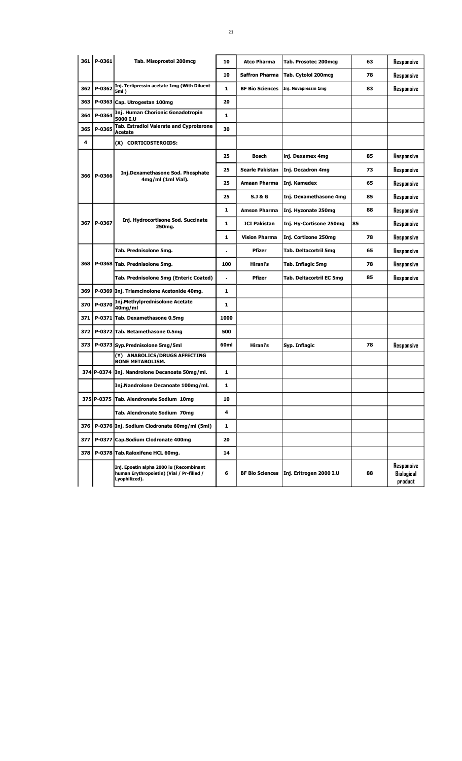|       | 361 P-0361 | Tab. Misoprostol 200mcg                                                                               | 10                   | <b>Atco Pharma</b>     | Tab. Prosotec 200mcg     | 63 | Responsive                          |
|-------|------------|-------------------------------------------------------------------------------------------------------|----------------------|------------------------|--------------------------|----|-------------------------------------|
|       |            |                                                                                                       | 10                   | <b>Saffron Pharma</b>  | Tab. Cytolol 200mcg      | 78 | Responsive                          |
| 362   | P-0362     | Inj. Terlipressin acetate 1mg (With Diluent<br>5ml)                                                   | 1                    | <b>BF Bio Sciences</b> | Inj. Novapressin 1mg     | 83 | Responsive                          |
| 363   |            | P-0363 Cap. Utrogestan 100mg                                                                          | 20                   |                        |                          |    |                                     |
| 364   | P-0364     | Inj. Human Chorionic Gonadotropin<br>5000 I.U                                                         | 1                    |                        |                          |    |                                     |
| 365   | P-0365     | Tab. Estradiol Valerate and Cyproterone<br><b>Acetate</b>                                             | 30                   |                        |                          |    |                                     |
| 4     |            | (X) CORTICOSTEROIDS:                                                                                  |                      |                        |                          |    |                                     |
|       |            |                                                                                                       | 25                   | <b>Bosch</b>           | inj. Dexamex 4mg         | 85 | Responsive                          |
|       |            | Inj.Dexamethasone Sod. Phosphate                                                                      | 25                   | Searle Pakistan        | Inj. Decadron 4mg        | 73 | Responsive                          |
| 366   | l P-0366   | 4mg/ml (1ml Vial).                                                                                    | 25                   | <b>Amaan Pharma</b>    | Inj. Kamedex             | 65 | Responsive                          |
|       |            |                                                                                                       | 25                   | S.J & G                | Inj. Dexamethasone 4mg   | 85 | Responsive                          |
|       |            |                                                                                                       | $\mathbf{1}$         | <b>Amson Pharma</b>    | Inj. Hyzonate 250mg      | 88 | Responsive                          |
| 367 l | P-0367     | Inj. Hydrocortisone Sod. Succinate<br>250mg.                                                          | 1                    | <b>ICI Pakistan</b>    | Inj. Hy-Cortisone 250mg  | 85 | Responsive                          |
|       |            |                                                                                                       | 1                    | <b>Vision Pharma</b>   | Inj. Cortizone 250mg     | 78 | Responsive                          |
|       |            | Tab. Prednisolone 5mg.                                                                                |                      | <b>Pfizer</b>          | Tab. Deltacortril 5mg    | 65 | Responsive                          |
| 368   |            | P-0368 Tab. Prednisolone 5mg.                                                                         | 100                  | Hirani's               | Tab. Inflagic 5mg        | 78 | Responsive                          |
|       |            | Tab. Prednisolone 5mg (Enteric Coated)                                                                | $\ddot{\phantom{0}}$ | <b>Pfizer</b>          | Tab. Deltacortril EC 5mg | 85 | Responsive                          |
| 369   |            | P-0369 Inj. Triamcinolone Acetonide 40mg.                                                             | 1                    |                        |                          |    |                                     |
| 370   | P-0370     | Inj.Methylprednisolone Acetate<br>40mg/ml                                                             | 1                    |                        |                          |    |                                     |
| 371   |            | P-0371 Tab. Dexamethasone 0.5mg                                                                       | 1000                 |                        |                          |    |                                     |
| 372   |            | P-0372 Tab. Betamethasone 0.5mg                                                                       | 500                  |                        |                          |    |                                     |
| 373   |            | P-0373 Syp.Prednisolone 5mg/5ml                                                                       | 60ml                 | Hirani's               | Syp. Inflagic            | 78 | Responsive                          |
|       |            | (Y) ANABOLICS/DRUGS AFFECTING<br><b>BONE METABOLISM.</b>                                              |                      |                        |                          |    |                                     |
|       | 374 P-0374 | Inj. Nandrolone Decanoate 50mg/ml.                                                                    | 1                    |                        |                          |    |                                     |
|       |            | Inj.Nandrolone Decanoate 100mg/ml.                                                                    | 1                    |                        |                          |    |                                     |
|       |            | 375 P-0375 Tab. Alendronate Sodium 10mg                                                               | 10                   |                        |                          |    |                                     |
|       |            | Tab. Alendronate Sodium 70mg                                                                          | 4                    |                        |                          |    |                                     |
| 376   |            | P-0376 Inj. Sodium Clodronate 60mg/ml (5ml)                                                           | 1                    |                        |                          |    |                                     |
| 377   |            | P-0377 Cap.Sodium Clodronate 400mg                                                                    | 20                   |                        |                          |    |                                     |
| 378   |            | P-0378 Tab.Raloxifene HCL 60mg.                                                                       | 14                   |                        |                          |    |                                     |
|       |            | Inj. Epoetin alpha 2000 iu (Recombinant<br>human Erythropoietin) (Vial / Pr-filled /<br>Lyophilized). | 6                    | <b>BF Bio Sciences</b> | Inj. Eritrogen 2000 I.U  | 88 | Responsive<br>Biological<br>product |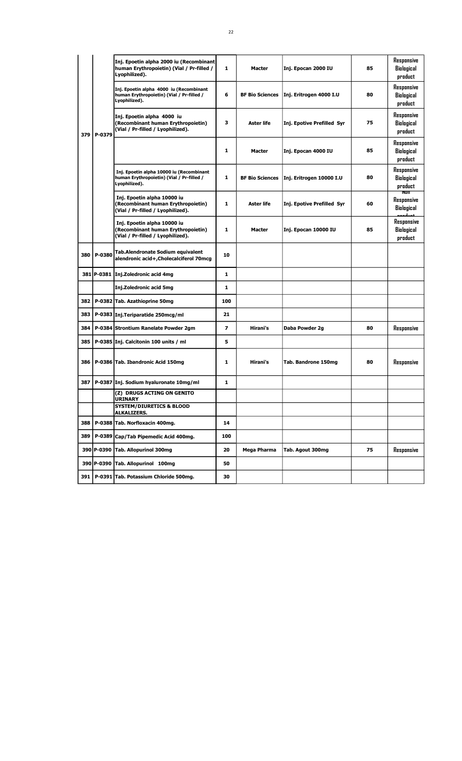|     |        | Inj. Epoetin alpha 2000 iu (Recombinant<br>human Erythropoietin) (Vial / Pr-filled /<br>Lyophilized).  | 1            | Macter                 | Inj. Epocan 2000 IU        | 85 | Responsive<br>Biological<br>product        |
|-----|--------|--------------------------------------------------------------------------------------------------------|--------------|------------------------|----------------------------|----|--------------------------------------------|
|     |        | Inj. Epoetin alpha 4000 iu (Recombinant<br>human Erythropoietin) (Vial / Pr-filled /<br>Lyophilized).  | 6            | <b>BF Bio Sciences</b> | Inj. Eritrogen 4000 I.U    | 80 | Responsive<br>Biological<br>product        |
| 379 | P-0379 | Inj. Epoetin alpha 4000 iu<br>(Recombinant human Erythropoietin)<br>(Vial / Pr-filled / Lyophilized).  | з            | <b>Aster life</b>      | Inj. Epotive Prefilled Syr | 75 | Responsive<br>Biological<br>product        |
|     |        |                                                                                                        | 1            | Macter                 | Inj. Epocan 4000 IU        | 85 | Responsive<br>Biological<br>product        |
|     |        | Inj. Epoetin alpha 10000 iu (Recombinant<br>human Erythropoietin) (Vial / Pr-filled /<br>Lyophilized). | 1            | <b>BF Bio Sciences</b> | Inj. Eritrogen 10000 I.U   | 80 | Responsive<br>Biological<br>product<br>NON |
|     |        | Inj. Epoetin alpha 10000 iu<br>(Recombinant human Erythropoietin)<br>(Vial / Pr-filled / Lyophilized). | $\mathbf{1}$ | <b>Aster life</b>      | Inj. Epotive Prefilled Syr | 60 | Responsive<br>Biological                   |
|     |        | Inj. Epoetin alpha 10000 iu<br>(Recombinant human Erythropoietin)<br>(Vial / Pr-filled / Lyophilized). | 1            | <b>Macter</b>          | Inj. Epocan 10000 IU       | 85 | Responsive<br>Biological<br>product        |
| 380 | P-0380 | Tab.Alendronate Sodium equivalent<br>alendronic acid+, Cholecalciferol 70mcg                           | 10           |                        |                            |    |                                            |
|     |        | 381 P-0381 Inj.Zoledronic acid 4mg                                                                     | 1            |                        |                            |    |                                            |
|     |        | <b>Inj.Zoledronic acid 5mg</b>                                                                         | 1            |                        |                            |    |                                            |
| 382 |        | P-0382 Tab. Azathioprine 50mg                                                                          | 100          |                        |                            |    |                                            |
| 383 |        | P-0383 Inj.Teriparatide 250mcg/ml                                                                      | 21           |                        |                            |    |                                            |
| 384 |        | P-0384 Strontium Ranelate Powder 2gm                                                                   | 7            | Hirani's               | Daba Powder 2g             | 80 | Responsive                                 |
| 385 |        | P-0385 Inj. Calcitonin 100 units / ml                                                                  | 5            |                        |                            |    |                                            |
| 386 |        | P-0386 Tab. Ibandronic Acid 150mg                                                                      | 1            | Hirani's               | Tab. Bandrone 150mg        | 80 | Responsive                                 |
| 387 |        | P-0387 Inj. Sodium hyaluronate 10mg/ml                                                                 | 1            |                        |                            |    |                                            |
|     |        | (Z) DRUGS ACTING ON GENITO<br><b>URINARY</b>                                                           |              |                        |                            |    |                                            |
|     |        | <b>SYSTEM/DIURETICS &amp; BLOOD</b><br><b>ALKALIZERS.</b>                                              |              |                        |                            |    |                                            |
| 388 |        | P-0388 Tab. Norfloxacin 400mg.                                                                         | 14           |                        |                            |    |                                            |
| 389 |        | P-0389 Cap/Tab Pipemedic Acid 400mg.                                                                   | 100          |                        |                            |    |                                            |
|     |        | 390 P-0390 Tab. Allopurinol 300mg                                                                      | 20           | Mega Pharma            | Tab. Agout 300mg           | 75 | Responsive                                 |
|     |        | 390 P-0390 Tab. Allopurinol 100mg                                                                      | 50           |                        |                            |    |                                            |
|     |        | 391   P-0391 Tab. Potassium Chloride 500mg.                                                            | 30           |                        |                            |    |                                            |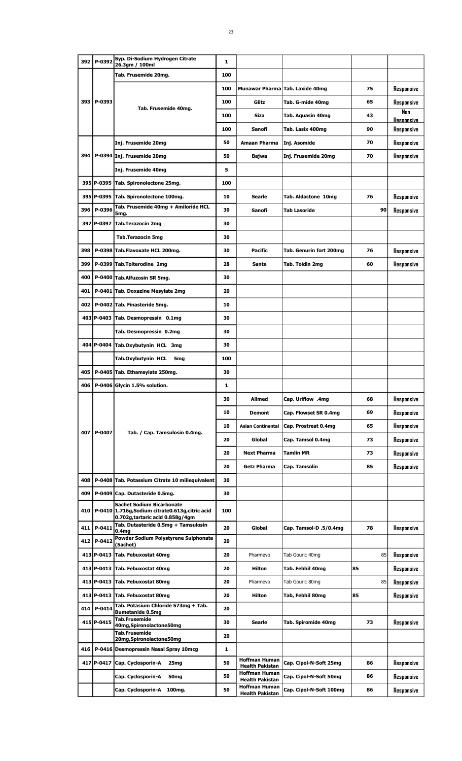|     | 392 P-0392 | Syp. Di-Sodium Hydrogen Citrate<br>26.3gm / 100ml                                                                        | 1   |                                                |                                 |    |                                 |
|-----|------------|--------------------------------------------------------------------------------------------------------------------------|-----|------------------------------------------------|---------------------------------|----|---------------------------------|
|     |            | Tab. Frusemide 20mg.                                                                                                     | 100 |                                                |                                 |    |                                 |
|     |            |                                                                                                                          | 100 |                                                | Munawar Pharma Tab. Laxide 40mg | 75 | Responsive                      |
|     | 393 P-0393 |                                                                                                                          | 100 | Glitz                                          | Tab. G-mide 40mg                | 65 | Responsive                      |
|     |            | Tab. Frusemide 40mg.                                                                                                     | 100 | <b>Siza</b>                                    | Tab. Aquasin 40mg               | 43 | Nan                             |
|     |            |                                                                                                                          | 100 | Sanofi                                         | Tab. Lasix 400mg                | 90 | <b>Resoonsive</b><br>Responsive |
|     |            | Inj. Frusemide 20mg                                                                                                      | 50  | Amaan Pharma                                   | Inj. Asomide                    | 70 | Responsive                      |
|     |            | 394   P-0394   Inj. Frusemide 20mg                                                                                       | 50  | Bajwa                                          | Inj. Frusemide 20mg             | 70 | Responsive                      |
|     |            | Inj. Frusemide 40mg                                                                                                      | 5   |                                                |                                 |    |                                 |
|     |            | 395 P-0395 Tab. Spironolectone 25mg.                                                                                     | 100 |                                                |                                 |    |                                 |
|     |            | 395 P-0395 Tab. Spironolectone 100mg.                                                                                    | 10  | Searle                                         | Tab. Aldactone 10mg             | 76 | Responsive                      |
| 396 | P-0396     | Tab. Frusemide 40mg + Amiloride HCL                                                                                      | 30  | Sanofi                                         | <b>Tab Lasoride</b>             | 90 | Responsive                      |
|     |            | 5mg.<br>397 P-0397 Tab.Terazocin 2mg                                                                                     | 30  |                                                |                                 |    |                                 |
|     |            | <b>Tab.Terazocin 5mg</b>                                                                                                 | 30  |                                                |                                 |    |                                 |
|     |            |                                                                                                                          |     |                                                |                                 |    |                                 |
| 398 |            | P-0398 Tab.Flavoxate HCL 200mg.                                                                                          | 30  | Pacific                                        | Tab. Genurin fort 200mg         | 76 | Responsive                      |
| 399 |            | P-0399 Tab.Tolterodine 2mg                                                                                               | 28  | Sante                                          | Tab. Toldin 2mg                 | 60 | Responsive                      |
| 400 |            | P-0400 Tab.Alfuzosin SR 5mg.                                                                                             | 30  |                                                |                                 |    |                                 |
| 401 |            | P-0401 Tab. Doxazine Mesylate 2mg                                                                                        | 20  |                                                |                                 |    |                                 |
| 402 |            | P-0402 Tab. Finasteride 5mg.                                                                                             | 10  |                                                |                                 |    |                                 |
|     |            | 403 P-0403 Tab. Desmopressin 0.1mg                                                                                       | 30  |                                                |                                 |    |                                 |
|     |            | Tab. Desmopressin 0.2mg                                                                                                  | 30  |                                                |                                 |    |                                 |
|     |            | 404 P-0404 Tab.Oxybutynin HCL 3mg                                                                                        | 30  |                                                |                                 |    |                                 |
|     |            | Tab.Oxybutynin HCL<br>5 <sub>mg</sub>                                                                                    | 100 |                                                |                                 |    |                                 |
| 405 |            | P-0405 Tab. Ethamsylate 250mg.                                                                                           | 30  |                                                |                                 |    |                                 |
| 406 |            | P-0406 Glycin 1.5% solution.                                                                                             | 1   |                                                |                                 |    |                                 |
|     |            |                                                                                                                          | 30  | Allmed                                         | Cap. Uriflow .4mg               | 68 | Responsive                      |
|     |            |                                                                                                                          | 10  | Demont                                         | Cap. Flowset SR 0.4mg           | 69 | Responsive                      |
|     | 407 P-0407 | Tab. / Cap. Tamsulosin 0.4mg.                                                                                            | 10  | <b>Asian Continental</b>                       | Cap. Prostreat 0.4mg            | 65 | Responsive                      |
|     |            |                                                                                                                          | 20  | Global                                         | Cap. Tamsol 0.4mg               | 73 | Responsive                      |
|     |            |                                                                                                                          | 20  | <b>Next Pharma</b>                             | <b>Tamlin MR</b>                | 73 | Responsive                      |
|     |            |                                                                                                                          | 20  | <b>Getz Pharma</b>                             | Cap. Tamsolin                   | 85 | Responsive                      |
| 408 |            | P-0408 Tab. Potassium Citrate 10 miliequivalent                                                                          | 30  |                                                |                                 |    |                                 |
| 409 |            | P-0409 Cap. Dutasteride 0.5mg.                                                                                           | 30  |                                                |                                 |    |                                 |
| 410 |            | <b>Sachet Sodium Bicarbonate</b><br>P-0410 1.716g, Sodium citrate0.613g, citric acid<br>0.702g, tartaric acid 0.858g/4gm | 100 |                                                |                                 |    |                                 |
|     | 411 P-0411 | Tab. Dutasteride 0.5mg + Tamsulosin<br>0.4 <sub>mg</sub>                                                                 | 20  | Global                                         | Cap. Tamsol-D .5/0.4mg          | 78 | Responsive                      |
|     | 412 P-0412 | Powder Sodium Polystyrene Sulphonate<br>(Sachet)                                                                         | 20  |                                                |                                 |    |                                 |
|     |            | 413 P-0413 Tab. Febuxostat 40mg                                                                                          | 20  | Pharmevo                                       | Tab Gouric 40mg                 | 85 | Responsive                      |
|     |            | 413 P-0413 Tab. Febuxostat 40mg                                                                                          | 20  | <b>Hilton</b>                                  | Tab. Febhil 40mg                | 85 | Responsive                      |
|     |            | 413 P-0413 Tab. Febuxostat 80mg                                                                                          | 20  | Pharmevo                                       | Tab Gouric 80mg                 | 85 | Responsive                      |
|     |            | 413 P-0413 Tab. Febuxostat 80mg                                                                                          | 20  | Hilton                                         | Tab, Febhil 80mg                | 85 | Responsive                      |
|     | 414 P-0414 | Tab. Potasium Chloride 573mg + Tab.<br><b>Bumetanide 0.5mg</b>                                                           | 20  |                                                |                                 |    |                                 |
|     | 415 P-0415 | <b>Tab.Frusemide</b><br>40mg, Spironolactone 50mg                                                                        | 30  | Searle                                         | Tab. Spiromide 40mg             | 73 | Responsive                      |
|     |            | <b>Tab.Frusemide</b><br>20mg, Spironolactone 50mg                                                                        | 20  |                                                |                                 |    |                                 |
| 416 |            | P-0416 Desmopressin Nasal Spray 10mcg                                                                                    | 1   |                                                |                                 |    |                                 |
|     |            | 417 P-0417 Cap. Cyclosporin-A<br>25mg                                                                                    | 50  | <b>Hoffman Human</b><br><b>Health Pakistan</b> | Cap. Cipol-N-Soft 25mg          | 86 | Responsive                      |
|     |            | Cap. Cyclosporin-A<br>50 <sub>mg</sub>                                                                                   | 50  | <b>Hoffman Human</b><br><b>Health Pakistan</b> | Cap. Cipol-N-Soft 50mg          | 86 | Responsive                      |
|     |            | Cap. Cyclosporin-A<br>100mg.                                                                                             | 50  | <b>Hoffman Human</b><br><b>Health Pakistan</b> | Cap. Cipol-N-Soft 100mg         | 86 | Responsive                      |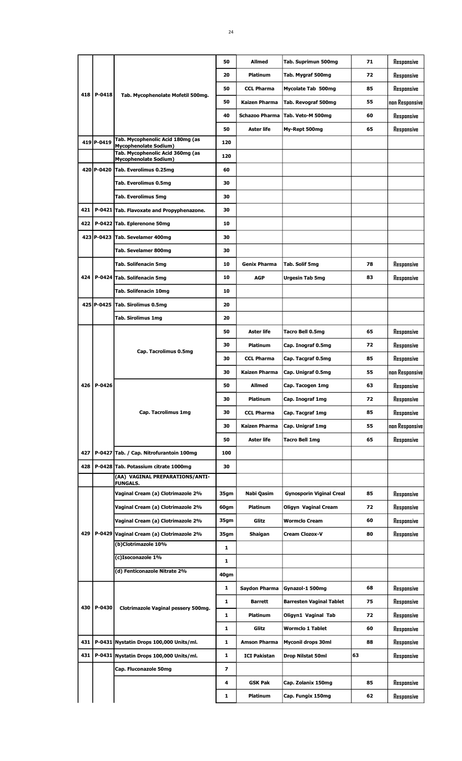| 20<br><b>Platinum</b><br>50<br><b>CCL Pharma</b><br>418<br>P-0418<br>Tab. Mycophenolate Mofetil 500mg.<br>50<br><b>Kaizen Pharma</b><br>40<br><b>Schazoo Pharma</b><br>50<br><b>Aster life</b><br>Tab. Mycophenolic Acid 180mg (as<br>419 P-0419<br>120<br><b>Mycophenolate Sodium)</b> | Tab. Mygraf 500mg<br>72<br>Responsive<br>Responsive<br>Mycolate Tab 500mg<br>85<br>55<br>Tab. Revograf 500mg<br>non Responsive |
|-----------------------------------------------------------------------------------------------------------------------------------------------------------------------------------------------------------------------------------------------------------------------------------------|--------------------------------------------------------------------------------------------------------------------------------|
|                                                                                                                                                                                                                                                                                         |                                                                                                                                |
|                                                                                                                                                                                                                                                                                         |                                                                                                                                |
|                                                                                                                                                                                                                                                                                         |                                                                                                                                |
|                                                                                                                                                                                                                                                                                         | Tab. Veto-M 500mg<br>60<br>Responsive                                                                                          |
|                                                                                                                                                                                                                                                                                         | Responsive<br>My-Rept 500mg<br>65                                                                                              |
|                                                                                                                                                                                                                                                                                         |                                                                                                                                |
| Tab. Mycophenolic Acid 360mg (as<br>120                                                                                                                                                                                                                                                 |                                                                                                                                |
| <b>Mycophenolate Sodium)</b><br>420 P-0420<br>Tab. Everolimus 0.25mg<br>60                                                                                                                                                                                                              |                                                                                                                                |
| Tab. Everolimus 0.5mg<br>30                                                                                                                                                                                                                                                             |                                                                                                                                |
| <b>Tab. Everolimus 5mg</b><br>30                                                                                                                                                                                                                                                        |                                                                                                                                |
| 421<br>P-0421 Tab. Flavoxate and Propyphenazone.<br>30                                                                                                                                                                                                                                  |                                                                                                                                |
| P-0422 Tab. Eplerenone 50mg<br>422<br>10                                                                                                                                                                                                                                                |                                                                                                                                |
| 423 P-0423                                                                                                                                                                                                                                                                              |                                                                                                                                |
| Tab. Sevelamer 400mg<br>30                                                                                                                                                                                                                                                              |                                                                                                                                |
| Tab. Sevelamer 800mg<br>30                                                                                                                                                                                                                                                              |                                                                                                                                |
| <b>Tab. Solifenacin 5mg</b><br>10<br><b>Genix Pharma</b>                                                                                                                                                                                                                                | 78<br>Responsive<br>Tab. Solif 5mg                                                                                             |
| 424<br>P-0424 Tab. Solifenacin 5mg<br>10<br><b>AGP</b>                                                                                                                                                                                                                                  | 83<br><b>Urgesin Tab 5mg</b><br>Responsive                                                                                     |
| Tab. Solifenacin 10mg<br>10                                                                                                                                                                                                                                                             |                                                                                                                                |
| 425 P-0425<br>Tab. Sirolimus 0.5mg<br>20                                                                                                                                                                                                                                                |                                                                                                                                |
| 20<br>Tab. Sirolimus 1mg                                                                                                                                                                                                                                                                |                                                                                                                                |
| <b>Aster life</b><br>50                                                                                                                                                                                                                                                                 | 65<br>Tacro Bell 0.5mg<br>Responsive                                                                                           |
| 30<br><b>Platinum</b><br>Cap. Tacrolimus 0.5mg                                                                                                                                                                                                                                          | 72<br>Responsive<br>Cap. Inograf 0.5mg                                                                                         |
| 30<br><b>CCL Pharma</b>                                                                                                                                                                                                                                                                 | 85<br>Cap. Tacgraf 0.5mg<br>Responsive                                                                                         |
| Kaizen Pharma<br>30                                                                                                                                                                                                                                                                     | 55<br>Cap. Unigraf 0.5mg<br>non Responsive                                                                                     |
| P-0426<br>426<br>50<br><b>Allmed</b>                                                                                                                                                                                                                                                    | Responsive<br>63<br>Cap. Tacogen 1mg                                                                                           |
| 30<br>Platinum                                                                                                                                                                                                                                                                          | 72<br>Cap. Inograf 1mg<br>Responsive                                                                                           |
| Cap. Tacrolimus 1mg<br>30<br><b>CCL Pharma</b>                                                                                                                                                                                                                                          | Cap. Tacgraf 1mg<br>85<br>Responsive                                                                                           |
| 30<br>Kaizen Pharma                                                                                                                                                                                                                                                                     | non Responsive<br>Cap. Unigraf 1mg<br>55                                                                                       |
| 50<br>Aster life                                                                                                                                                                                                                                                                        | 65<br>Responsive<br>Tacro Bell 1mg                                                                                             |
| 427<br>P-0427 Tab. / Cap. Nitrofurantoin 100mg<br>100                                                                                                                                                                                                                                   |                                                                                                                                |
| P-0428 Tab. Potassium citrate 1000mg<br>428<br>30                                                                                                                                                                                                                                       |                                                                                                                                |
| (AA) VAGINAL PREPARATIONS/ANTI-<br><b>FUNGALS.</b>                                                                                                                                                                                                                                      |                                                                                                                                |
| Vaginal Cream (a) Clotrimazole 2%<br>35gm<br>Nabi Qasim                                                                                                                                                                                                                                 | <b>Gynosporin Viginal Creal</b><br>85<br>Responsive                                                                            |
| Vaginal Cream (a) Clotrimazole 2%<br>60gm<br><b>Platinum</b>                                                                                                                                                                                                                            | 72<br>Responsive<br>Oligyn Vaginal Cream                                                                                       |
| Vaginal Cream (a) Clotrimazole 2%<br>35gm<br>Glitz                                                                                                                                                                                                                                      | 60<br><b>Wormclo Cream</b><br>Responsive                                                                                       |
| 429<br>P-0429 Vaginal Cream (a) Clotrimazole 2%<br>35gm<br>Shaigan                                                                                                                                                                                                                      | Cream Clozox-V<br>80<br>Responsive                                                                                             |
| (b)Clotrimazole 10%<br>1                                                                                                                                                                                                                                                                |                                                                                                                                |
| (c)Isoconazole 1%<br>1                                                                                                                                                                                                                                                                  |                                                                                                                                |
| (d) Fenticonazole Nitrate 2%<br>40gm                                                                                                                                                                                                                                                    |                                                                                                                                |
|                                                                                                                                                                                                                                                                                         |                                                                                                                                |
| 1<br>Saydon Pharma                                                                                                                                                                                                                                                                      | Gynazol-1 500mg<br>68<br>Responsive                                                                                            |
| 1<br><b>Barrett</b><br>P-0430<br>430<br>Clotrimazole Vaginal pessery 500mg.                                                                                                                                                                                                             | <b>Barresten Vaginal Tablet</b><br>75<br>Responsive                                                                            |
| 1<br>Platinum                                                                                                                                                                                                                                                                           | 72<br>Oligyn1 Vaginal Tab<br>Responsive                                                                                        |
| Glitz<br>1                                                                                                                                                                                                                                                                              | Responsive<br><b>Wormclo 1 Tablet</b><br>60                                                                                    |
| 431<br>P-0431 Nystatin Drops 100,000 Units/ml.<br>1<br><b>Amson Pharma</b>                                                                                                                                                                                                              | <b>Myconil drops 30ml</b><br>88<br>Responsive                                                                                  |
| P-0431 Nystatin Drops 100,000 Units/ml.<br>431<br>1<br><b>ICI Pakistan</b>                                                                                                                                                                                                              | 63<br>Drop Nilstat 50ml<br>Responsive                                                                                          |
| Cap. Fluconazole 50mg<br>7                                                                                                                                                                                                                                                              |                                                                                                                                |
|                                                                                                                                                                                                                                                                                         | Responsive<br>Cap. Zolanix 150mg<br>85                                                                                         |
| <b>GSK Pak</b><br>4                                                                                                                                                                                                                                                                     |                                                                                                                                |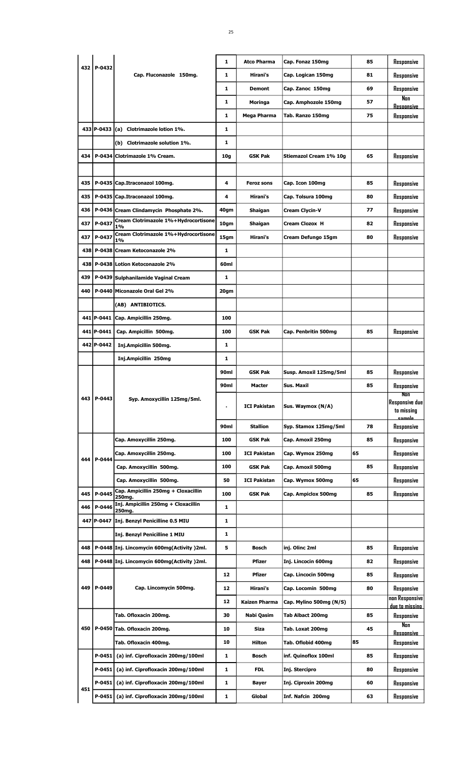|     |              |                                               | 1    | <b>Atco Pharma</b>  | Cap. Fonaz 150mg        | 85 | Responsive                                 |
|-----|--------------|-----------------------------------------------|------|---------------------|-------------------------|----|--------------------------------------------|
| 432 | P-0432       | Cap. Fluconazole 150mg.                       | 1    | Hirani's            | Cap. Logican 150mg      | 81 | Responsive                                 |
|     |              |                                               | 1    | <b>Demont</b>       | Cap. Zanoc 150mg        | 69 | Responsive                                 |
|     |              |                                               | 1    | Moringa             | Cap. Amphozole 150mg    | 57 | Nan<br><u>Resoonsive</u>                   |
|     |              |                                               | 1    | Mega Pharma         | Tab. Ranzo 150mg        | 75 | Responsive                                 |
|     | 433 P-0433   | Clotrimazole lotion 1%.<br>(a)                | 1    |                     |                         |    |                                            |
|     |              | (b) Clotrimazole solution 1%.                 | 1    |                     |                         |    |                                            |
| 434 |              | P-0434 Clotrimazole 1% Cream.                 | 10q  | <b>GSK Pak</b>      | Stiemazol Cream 1% 10g  | 65 | Responsive                                 |
|     |              |                                               |      |                     |                         |    |                                            |
| 435 |              | P-0435 Cap.Itraconazol 100mg.                 | 4    | <b>Feroz sons</b>   | Cap. Icon 100mg         | 85 | Responsive                                 |
| 435 |              | P-0435 Cap.Itraconazol 100mg.                 | 4    | Hirani's            | Cap. Tolsura 100mg      | 80 | Responsive                                 |
| 436 |              | P-0436 Cream Clindamycin Phosphate 2%.        | 40gm | Shaigan             | Cream Clycin-V          | 77 | Responsive                                 |
| 437 | P-0437       | Cream Clotrimazole 1%+Hydrocortisone<br>1%    | 10gm | Shaigan             | Cream Clozox H          | 82 | Responsive                                 |
| 437 | P-0437       | Cream Clotrimazole 1%+Hydrocortisone<br>1%    | 15gm | Hirani's            | Cream Defungo 15gm      | 80 | Responsive                                 |
| 438 |              | P-0438 Cream Ketoconazole 2%                  | 1    |                     |                         |    |                                            |
| 438 |              | P-0438 Lotion Ketoconazole 2%                 | 60ml |                     |                         |    |                                            |
| 439 |              | P-0439 Sulphanilamide Vaginal Cream           | 1    |                     |                         |    |                                            |
| 440 |              | P-0440 Miconazole Oral Gel 2%                 | 20gm |                     |                         |    |                                            |
|     |              | (AB) ANTIBIOTICS.                             |      |                     |                         |    |                                            |
|     | 441   P-0441 | Cap. Ampicillin 250mg.                        | 100  |                     |                         |    |                                            |
|     | 441   P-0441 | Cap. Ampicillin 500mg.                        | 100  | <b>GSK Pak</b>      | Cap. Penbritin 500mg    | 85 | Responsive                                 |
|     | 442 P-0442   | Inj.Ampicillin 500mg.                         | 1    |                     |                         |    |                                            |
|     |              | Inj.Ampicillin 250mg                          | 1    |                     |                         |    |                                            |
|     |              |                                               | 90ml | GSK Pak             | Susp. Amoxil 125mg/5ml  | 85 | Responsive                                 |
|     |              |                                               | 90ml | Macter              | Sus. Maxil              | 85 | Responsive                                 |
|     |              |                                               |      |                     |                         |    |                                            |
|     | 443   P-0443 | Syp. Amoxycillin 125mg/5ml.                   |      | <b>ICI Pakistan</b> | Sus. Waymox (N/A)       |    | Non<br><b>Responsive due</b><br>to missing |
|     |              |                                               | 90ml | <b>Stallion</b>     | Syp. Stamox 125mg/5ml   | 78 | <u>eamnla </u><br>Responsive               |
|     |              | Cap. Amoxycillin 250mg.                       | 100  | <b>GSK Pak</b>      | Cap. Amoxil 250mg       | 85 | Responsive                                 |
|     |              | Cap. Amoxycillin 250mg.                       | 100  | <b>ICI Pakistan</b> | Cap. Wymox 250mg        | 65 | Responsive                                 |
| 444 | P-0444       | Cap. Amoxycillin 500mg.                       | 100  | <b>GSK Pak</b>      | Cap. Amoxil 500mg       | 85 | Responsive                                 |
|     |              | Cap. Amoxycillin 500mg.                       | 50   | <b>ICI Pakistan</b> | Cap. Wymox 500mg        | 65 | Responsive                                 |
| 445 | P-0445       | Cap. Ampicillin 250mg + Cloxacillin<br>250mg. | 100  | GSK Pak             | Cap. Ampiclox 500mg     | 85 | Responsive                                 |
| 446 | P-0446       | Inj. Ampicillin 250mg + Cloxacillin<br>250mg. | 1    |                     |                         |    |                                            |
|     | 447 P-0447   | Inj. Benzyl Penicilline 0.5 MIU               | 1    |                     |                         |    |                                            |
|     |              | Inj. Benzyl Penicilline 1 MIU                 | 1    |                     |                         |    |                                            |
| 448 |              | P-0448 Inj. Lincomycin 600mg(Activity) 2ml.   | 5    | <b>Bosch</b>        | inj. Olinc 2ml          | 85 | Responsive                                 |
| 448 |              | P-0448 Inj. Lincomycin 600mg(Activity) 2ml.   |      | <b>Pfizer</b>       | Inj. Lincocin 600mg     | 82 | Responsive                                 |
|     |              |                                               | 12   | <b>Pfizer</b>       | Cap. Lincocin 500mg     | 85 | Responsive                                 |
| 449 | P-0449       | Cap. Lincomycin 500mg.                        | 12   | Hirani's            | Cap. Locomin 500mg      | 80 | Responsive                                 |
|     |              |                                               | 12   | Kaizen Pharma       | Cap. Mylino 500mg (N/S) |    | non Responsive                             |
|     |              | Tab. Ofloxacin 200mg.                         | 30   | Nabi Qasim          | Tab Albact 200mg        | 85 | due to missino<br>Responsive               |
| 450 |              | P-0450 Tab. Ofloxacin 200mg.                  | 10   | <b>Siza</b>         | Tab. Loxat 200mg        | 45 | Non                                        |
|     |              | Tab. Ofloxacin 400mg.                         | 10   | <b>Hilton</b>       | Tab. Oflobid 400mg      | 85 | Resoonsive<br>Responsive                   |
|     | P-0451       | (a) inf. Ciprofloxacin 200mg/100ml            | 1    | <b>Bosch</b>        | inf. Quinoflox 100ml    | 85 | Responsive                                 |
|     | P-0451       | (a) inf. Ciprofloxacin 200mg/100ml            | 1    | <b>FDL</b>          | Inj. Stercipro          | 80 | Responsive                                 |
| 451 | $P-0451$     | (a) inf. Ciprofloxacin 200mg/100ml            | 1    | Bayer               | Inj. Ciproxin 200mg     | 60 | Responsive                                 |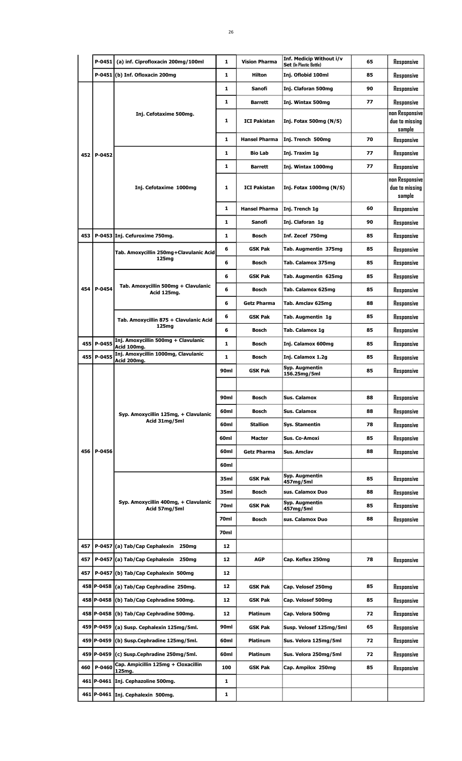|     | $P-0451$   | (a) inf. Ciprofloxacin 200mg/100ml                    | 1            | <b>Vision Pharma</b> | Inf. Medicip Without i/v<br>Set (In Plastic Bottle) | 65 | Responsive                                 |
|-----|------------|-------------------------------------------------------|--------------|----------------------|-----------------------------------------------------|----|--------------------------------------------|
|     |            | $P-0451$ (b) Inf. Ofloxacin 200mg                     | $\mathbf{1}$ | Hilton               | Inj. Oflobid 100ml                                  | 85 | Responsive                                 |
|     |            |                                                       | $\mathbf{1}$ | Sanofi               | Inj. Claforan 500mg                                 | 90 | Responsive                                 |
|     |            |                                                       | $\mathbf{1}$ | Barrett              | Inj. Wintax 500mg                                   | 77 | Responsive                                 |
|     |            | Inj. Cefotaxime 500mg.                                | 1            | <b>ICI Pakistan</b>  | Inj. Fotax 500mg (N/S)                              |    | non Responsive<br>due to missing<br>sample |
|     |            |                                                       | $\mathbf{1}$ | <b>Hansel Pharma</b> | Inj. Trench 500mg                                   | 70 | Responsive                                 |
|     | 452 P-0452 |                                                       | 1            | <b>Bio Lab</b>       | Inj. Traxim 1g                                      | 77 | Responsive                                 |
|     |            |                                                       | 1            | <b>Barrett</b>       | Inj. Wintax 1000mg                                  | 77 | Responsive                                 |
|     |            | Inj. Cefotaxime 1000mg                                | 1            | <b>ICI Pakistan</b>  | Inj. Fotax 1000mg (N/S)                             |    | non Responsive<br>due to missing<br>sample |
|     |            |                                                       | $\mathbf{1}$ | <b>Hansel Pharma</b> | Inj. Trench 1g                                      | 60 | Responsive                                 |
|     |            |                                                       | $\mathbf{1}$ | Sanofi               | Inj. Claforan 1g                                    | 90 | Responsive                                 |
| 453 |            | P-0453 Inj. Cefuroxime 750mg.                         | $\mathbf{1}$ | <b>Bosch</b>         | Inf. Zecef 750mg                                    | 85 | Responsive                                 |
|     |            | Tab. Amoxycillin 250mg+Clavulanic Acid                | 6            | <b>GSK Pak</b>       | Tab. Augmentin 375mg                                | 85 | Responsive                                 |
|     |            | 125mg                                                 | 6            | Bosch                | Tab. Calamox 375mg                                  | 85 | Responsive                                 |
|     |            |                                                       | 6            | <b>GSK Pak</b>       | Tab. Augmentin 625mg                                | 85 | Responsive                                 |
|     | 454 P-0454 | Tab. Amoxycillin 500mg + Clavulanic<br>Acid 125mg.    | 6            | Bosch                | Tab. Calamox 625mg                                  | 85 | Responsive                                 |
|     |            |                                                       | 6            | <b>Getz Pharma</b>   | Tab. Amclav 625mg                                   | 88 | Responsive                                 |
|     |            | Tab. Amoxycillin 875 + Clavulanic Acid                | 6            | <b>GSK Pak</b>       | Tab. Augmentin 1g                                   | 85 | Responsive                                 |
|     |            | 125mg                                                 | 6            | Bosch                | Tab. Calamox 1g                                     | 85 | Responsive                                 |
|     | 455 P-0455 | Inj. Amoxycillin 500mg + Clavulanic<br>Acid 100mg.    | 1            | Bosch                | Inj. Calamox 600mg                                  | 85 | Responsive                                 |
|     | 455 P-0455 | Inj. Amoxycillin 1000mg, Clavulanic<br>Acid 200mg.    | 1            | <b>Bosch</b>         | Inj. Calamox 1.2g                                   | 85 | Responsive                                 |
|     |            |                                                       | 90ml         | <b>GSK Pak</b>       | Syp. Augmentin<br>156.25mg/5ml                      | 85 | Responsive                                 |
|     |            | Syp. Amoxycillin 125mg, + Clavulanic                  |              |                      |                                                     |    |                                            |
|     |            |                                                       | 90ml         | Bosch                | Sus. Calamox                                        | 88 | Responsive                                 |
|     |            |                                                       | 60ml         | Bosch                | Sus. Calamox                                        | 88 | Responsive                                 |
|     |            | Acid 31mg/5ml                                         | 60ml         | <b>Stallion</b>      | Sys. Stamentin                                      | 78 | Responsive                                 |
|     |            |                                                       | 60ml         | Macter               | Sus. Co-Amoxi                                       | 85 | Responsive                                 |
|     | 456 P-0456 |                                                       | 60ml         | Getz Pharma          | Sus, Amclav                                         | 88 | Responsive                                 |
|     |            |                                                       | 60ml         |                      |                                                     |    |                                            |
|     |            |                                                       | 35ml         | <b>GSK Pak</b>       | Syp. Augmentin<br>457mg/5ml                         | 85 | Responsive                                 |
|     |            |                                                       | 35ml         | Bosch                | sus. Calamox Duo                                    | 88 | Responsive                                 |
|     |            | Syp. Amoxycillin 400mg, + Clavulanic<br>Acid 57mg/5ml | 70ml         | <b>GSK Pak</b>       | Syp. Augmentin<br>457mg/5ml                         | 85 | Responsive                                 |
|     |            |                                                       | 70ml         | Bosch                | sus. Calamox Duo                                    | 88 | Responsive                                 |
|     |            |                                                       | 70ml         |                      |                                                     |    |                                            |
| 457 |            | P-0457 (a) Tab/Cap Cephalexin 250mg                   | 12           |                      |                                                     |    |                                            |
| 457 |            | P-0457 (a) Tab/Cap Cephalexin 250mg                   | 12           | <b>AGP</b>           | Cap. Keflex 250mg                                   | 78 | Responsive                                 |
| 457 |            | P-0457 (b) Tab/Cap Cephalexin 500mg                   | 12           |                      |                                                     |    |                                            |
|     |            | 458 P-0458 (a) Tab/Cap Cephradine 250mg.              | 12           | <b>GSK Pak</b>       | Cap. Velosef 250mg                                  | 85 | Responsive                                 |
|     |            | 458 P-0458 (b) Tab/Cap Cephradine 500mg.              | 12           | <b>GSK Pak</b>       | Cap. Velosef 500mg                                  | 85 | Responsive                                 |
|     |            | 458 P-0458 (b) Tab/Cap Cephradine 500mg.              | 12           | <b>Platinum</b>      | Cap. Velora 500mg                                   | 72 | Responsive                                 |
|     |            | 459 P-0459 (a) Susp. Cephalexin 125mg/5ml.            | 90ml         | <b>GSK Pak</b>       | Susp. Velosef 125mg/5ml                             | 65 | Responsive                                 |
|     |            | 459 P-0459 (b) Susp.Cephradine 125mg/5ml.             | 60ml         | <b>Platinum</b>      | Sus. Velora 125mg/5ml                               | 72 | Responsive                                 |
|     |            | 459 P-0459 (c) Susp.Cephradine 250mg/5ml.             | 60ml         | Platinum             | Sus. Velora 250mg/5ml                               | 72 | Responsive                                 |
| 460 | P-0460     | Cap. Ampicillin 125mg + Cloxacillin<br>125mg.         | 100          | <b>GSK Pak</b>       | Cap. Ampilox 250mg                                  | 85 | Responsive                                 |
|     |            | 461 P-0461 Inj. Cephazoline 500mg.                    | 1            |                      |                                                     |    |                                            |
|     |            | 461 P-0461 Inj. Cephalexin 500mg.                     | 1            |                      |                                                     |    |                                            |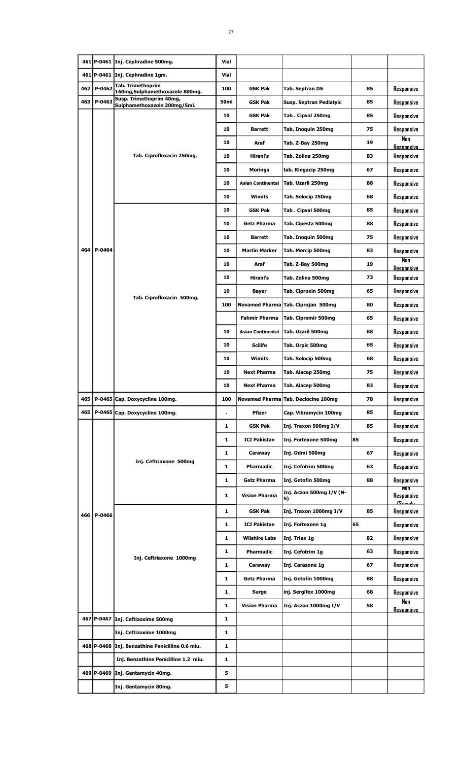|     |            | 461 P-0461 Inj. Cephradine 500mg.                        | Vial           |                          |                                     |    |                                      |
|-----|------------|----------------------------------------------------------|----------------|--------------------------|-------------------------------------|----|--------------------------------------|
|     |            | 461 P-0461 Inj. Cephradine 1gm.                          | <b>Vial</b>    |                          |                                     |    |                                      |
|     | 462 P-0462 | Tab. Trimethoprim<br>160mg, Sulphamethoxazole 800mg.     | 100            | <b>GSK Pak</b>           | <b>Tab. Septran DS</b>              | 85 | Responsive                           |
| 463 | P-0463     | Susp. Trimethoprim 40mg,<br>Sulphamethoxazole 200mg/5ml. | 50ml           | <b>GSK Pak</b>           | Susp. Septran Pediatyic             | 85 | Responsive                           |
|     |            |                                                          | 10             | <b>GSK Pak</b>           | Tab. Cipval 250mg                   | 85 | Responsive                           |
|     |            |                                                          | 10             | <b>Barrett</b>           | Tab. Inoquin 250mg                  | 75 | Responsive                           |
|     |            |                                                          | 10             | Araf                     | Tab. Z-Bay 250mg                    | 19 | Non<br><b>Responsive</b>             |
|     |            | Tab. Ciprofloxacin 250mg.                                | 10             | Hirani's                 | Tab. Zolina 250mg                   | 83 | Responsive                           |
|     |            |                                                          | 10             | Moringa                  | tab. Ringacip 250mg                 | 67 | Responsive                           |
|     |            |                                                          | 10             | Asian Continental        | Tab. Uzaril 250mg                   | 88 | Responsive                           |
|     |            |                                                          | 10             | Wimits                   | Tab. Solocip 250mg                  | 68 | Responsive                           |
|     |            |                                                          | 10             | <b>GSK Pak</b>           | Tab. Cipval 500mg                   | 85 | Responsive                           |
|     |            |                                                          | 10             | <b>Getz Pharma</b>       | Tab. Cipesta 500mg                  | 88 | Responsive                           |
|     |            |                                                          | 10             | <b>Barrett</b>           | Tab. Inoquin 500mg                  | 75 | Responsive                           |
| 464 | P-0464     |                                                          | 10             | <b>Martin Marker</b>     | Tab. Mercip 500mg                   | 83 | Responsive                           |
|     |            |                                                          | 10             | Araf                     | Tab. Z-Bay 500mg                    | 19 | Nan<br><b>Responsive</b>             |
|     |            |                                                          | 10             | Hirani's                 | Tab. Zolina 500mg                   | 73 | Responsive                           |
|     |            | Tab. Ciprofloxacin 500mg.                                | 10             | Bayer                    | Tab. Ciproxin 500mg                 | 65 | Responsive                           |
|     |            |                                                          | 100            |                          | Novamed Pharma Tab. Ciprojan 500mg  | 80 | Responsive                           |
|     |            |                                                          |                | <b>Fahmir Pharma</b>     | Tab. Cipromir 500mg                 | 65 | Responsive                           |
|     |            |                                                          | 10             | <b>Asian Continental</b> | Tab. Uzaril 500mg                   | 88 | Responsive                           |
|     |            |                                                          | 10             | <b>Scilife</b>           | Tab. Orpic 500mg                    | 65 | Responsive                           |
|     |            |                                                          | 10             | Wimits                   | Tab. Solocip 500mg                  | 68 | Responsive                           |
|     |            |                                                          | 10             | <b>Next Pharma</b>       | Tab. Alacep 250mg                   | 75 | Responsive                           |
|     |            |                                                          | 10             | <b>Next Pharma</b>       | Tab. Alacep 500mg                   | 83 | Responsive                           |
| 465 |            | P-0465 Cap. Doxycycline 100mg.                           | 100            |                          | Novamed Pharma Tab. Declocine 100mg | 78 | Responsive                           |
| 465 |            | P-0465 Cap. Doxycycline 100mg.                           | $\blacksquare$ | Pfizer                   | Cap. Vibramycin 100mg               | 85 | Responsive                           |
|     |            |                                                          | 1              | GSK Pak                  | Inj. Traxon 500mg I/V               | 85 | Responsive                           |
|     |            |                                                          | 1              | <b>ICI Pakistan</b>      | Inj. Fortexone 500mg                | 85 | Responsive                           |
|     |            |                                                          | 1              | Caraway                  | Inj. Odmi 500mg                     | 67 | Responsive                           |
|     |            | Inj. Ceftriaxone 500mg                                   | 1              | Pharmadic                | Inj. Cefotrim 500mg                 | 63 | Responsive                           |
|     |            |                                                          | 1              | <b>Getz Pharma</b>       | Inj. Getofin 500mg                  | 88 | Responsive                           |
|     |            |                                                          | 1              | <b>Vision Pharma</b>     | Inj. Aczon 500mg I/V (N-<br>S)      |    | NON<br>Responsive                    |
|     |            |                                                          | 1              | <b>GSK Pak</b>           | Inj. Traxon 1000mg I/V              | 85 | <u> <i>I</i>Camala</u><br>Responsive |
| 466 | P-0466     |                                                          | 1              | <b>ICI Pakistan</b>      | Inj. Fortexone 1g                   | 65 | Responsive                           |
|     |            |                                                          | 1              | <b>Wilshire Labs</b>     | Inj. Triax 1g                       | 82 | Responsive                           |
|     |            |                                                          | 1              | Pharmadic                | Inj. Cefotrim 1g                    | 63 | Responsive                           |
|     |            | Inj. Ceftriaxone 1000mg                                  | 1              | Caraway                  | Inj. Carazone 1g                    | 67 | Responsive                           |
|     |            |                                                          | 1              | <b>Getz Pharma</b>       | Inj. Getofin 1000mg                 | 88 | Responsive                           |
|     |            |                                                          | 1              | Surge                    | inj. Sergifex 1000mg                | 68 | Responsive                           |
|     |            |                                                          | 1              | <b>Vision Pharma</b>     | Inj. Aczon 1000mg I/V               | 58 | Non                                  |
|     |            | 467 P-0467 Inj. Ceftizoxime 500mg                        | 1              |                          |                                     |    | <u>Resoonsive</u>                    |
|     |            | Inj. Ceftizoxime 1000mg                                  | 1              |                          |                                     |    |                                      |
|     |            | 468 P-0468 Inj. Benzathine Penicilline 0.6 miu.          | 1              |                          |                                     |    |                                      |
|     |            | Inj. Benzathine Penicilline 1.2 miu.                     | 1              |                          |                                     |    |                                      |
|     |            | 469 P-0469 Inj. Gentamycin 40mg.                         | 5              |                          |                                     |    |                                      |
|     |            | Inj. Gentamycin 80mg.                                    | 5              |                          |                                     |    |                                      |
|     |            |                                                          |                |                          |                                     |    |                                      |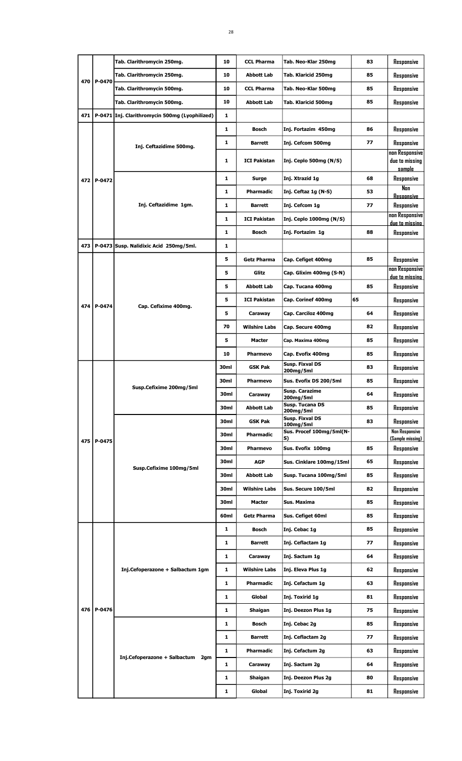| Tab. Clarithromycin 250mg.<br>10<br><b>Abbott Lab</b><br>Tab. Klaricid 250mg<br>85<br>P-0470<br>470<br>Tab. Clarithromycin 500mg.<br>10<br><b>CCL Pharma</b><br>Tab. Neo-Klar 500mg<br>85<br>10<br>Tab. Clarithromycin 500mg.<br>85<br><b>Abbott Lab</b><br>Tab. Klaricid 500mg | Responsive                                 |
|---------------------------------------------------------------------------------------------------------------------------------------------------------------------------------------------------------------------------------------------------------------------------------|--------------------------------------------|
|                                                                                                                                                                                                                                                                                 |                                            |
|                                                                                                                                                                                                                                                                                 | Responsive                                 |
|                                                                                                                                                                                                                                                                                 | Responsive                                 |
| 471<br>P-0471 Inj. Clarithromycin 500mg (Lyophilized)<br>1                                                                                                                                                                                                                      |                                            |
| 1<br><b>Bosch</b><br>Inj. Fortazim 450mg<br>86                                                                                                                                                                                                                                  | Responsive                                 |
| 1<br>77<br>Inj. Cefcom 500mg<br><b>Barrett</b>                                                                                                                                                                                                                                  | Responsive                                 |
| Inj. Ceftazidime 500mg.<br>1<br><b>ICI Pakistan</b><br>Inj. Ceplo 500mg (N/S)                                                                                                                                                                                                   | non Responsive<br>due to missing<br>sample |
| 68<br>1<br>Inj. Xtrazid 1g<br>Surge<br>472 P-0472                                                                                                                                                                                                                               | Responsive                                 |
| 1<br><b>Pharmadic</b><br>Inj. Ceftaz 1g (N-S)<br>53                                                                                                                                                                                                                             | Nan                                        |
| Inj. Ceftazidime 1gm.<br>77<br>Inj. Cefcom 1q<br>1<br><b>Barrett</b>                                                                                                                                                                                                            | <b>Resoonsive</b><br>Responsive            |
| 1<br><b>ICI Pakistan</b><br>Inj. Ceplo 1000mg (N/S)                                                                                                                                                                                                                             | non Responsive                             |
| 88<br>1<br>Inj. Fortazim 1g<br>Bosch                                                                                                                                                                                                                                            | due to missino<br>Responsive               |
| 473<br>P-0473 Susp. Nalidixic Acid 250mg/5ml.<br>1                                                                                                                                                                                                                              |                                            |
| <b>Getz Pharma</b><br>85<br>5<br>Cap. Cefiget 400mg                                                                                                                                                                                                                             | Responsive                                 |
|                                                                                                                                                                                                                                                                                 | non Responsive                             |
| 5<br>Glitz<br>Cap. Glixim 400mg (S-N)                                                                                                                                                                                                                                           | due to missino                             |
| 85<br>5<br><b>Abbott Lab</b><br>Cap. Tucana 400mg                                                                                                                                                                                                                               | Responsive                                 |
| 65<br>5<br><b>ICI Pakistan</b><br>Cap. Corinef 400mg<br>474 l<br>P-0474<br>Cap. Cefixime 400mg.                                                                                                                                                                                 | Responsive                                 |
| 5<br>64<br>Cap. Carciloz 400mg<br>Caraway                                                                                                                                                                                                                                       | Responsive                                 |
| 70<br><b>Wilshire Labs</b><br>Cap. Secure 400mg<br>82                                                                                                                                                                                                                           | Responsive                                 |
| 5<br>Cap. Maxima 400mg<br>85<br>Macter                                                                                                                                                                                                                                          | Responsive                                 |
| 10<br>85<br><b>Pharmevo</b><br>Cap. Evofix 400mg                                                                                                                                                                                                                                | Responsive                                 |
| Susp. Fixval DS<br>30ml<br>83<br><b>GSK Pak</b><br>200mg/5ml                                                                                                                                                                                                                    | Responsive                                 |
| 30ml<br>Sus. Evofix DS 200/5ml<br>85<br>Pharmevo                                                                                                                                                                                                                                | Responsive                                 |
| Susp.Cefixime 200mg/5ml<br>Susp. Carazime<br>30ml<br>64<br>Caraway<br>200mg/5ml                                                                                                                                                                                                 | Responsive                                 |
| Susp. Tucana DS<br>30ml<br><b>Abbott Lab</b><br>85<br>200mg/5ml                                                                                                                                                                                                                 | Responsive                                 |
| Susp. Fixval DS<br>83<br>30ml<br><b>GSK Pak</b><br>100mg/5ml                                                                                                                                                                                                                    | Responsive                                 |
| Sus. Procef 100mg/5ml(N-<br>30ml<br>Pharmadic                                                                                                                                                                                                                                   | Non Responsive                             |
| S)<br>475 l<br>P-0475<br>Sus. Evofix 100mg<br>30ml<br>Pharmevo<br>85                                                                                                                                                                                                            | (Sample missing)<br>Responsive             |
| 30ml<br>AGP<br>Sus. Cinklare 100mg/15ml<br>65                                                                                                                                                                                                                                   | Responsive                                 |
| Susp.Cefixime 100mg/5ml<br>30ml<br>Abbott Lab<br>Susp. Tucana 100mg/5ml<br>85                                                                                                                                                                                                   | Responsive                                 |
| 30ml<br><b>Wilshire Labs</b><br>Sus. Secure 100/5ml<br>82                                                                                                                                                                                                                       | Responsive                                 |
|                                                                                                                                                                                                                                                                                 |                                            |
| 30ml<br>Sus. Maxima<br>Macter<br>85                                                                                                                                                                                                                                             | Responsive                                 |
| 60ml<br><b>Getz Pharma</b><br>Sus. Cefiget 60ml<br>85                                                                                                                                                                                                                           | Responsive                                 |
| Bosch<br>Inj. Cebac 1g<br>85<br>1                                                                                                                                                                                                                                               | Responsive                                 |
| Inj. Ceflactam 1g<br>1<br><b>Barrett</b><br>77                                                                                                                                                                                                                                  | Responsive                                 |
| 1<br>Inj. Sactum 1g<br>Caraway<br>64                                                                                                                                                                                                                                            | Responsive                                 |
| Inj.Cefoperazone + Salbactum 1gm<br>1<br><b>Wilshire Labs</b><br>62<br>Inj. Eleva Plus 1g                                                                                                                                                                                       | Responsive                                 |
| 1<br>Pharmadic<br>Inj. Cefactum 1g<br>63                                                                                                                                                                                                                                        | Responsive                                 |
| 1<br>Global<br>Inj. Toxirid 1g<br>81                                                                                                                                                                                                                                            | Responsive                                 |
| P-0476<br>476  <br>1<br>Inj. Deezon Plus 1g<br>75<br>Shaigan                                                                                                                                                                                                                    | Responsive                                 |
| 1<br><b>Bosch</b><br>Inj. Cebac 2g<br>85                                                                                                                                                                                                                                        | Responsive                                 |
| 1<br><b>Barrett</b><br>Inj. Ceflactam 2g<br>77                                                                                                                                                                                                                                  | Responsive                                 |
| 1<br>63<br>Pharmadic<br>Inj. Cefactum 2g                                                                                                                                                                                                                                        | Responsive                                 |
| Inj.Cefoperazone + Salbactum 2qm<br>1<br>Inj. Sactum 2g<br>64<br>Caraway                                                                                                                                                                                                        | Responsive                                 |
| Inj. Deezon Plus 2g<br>1<br>Shaigan<br>80                                                                                                                                                                                                                                       | Responsive                                 |
| 1<br>81<br>Global<br>Inj. Toxirid 2g                                                                                                                                                                                                                                            | Responsive                                 |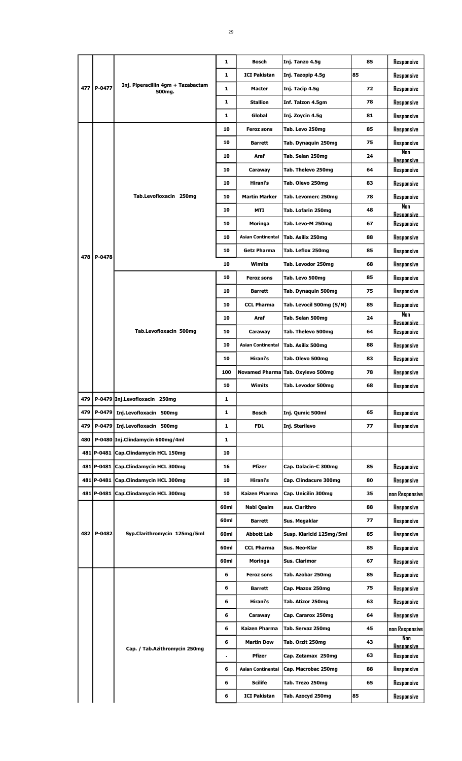|     |            |                                              | 1    | <b>Bosch</b>             | Inj. Tanzo 4.5g                   | 85 | Responsive                      |
|-----|------------|----------------------------------------------|------|--------------------------|-----------------------------------|----|---------------------------------|
|     |            |                                              | 1    | <b>ICI Pakistan</b>      | Inj. Tazopip 4.5g                 | 85 | Responsive                      |
| 477 | P-0477     | Inj. Piperacillin 4gm + Tazabactam<br>500mg. | 1    | Macter                   | Inj. Tacip 4.5g                   | 72 | Responsive                      |
|     |            |                                              | 1    | <b>Stallion</b>          | Inf. Talzon 4.5gm                 | 78 | Responsive                      |
|     |            |                                              | 1    | Global                   | Inj. Zoycin 4.5g                  | 81 | Responsive                      |
|     |            |                                              | 10   | <b>Feroz sons</b>        | Tab. Levo 250mg                   | 85 | Responsive                      |
|     |            |                                              | 10   | <b>Barrett</b>           | Tab. Dynaquin 250mg               | 75 | Responsive                      |
|     |            |                                              | 10   | Araf                     | Tab. Selan 250mg                  | 24 | Non                             |
|     |            |                                              | 10   | Caraway                  | Tab. Thelevo 250mg                | 64 | <b>Resoonsive</b><br>Responsive |
|     |            |                                              |      |                          |                                   |    |                                 |
|     |            |                                              | 10   | Hirani's                 | Tab. Olevo 250mg                  | 83 | Responsive                      |
|     |            | Tab.Levofloxacin 250mg                       | 10   | <b>Martin Marker</b>     | Tab. Levomerc 250mg               | 78 | Responsive<br>Non               |
|     |            |                                              | 10   | MTI                      | Tab. Lofarin 250mg                | 48 | <b>Resoonsive</b>               |
|     |            |                                              | 10   | Moringa                  | Tab. Levo-M 250mg                 | 67 | Responsive                      |
|     |            |                                              | 10   | <b>Asian Continental</b> | Tab. Asilix 250mg                 | 88 | Responsive                      |
| 478 | P-0478     |                                              | 10   | <b>Getz Pharma</b>       | Tab. Leflox 250mg                 | 85 | Responsive                      |
|     |            |                                              | 10   | <b>Wimits</b>            | Tab. Levodor 250mg                | 68 | Responsive                      |
|     |            |                                              | 10   | <b>Feroz sons</b>        | Tab. Levo 500mg                   | 85 | Responsive                      |
|     |            |                                              | 10   | <b>Barrett</b>           | Tab. Dynaquin 500mg               | 75 | Responsive                      |
|     |            |                                              | 10   | <b>CCL Pharma</b>        | Tab. Levocil 500mg (S/N)          | 85 | Responsive                      |
|     |            |                                              | 10   | Araf                     | Tab. Selan 500mg                  | 24 | Nan<br><b>Resoonsive</b>        |
|     |            | Tab.Levofloxacin 500mg                       | 10   | Caraway                  | Tab. Thelevo 500mg                | 64 | Responsive                      |
|     |            |                                              | 10   | <b>Asian Continental</b> | Tab. Asilix 500mg                 | 88 | Responsive                      |
|     |            |                                              | 10   | Hirani's                 | Tab. Olevo 500mg                  | 83 | Responsive                      |
|     |            |                                              | 100  |                          | Novamed Pharma Tab. Oxylevo 500mg | 78 | Responsive                      |
|     |            |                                              | 10   | Wimits                   | Tab. Levodor 500mg                | 68 | Responsive                      |
| 479 |            | P-0479 Inj.Levofloxacin 250mg                | 1    |                          |                                   |    |                                 |
| 479 | P-0479     | Inj.Levofloxacin 500mg                       | 1    | Bosch                    | Inj. Qumic 500ml                  | 65 | Responsive                      |
| 479 | P-0479     | Inj.Levofloxacin 500mg                       | 1    | <b>FDL</b>               | Inj. Sterilevo                    | 77 |                                 |
| 480 |            |                                              |      |                          |                                   |    | Responsive                      |
|     |            | P-0480 Inj.Clindamycin 600mg/4ml             | 1    |                          |                                   |    |                                 |
|     | 481 P-0481 | Cap.Clindamycin HCL 150mg                    | 10   |                          |                                   |    |                                 |
|     | 481 P-0481 | Cap.Clindamycin HCL 300mg                    | 16   | <b>Pfizer</b>            | Cap. Dalacin-C 300mg              | 85 | Responsive                      |
|     | 481 P-0481 | Cap.Clindamycin HCL 300mg                    | 10   | Hirani's                 | Cap. Clindacure 300mg             | 80 | Responsive                      |
|     | 481 P-0481 | Cap.Clindamycin HCL 300mg                    | 10   | Kaizen Pharma            | Cap. Unicilin 300mg               | 35 | non Responsive                  |
|     |            |                                              | 60ml | Nabi Qasim               | sus. Clarithro                    | 88 | Responsive                      |
|     |            |                                              | 60ml | Barrett                  | Sus. Megaklar                     | 77 | Responsive                      |
|     | 482 P-0482 | Syp.Clarithromycin 125mg/5ml                 | 60ml | Abbott Lab               | Susp. Klaricid 125mg/5ml          | 85 | Responsive                      |
|     |            |                                              | 60ml | <b>CCL Pharma</b>        | Sus. Neo-Klar                     | 85 | Responsive                      |
|     |            |                                              | 60ml | Moringa                  | Sus. Clarimor                     | 67 | Responsive                      |
|     |            |                                              | 6    | Feroz sons               | Tab. Azobar 250mg                 | 85 | Responsive                      |
|     |            |                                              | 6    | Barrett                  | Cap. Mazox 250mg                  | 75 | Responsive                      |
|     |            |                                              | 6    | Hirani's                 | Tab. Atizor 250mg                 | 63 | Responsive                      |
|     |            |                                              | 6    | Caraway                  | Cap. Cararox 250mg                | 64 | Responsive                      |
|     |            |                                              | 6    | Kaizen Pharma            | Tab. Servaz 250mg                 | 45 | non Responsive                  |
|     |            |                                              | 6    | <b>Martin Dow</b>        | Tab. Orzit 250mg                  | 43 | Non                             |
|     |            | Cap. / Tab.Azithromycin 250mg                |      | <b>Pfizer</b>            | Cap. Zetamax 250mg                | 63 | <b>Resonnsive</b><br>Responsive |
|     |            |                                              | 6    | <b>Asian Continental</b> | Cap. Macrobac 250mg               | 88 | Responsive                      |
|     |            |                                              | 6    | Scilife                  | Tab. Trezo 250mg                  | 65 | Responsive                      |
|     |            |                                              | 6    | <b>ICI Pakistan</b>      | Tab. Azocyd 250mg                 | 85 | Responsive                      |
|     |            |                                              |      |                          |                                   |    |                                 |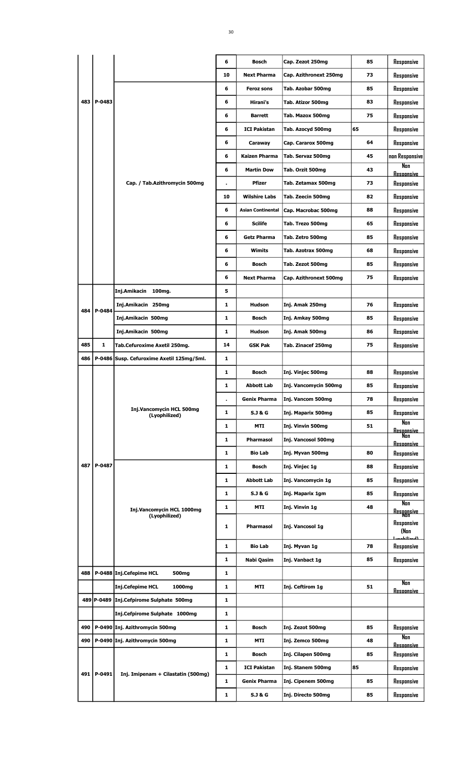|     |        |                                           | 6  | <b>Bosch</b>             | Cap. Zezot 250mg       | 85 | Responsive                         |
|-----|--------|-------------------------------------------|----|--------------------------|------------------------|----|------------------------------------|
|     |        |                                           | 10 | <b>Next Pharma</b>       | Cap. Azithronext 250mg | 73 | Responsive                         |
|     |        |                                           | 6  | <b>Feroz sons</b>        | Tab. Azobar 500mg      | 85 | Responsive                         |
| 483 | P-0483 |                                           | 6  | Hirani's                 | Tab. Atizor 500mg      | 83 | Responsive                         |
|     |        |                                           | 6  | Barrett                  | Tab. Mazox 500mg       | 75 | Responsive                         |
|     |        |                                           | 6  | <b>ICI Pakistan</b>      | Tab. Azocyd 500mg      | 65 | Responsive                         |
|     |        |                                           | 6  | Caraway                  | Cap. Cararox 500mg     | 64 | Responsive                         |
|     |        |                                           | 6  | Kaizen Pharma            | Tab. Servaz 500mg      | 45 | non Responsive                     |
|     |        |                                           | 6  | <b>Martin Dow</b>        | Tab. Orzit 500mg       | 43 | Non<br><b>Resoonsive</b>           |
|     |        | Cap. / Tab.Azithromycin 500mg             |    | <b>Pfizer</b>            | Tab. Zetamax 500mg     | 73 | Responsive                         |
|     |        |                                           | 10 | <b>Wilshire Labs</b>     | Tab. Zeecin 500mg      | 82 | Responsive                         |
|     |        |                                           | 6  | <b>Asian Continental</b> | Cap. Macrobac 500mg    | 88 | Responsive                         |
|     |        |                                           | 6  | <b>Scilife</b>           | Tab. Trezo 500mg       | 65 | Responsive                         |
|     |        |                                           | 6  | <b>Getz Pharma</b>       | Tab. Zetro 500mg       | 85 | Responsive                         |
|     |        |                                           | 6  | Wimits                   | Tab. Azotrax 500mg     | 68 | Responsive                         |
|     |        |                                           | 6  | <b>Bosch</b>             | Tab. Zezot 500mg       | 85 | Responsive                         |
|     |        |                                           | 6  | <b>Next Pharma</b>       | Cap. Azithronext 500mg | 75 | Responsive                         |
|     |        | Inj.Amikacin 100mg.                       | 5  |                          |                        |    |                                    |
| 484 | P-0484 | Inj.Amikacin 250mg                        | 1  | Hudson                   | Inj. Amak 250mg        | 76 | Responsive                         |
|     |        | Inj.Amikacin 500mg                        | 1  | <b>Bosch</b>             | Inj. Amkay 500mg       | 85 | Responsive                         |
|     |        | Inj.Amikacin 500mg                        | 1  | <b>Hudson</b>            | Inj. Amak 500mg        | 86 | Responsive                         |
| 485 | 1      | Tab.Cefuroxime Axetil 250mg.              | 14 | <b>GSK Pak</b>           | Tab. Zinacef 250mg     | 75 | Responsive                         |
| 486 |        | P-0486 Susp. Cefuroxime Axetil 125mg/5ml. | 1  |                          |                        |    |                                    |
|     |        |                                           | 1  | <b>Bosch</b>             | Inj. Vinjec 500mg      | 88 | Responsive                         |
|     |        |                                           | 1  | <b>Abbott Lab</b>        | Inj. Vancomycin 500mg  | 85 | Responsive                         |
|     |        |                                           | ä, | <b>Genix Pharma</b>      | Inj. Vancom 500mg      | 78 | Responsive                         |
|     |        | Inj.Vancomycin HCL 500mg<br>(Lyophilized) | 1  | S.J & G                  | Inj. Maparix 500mg     | 85 | Responsive                         |
|     |        |                                           | 1  | MTI                      | Inj. Vinvin 500mg      | 51 | Nan<br><b>Responsive</b>           |
|     |        |                                           | 1  | Pharmasol                | Inj. Vancosol 500mg    |    | Nan<br><b>Resoonsive</b>           |
|     |        |                                           | 1  | Bio Lab                  | Inj. Myvan 500mg       | 80 | Responsive                         |
| 487 | P-0487 |                                           | 1  | Bosch                    | Inj. Vinjec 1g         | 88 | Responsive                         |
|     |        |                                           | 1  | <b>Abbott Lab</b>        | Inj. Vancomycin 1g     | 85 | Responsive                         |
|     |        |                                           | 1  | S.J & G                  | Inj. Maparix 1gm       | 85 | Responsive                         |
|     |        | Inj.Vancomycin HCL 1000mg                 | 1  | MTI                      | Inj. Vinvin 1g         | 48 | Nan<br>Responsive<br>Non           |
|     |        | (Lyophilized)                             | 1  | Pharmasol                | Inj. Vancosol 1g       |    | Responsive<br>(Non                 |
|     |        |                                           | 1  | <b>Bio Lab</b>           | Inj. Myvan 1g          | 78 | <u>ا امسئانامسيا</u><br>Responsive |
|     |        |                                           | 1  | Nabi Qasim               | Inj. Vanbact 1g        | 85 | Responsive                         |
| 488 |        | P-0488 Inj.Cefepime HCL<br>500mg          | 1  |                          |                        |    |                                    |
|     |        | <b>Inj.Cefepime HCL</b><br>1000mg         | 1  | MTI                      | Inj. Ceftirom 1g       | 51 | Non<br><u>Resoonsive</u>           |
|     |        | 489 P-0489 Inj.Cefpirome Sulphate 500mg   | 1  |                          |                        |    |                                    |
|     |        | Inj.Cefpirome Sulphate 1000mg             | 1  |                          |                        |    |                                    |
| 490 |        | P-0490 Inj. Azithromycin 500mg            | 1  | Bosch                    | Inj. Zezot 500mg       | 85 | Responsive                         |
| 490 |        | P-0490 Inj. Azithromycin 500mg            | 1  | MTI                      | Inj. Zemco 500mg       | 48 | Nan                                |
|     |        |                                           | 1  | Bosch                    | Inj. Cilapen 500mg     | 85 | <b>Resoonsive</b><br>Responsive    |
|     |        |                                           | 1  | <b>ICI Pakistan</b>      | Inj. Stanem 500mg      | 85 | Responsive                         |
| 491 | P-0491 | Inj. Imipenam + Cilastatin (500mg)        | 1  | <b>Genix Pharma</b>      | Inj. Cipenem 500mg     | 85 | Responsive                         |
|     |        |                                           | 1  | <b>S.J &amp; G</b>       | Inj. Directo 500mg     | 85 | Responsive                         |
|     |        |                                           |    |                          |                        |    |                                    |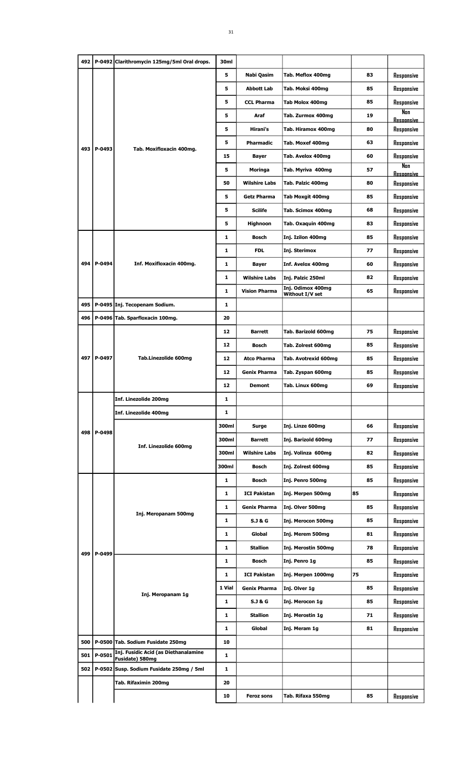|     |            | 492   P-0492 Clarithromycin 125mg/5ml Oral drops.           | 30ml         |                      |                         |    |                                 |
|-----|------------|-------------------------------------------------------------|--------------|----------------------|-------------------------|----|---------------------------------|
|     |            |                                                             | 5            | Nabi Qasim           | Tab. Meflox 400mg       | 83 | Responsive                      |
|     |            |                                                             | 5            | <b>Abbott Lab</b>    | Tab. Moksi 400mg        | 85 | Responsive                      |
|     |            |                                                             | 5            | <b>CCL Pharma</b>    | Tab Molox 400mg         | 85 | Responsive                      |
|     |            |                                                             | 5            | Araf                 | Tab. Zurmox 400mg       | 19 | Non                             |
|     |            |                                                             | 5            | Hirani's             | Tab. Hiramox 400mg      | 80 | <b>Resoonsive</b><br>Responsive |
|     |            |                                                             | 5            | <b>Pharmadic</b>     |                         | 63 |                                 |
| 493 | P-0493     | Tab. Moxifloxacin 400mg.                                    |              |                      | Tab. Moxef 400mg        |    | Responsive                      |
|     |            |                                                             | 15           | Bayer                | Tab. Avelox 400mg       | 60 | Responsive<br>Non               |
|     |            |                                                             | 5            | Moringa              | Tab. Myriva 400mg       | 57 | <b>Resoonsive</b>               |
|     |            |                                                             | 50           | <b>Wilshire Labs</b> | Tab. Palzic 400mg       | 80 | Responsive                      |
|     |            |                                                             | 5            | Getz Pharma          | <b>Tab Moxgit 400mg</b> | 85 | Responsive                      |
|     |            |                                                             | 5            | <b>Scilife</b>       | Tab. Scimox 400mg       | 68 | Responsive                      |
|     |            |                                                             | 5            | <b>Highnoon</b>      | Tab. Oxaquin 400mg      | 83 | Responsive                      |
|     |            |                                                             | 1            | <b>Bosch</b>         | Inj. Izilon 400mg       | 85 | Responsive                      |
|     |            |                                                             | 1            | <b>FDL</b>           | Inj. Sterimox           | 77 | Responsive                      |
|     | 494 P-0494 | Inf. Moxifloxacin 400mg.                                    | 1            | <b>Bayer</b>         | Inf. Avelox 400mg       | 60 | Responsive                      |
|     |            |                                                             | 1            | <b>Wilshire Labs</b> | Inj. Palzic 250ml       | 82 | Responsive                      |
|     |            |                                                             | 1            | <b>Vision Pharma</b> | Inj. Odimox 400mg       | 65 | Responsive                      |
|     |            |                                                             |              |                      | Without I/V set         |    |                                 |
| 495 |            | P-0495 Inj. Tecopenam Sodium.                               | 1            |                      |                         |    |                                 |
| 496 |            | P-0496 Tab. Sparfloxacin 100mg.                             | 20           |                      |                         |    |                                 |
|     |            |                                                             | 12           | <b>Barrett</b>       | Tab. Barizold 600mg     | 75 | Responsive                      |
|     |            |                                                             | 12           | <b>Bosch</b>         | Tab. Zolrest 600mg      | 85 | Responsive                      |
| 497 | P-0497     | Tab.Linezolide 600mg                                        | 12           | <b>Atco Pharma</b>   | Tab. Avotrexid 600mg    | 85 | Responsive                      |
|     |            |                                                             | 12           | <b>Genix Pharma</b>  | Tab. Zyspan 600mg       | 85 | Responsive                      |
|     |            |                                                             | 12           | <b>Demont</b>        | Tab. Linux 600mg        | 69 | Responsive                      |
|     |            | Inf. Linezolide 200mg                                       | 1            |                      |                         |    |                                 |
|     |            | Inf. Linezolide 400mg                                       | 1            |                      |                         |    |                                 |
|     |            |                                                             | 300ml        | Surge                | Inj. Linze 600mg        | 66 | Responsive                      |
| 498 | P-0498     |                                                             | 300ml        | Barrett              | Inj. Barizold 600mg     | 77 | Responsive                      |
|     |            | Inf. Linezolide 600mg                                       | 300ml        | <b>Wilshire Labs</b> | Inj. Volinza 600mg      | 82 | Responsive                      |
|     |            |                                                             | 300ml        | <b>Bosch</b>         | Inj. Zolrest 600mg      | 85 | Responsive                      |
|     |            |                                                             | 1            | <b>Bosch</b>         | Inj. Penro 500mg        | 85 | Responsive                      |
|     |            |                                                             | 1            | <b>ICI Pakistan</b>  | Inj. Merpen 500mg       | 85 | Responsive                      |
|     |            |                                                             | $\mathbf{1}$ | <b>Genix Pharma</b>  | Inj. Olver 500mg        | 85 | Responsive                      |
|     |            | Inj. Meropanam 500mg                                        | 1            |                      |                         | 85 |                                 |
|     |            |                                                             |              | S.J & G              | Inj. Merocon 500mg      |    | Responsive                      |
|     |            |                                                             | 1            | Global               | Inj. Merem 500mg        | 81 | Responsive                      |
| 499 | P-0499     |                                                             | 1            | <b>Stallion</b>      | Inj. Merostin 500mg     | 78 | Responsive                      |
|     |            |                                                             | 1            | Bosch                | Inj. Penro 1g           | 85 | Responsive                      |
|     |            |                                                             | 1            | <b>ICI Pakistan</b>  | Inj. Merpen 1000mg      | 75 | Responsive                      |
|     |            | Inj. Meropanam 1g                                           | 1 Vial       | <b>Genix Pharma</b>  | Inj. Olver 1g           | 85 | Responsive                      |
|     |            |                                                             | 1            | S.J & G              | Inj. Merocon 1g         | 85 | Responsive                      |
|     |            |                                                             | 1            | <b>Stallion</b>      | Inj. Merostin 1g        | 71 | Responsive                      |
|     |            |                                                             | 1            | Global               | Inj. Meram 1g           | 81 | Responsive                      |
| 500 |            | P-0500 Tab. Sodium Fusidate 250mg                           | 10           |                      |                         |    |                                 |
| 501 | P-0501     | Inj. Fusidic Acid (as Diethanalamine                        | 1            |                      |                         |    |                                 |
| 502 |            | Fusidate) 580mg<br>P-0502 Susp. Sodium Fusidate 250mg / 5ml | 1            |                      |                         |    |                                 |
|     |            | Tab. Rifaximin 200mg                                        | 20           |                      |                         |    |                                 |
|     |            |                                                             |              |                      |                         |    |                                 |
|     |            |                                                             | 10           | <b>Feroz sons</b>    | Tab. Rifaxa 550mg       | 85 | Responsive                      |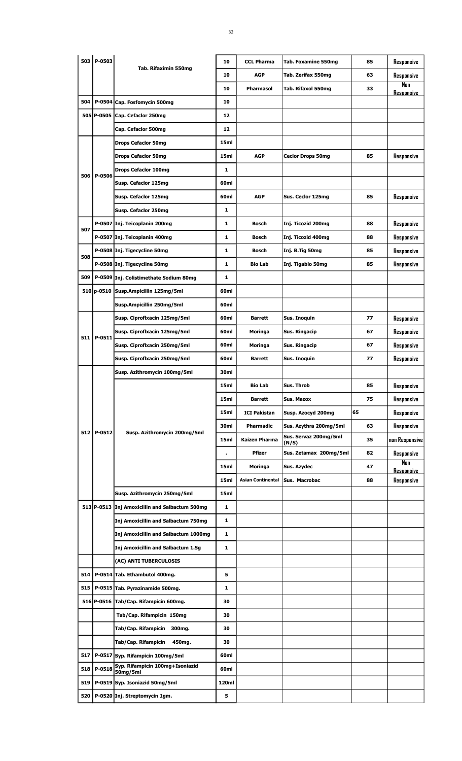|     | 503 P-0503 |                                                | 10           | <b>CCL Pharma</b>        | <b>Tab. Foxamine 550mg</b>     | 85 | Responsive               |
|-----|------------|------------------------------------------------|--------------|--------------------------|--------------------------------|----|--------------------------|
|     |            | Tab. Rifaximin 550mg                           | 10           | <b>AGP</b>               | Tab. Zerifax 550mg             | 63 | Responsive               |
|     |            |                                                | 10           | <b>Pharmasol</b>         | Tab. Rifaxol 550mg             | 33 | Nan<br><b>Resoonsive</b> |
| 504 |            | P-0504 Cap. Fosfomycin 500mg                   | 10           |                          |                                |    |                          |
|     |            | 505 P-0505 Cap. Cefaclor 250mg                 | 12           |                          |                                |    |                          |
|     |            | Cap. Cefaclor 500mg                            | 12           |                          |                                |    |                          |
|     |            | <b>Drops Cefaclor 50mg</b>                     | 15ml         |                          |                                |    |                          |
|     |            | <b>Drops Cefaclor 50mg</b>                     | 15ml         | <b>AGP</b>               | <b>Ceclor Drops 50mg</b>       | 85 | Responsive               |
|     |            | <b>Drops Cefaclor 100mg</b>                    | 1            |                          |                                |    |                          |
| 506 | P-0506     | Susp. Cefaclor 125mg                           | 60ml         |                          |                                |    |                          |
|     |            | Susp. Cefaclor 125mg                           | 60ml         | <b>AGP</b>               | Sus. Ceclor 125mg              | 85 | Responsive               |
|     |            | Susp. Cefaclor 250mg                           | 1            |                          |                                |    |                          |
|     |            | P-0507 Inj. Teicoplanin 200mg                  | 1            | Bosch                    | Inj. Ticozid 200mg             | 88 | Responsive               |
| 507 |            | P-0507 Inj. Teicoplanin 400mg                  | 1            | Bosch                    | Inj. Ticozid 400mg             | 88 | Responsive               |
|     |            | P-0508 Inj. Tigecycline 50mg                   | 1            | <b>Bosch</b>             | Inj. B.Tig 50mg                | 85 | Responsive               |
| 508 |            | P-0508 Inj. Tigecycline 50mg                   | 1            | <b>Bio Lab</b>           | Inj. Tigabio 50mg              | 85 | Responsive               |
| 509 |            | P-0509 Inj. Colistimethate Sodium 80mg         | 1            |                          |                                |    |                          |
|     |            | 510   p-0510   Susp. Ampicillin 125mg/5ml      | 60ml         |                          |                                |    |                          |
|     |            | Susp.Ampicillin 250mg/5ml                      | 60ml         |                          |                                |    |                          |
|     |            | Susp. Ciprofixacin 125mg/5ml                   | 60ml         | <b>Barrett</b>           | Sus. Inoquin                   | 77 | Responsive               |
|     |            | Susp. Ciprofixacin 125mg/5ml                   | 60ml         | Moringa                  | Sus. Ringacip                  | 67 | Responsive               |
| 511 | P-0511     | Susp. Ciprofixacin 250mg/5ml                   | 60ml         | Moringa                  | Sus. Ringacip                  | 67 | Responsive               |
|     |            | Susp. Ciproflxacin 250mg/5ml                   | 60ml         | <b>Barrett</b>           | Sus. Inoquin                   | 77 | Responsive               |
|     |            | Susp. Azithromycin 100mg/5ml                   | 30ml         |                          |                                |    |                          |
|     |            |                                                | 15ml         | <b>Bio Lab</b>           | Sus. Throb                     | 85 | Responsive               |
|     |            |                                                | 15ml         | <b>Barrett</b>           | Sus. Mazox                     | 75 | Responsive               |
|     |            |                                                | 15ml         | <b>ICI Pakistan</b>      | Susp. Azocyd 200mg             | 65 | Responsive               |
| 512 | P-0512     | Susp. Azithromycin 200mg/5ml                   | 30ml         | Pharmadic                | Sus. Azythra 200mg/5ml         | 63 | Responsive               |
|     |            |                                                | 15ml         | <b>Kaizen Pharma</b>     | Sus. Servaz 200mg/5ml<br>(N/S) | 35 | non Responsive           |
|     |            |                                                |              | <b>Pfizer</b>            | Sus. Zetamax 200mg/5ml         | 82 | Responsive               |
|     |            |                                                | 15ml         | Moringa                  | Sus. Azydec                    | 47 | Nan<br>Resoonsive        |
|     |            |                                                | 15ml         | <b>Asian Continental</b> | Sus. Macrobac                  | 88 | Responsive               |
|     |            | Susp. Azithromycin 250mg/5ml                   | 15ml         |                          |                                |    |                          |
|     |            | 513 P-0513 Inj Amoxicillin and Salbactum 500mg | 1            |                          |                                |    |                          |
|     |            | <b>Inj Amoxicillin and Salbactum 750mg</b>     | $\mathbf{1}$ |                          |                                |    |                          |
|     |            | Inj Amoxicillin and Salbactum 1000mg           | $\mathbf{1}$ |                          |                                |    |                          |
|     |            | Inj Amoxicillin and Salbactum 1.5g             | $\mathbf{1}$ |                          |                                |    |                          |
|     |            | (AC) ANTI TUBERCULOSIS                         |              |                          |                                |    |                          |
| 514 |            | P-0514 Tab. Ethambutol 400mg.                  | 5            |                          |                                |    |                          |
| 515 |            | P-0515 Tab. Pyrazinamide 500mg.                | 1            |                          |                                |    |                          |
|     |            | 516 P-0516 Tab/Cap. Rifampicin 600mg.          | 30           |                          |                                |    |                          |
|     |            | Tab/Cap. Rifampicin 150mg                      | 30           |                          |                                |    |                          |
|     |            | Tab/Cap. Rifampicin 300mg.                     | 30           |                          |                                |    |                          |
|     |            | Tab/Cap. Rifampicin<br>450mg.                  | 30           |                          |                                |    |                          |
| 517 |            | P-0517 Syp. Rifampicin 100mg/5ml               | 60ml         |                          |                                |    |                          |
| 518 | P-0518     | Syp. Rifampicin 100mg+Isoniazid<br>50mg/5ml    | 60ml         |                          |                                |    |                          |
| 519 |            | P-0519 Syp. Isoniazid 50mg/5ml                 | 120ml        |                          |                                |    |                          |
| 520 |            | P-0520 Inj. Streptomycin 1gm.                  | 5            |                          |                                |    |                          |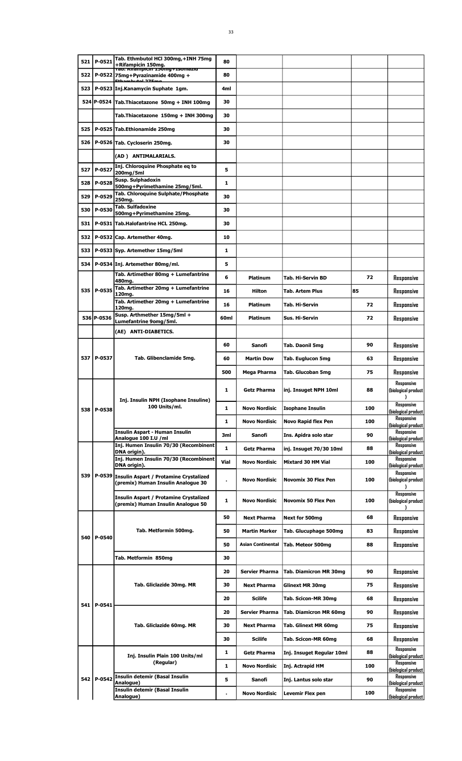| P-0521<br>521<br>80<br>+Rifampicin 150mg.<br>Tap. Kuampicin 150mg+150mazid<br>522<br>P-0522 75mg+Pyrazinamide 400mg +<br>80                                 |                                          |
|-------------------------------------------------------------------------------------------------------------------------------------------------------------|------------------------------------------|
|                                                                                                                                                             |                                          |
|                                                                                                                                                             |                                          |
| 523<br>P-0523 Inj.Kanamycin Suphate 1gm.<br>4ml                                                                                                             |                                          |
| 524 P-0524<br>Tab.Thiacetazone 50mg + INH 100mg<br>30                                                                                                       |                                          |
| Tab.Thiacetazone 150mg + INH 300mg<br>30                                                                                                                    |                                          |
| 525<br>P-0525 Tab.Ethionamide 250mg<br>30                                                                                                                   |                                          |
| 526<br>P-0526 Tab. Cycloserin 250mg.<br>30                                                                                                                  |                                          |
| (AD) ANTIMALARIALS.                                                                                                                                         |                                          |
| Inj. Chloroquine Phosphate eq to<br>527<br>P-0527<br>5                                                                                                      |                                          |
| 200mg/5ml<br>Susp. Sulphadoxin<br>P-0528<br>528<br>1                                                                                                        |                                          |
| 500mg+Pyrimethamine 25mg/5ml.<br>Tab. Chloroquine Sulphate/Phosphate                                                                                        |                                          |
| 529<br>P-0529<br>30<br>250ma.<br><b>Tab. Sulfadoxine</b>                                                                                                    |                                          |
| 530<br>P-0530<br>30<br>500mg+Pyrimethamine 25mg.                                                                                                            |                                          |
| P-0531 Tab.Halofantrine HCL 250mg.<br>531<br>30                                                                                                             |                                          |
| 532<br>P-0532 Cap. Artemether 40mg.<br>10                                                                                                                   |                                          |
| 533<br>P-0533 Syp. Artemether 15mg/5ml<br>1                                                                                                                 |                                          |
| 534<br>P-0534 Inj. Artemether 80mg/ml.<br>5                                                                                                                 |                                          |
| Tab. Artimether 80mg + Lumefantrine<br>6<br>Platinum<br>Tab. Hi-Servin BD<br>480mg.                                                                         | 72<br>Responsive                         |
| Tab. Artimether 20mg + Lumefantrine<br>535   P-0535<br>16<br>Hilton<br>Tab. Artem Plus<br>120mg.                                                            | 85<br>Responsive                         |
| Tab. Artimether 20mg + Lumefantrine<br>16<br><b>Platinum</b><br>Tab. Hi-Servin                                                                              | 72<br>Responsive                         |
| 120mg.<br>Susp. Arthmether 15mg/5ml +<br>536lP-0536<br>60ml<br>Platinum<br>Sus. Hi-Servin                                                                   | 72<br>Responsive                         |
| Lumefantrine 9omg/5ml.<br>(AE) ANTI-DIABETICS.                                                                                                              |                                          |
|                                                                                                                                                             |                                          |
| 60<br>Sanofi<br>Tab. Daonil 5mg                                                                                                                             | 90<br>Responsive                         |
| 537 P-0537<br>Tab. Glibenclamide 5mg.<br>60<br><b>Martin Dow</b><br>Tab. Euglucon 5mg                                                                       | 63<br>Responsive                         |
| 500<br>Mega Pharma<br>Tab. Glucoban 5mg                                                                                                                     | 75<br>Responsive                         |
| ı<br>Getz Pharma<br>inj. Insuget NPH 10ml<br>Inj. Insulin NPH (Isophane Insuline)                                                                           | Responsive<br>88<br>(biological product  |
| 100 Units/ml.<br>1<br><b>Novo Nordisic</b><br><b>Isophane Insulin</b><br>538 P-0538                                                                         | Responsive<br>100<br>(biological product |
| 1<br><b>Novo Nordisic</b><br>Novo Rapid flex Pen                                                                                                            | Responsive<br>100<br>(biological product |
| Insulin Aspart - Human Insulin<br>3ml<br>Sanofi<br>Ins. Apidra solo star<br>Analoque 100 I.U /ml                                                            | Responsive<br>90<br>(biological product  |
| Inj. Humen Insulin 70/30 (Recombinent<br>1<br>inj. Insuget 70/30 10ml<br>Getz Pharma                                                                        | Responsive<br>88                         |
| DNA origin).<br>Inj. Humen Insulin 70/30 (Recombinent<br>Vial<br><b>Novo Nordisic</b><br><b>Mixtard 30 HM Vial</b>                                          | (biological product<br>Responsive<br>100 |
| DNA origin).<br>539                                                                                                                                         | (biological product<br>Responsive        |
| P-0539 Insulin Aspart / Protamine Crystalized<br><b>Novo Nordisic</b><br><b>Novomix 30 Flex Pen</b><br>$\blacksquare$<br>(premix) Human Insulin Analogue 30 | 100<br>(biological product<br>Responsive |
| Insulin Aspart / Protamine Crystalized<br>1<br><b>Novo Nordisic</b><br><b>Novomix 50 Flex Pen</b><br>(premix) Human Insulin Analogue 50                     | 100<br>(biological product               |
| 50<br><b>Next Pharma</b><br>Next for 500mg                                                                                                                  | Responsive<br>68                         |
| Tab. Metformin 500mg.<br>50<br><b>Martin Marker</b><br>Tab. Glucuphage 500mg<br>540<br>P-0540                                                               | 83<br>Responsive                         |
| 50<br>Asian Continental<br>Tab. Meteor 500mg                                                                                                                | 88<br>Responsive                         |
| Tab. Metformin 850mg<br>30                                                                                                                                  |                                          |
| <b>Servier Pharma</b><br>20<br><b>Tab. Diamicron MR 30mg</b>                                                                                                | 90<br>Responsive                         |
| Tab. Gliclazide 30mg. MR<br>30<br><b>Next Pharma</b><br>Glinext MR 30mg                                                                                     | 75<br>Responsive                         |
| 20<br><b>Scilife</b><br>Tab. Scicon-MR 30mg                                                                                                                 | 68<br>Responsive                         |
| 541 l<br>P-0541<br>20<br><b>Servier Pharma</b><br>Tab. Diamicron MR 60mg                                                                                    | 90<br>Responsive                         |
| Tab. Gliclazide 60mg. MR<br>30<br><b>Next Pharma</b><br>Tab. Glinext MR 60mg                                                                                | 75<br>Responsive                         |
| 30<br><b>Scilife</b><br>Tab. Scicon-MR 60mg                                                                                                                 | 68                                       |
|                                                                                                                                                             | Responsive<br>Responsive                 |
| 1<br><b>Getz Pharma</b><br>Inj. Insuget Regular 10ml<br>Inj. Insulin Plain 100 Units/ml<br>(Regular)                                                        | 88<br>(biological product<br>Responsive  |
| $\mathbf{1}$<br><b>Novo Nordisic</b><br>Inj. Actrapid HM                                                                                                    | 100<br>(biological product               |
| <b>Insulin detemir (Basal Insulin</b><br>542 P-0542<br>5<br>Sanofi<br>Inj. Lantus solo star<br>Analogue)                                                    | Responsive<br>90<br>(biological product  |
| Insulin detemir (Basal Insulin<br><b>Novo Nordisic</b><br>Levemir Flex pen<br>$\blacksquare$<br>Analogue)                                                   | Responsive<br>100<br>(biological product |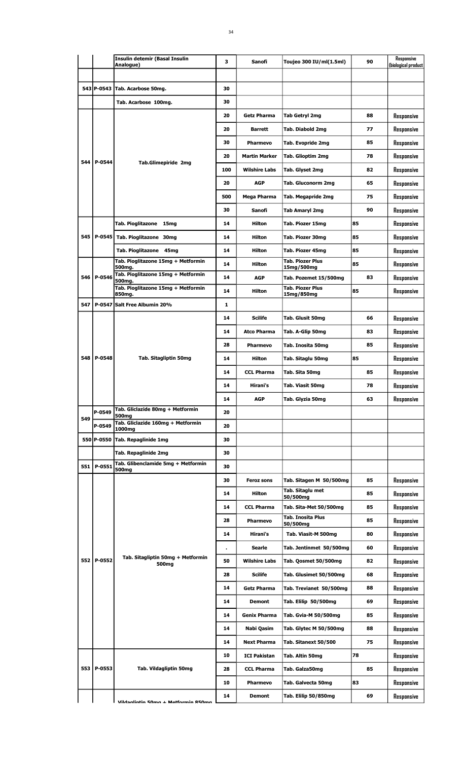|     |            | <b>Insulin detemir (Basal Insulin</b><br>Analogue)         | 3   | Sanofi               | Toujeo 300 IU/ml(1.5ml)                     | 90 | Responsive<br>(biological product |
|-----|------------|------------------------------------------------------------|-----|----------------------|---------------------------------------------|----|-----------------------------------|
|     |            |                                                            |     |                      |                                             |    |                                   |
|     | 543 P-0543 | Tab. Acarbose 50mg.                                        | 30  |                      |                                             |    |                                   |
|     |            | Tab. Acarbose 100mg.                                       | 30  |                      |                                             |    |                                   |
|     |            |                                                            | 20  | <b>Getz Pharma</b>   | Tab Getryl 2mg                              | 88 | Responsive                        |
|     |            |                                                            | 20  | <b>Barrett</b>       | Tab. Diabold 2mg                            | 77 | Responsive                        |
|     |            |                                                            | 30  | Pharmevo             | Tab. Evopride 2mg                           | 85 | Responsive                        |
|     |            |                                                            | 20  | <b>Martin Marker</b> | Tab. Glioptim 2mg                           | 78 | Responsive                        |
|     | 544 P-0544 | <b>Tab.Glimepiride 2mg</b>                                 | 100 | <b>Wilshire Labs</b> | Tab. Glyset 2mg                             | 82 | Responsive                        |
|     |            |                                                            | 20  | <b>AGP</b>           | Tab. Gluconorm 2mg                          | 65 | Responsive                        |
|     |            |                                                            | 500 | Mega Pharma          | Tab. Megapride 2mg                          | 75 | Responsive                        |
|     |            |                                                            | 30  | Sanofi               | Tab Amaryl 2mg                              | 90 | Responsive                        |
|     |            | Tab. Pioglitazone 15mg                                     | 14  | <b>Hilton</b>        | Tab. Piozer 15mg                            | 85 | Responsive                        |
|     | 545 P-0545 | Tab. Pioglitazone 30mg                                     | 14  | <b>Hilton</b>        | Tab. Piozer 30mg                            | 85 | Responsive                        |
|     |            | Tab. Pioglitazone 45mg                                     | 14  | <b>Hilton</b>        | Tab. Piozer 45mg                            | 85 | Responsive                        |
|     |            | Tab. Pioglitazone 15mg + Metformin                         | 14  | <b>Hilton</b>        | <b>Tab. Piozer Plus</b>                     | 85 | Responsive                        |
|     | 546 P-0546 | 500mg.<br>Tab. Pioglitazone 15mg + Metformin               | 14  | <b>AGP</b>           | 15mg/500mg<br>Tab. Pozemet 15/500mg         | 83 | Responsive                        |
|     |            | 500mg.<br>Tab. Pioglitazone 15mg + Metformin               | 14  | <b>Hilton</b>        | <b>Tab. Piozer Plus</b>                     | 85 | Responsive                        |
|     |            | 850mg.<br>547 P-0547 Salt Free Albumin 20%                 | 1   |                      | 15mg/850mg                                  |    |                                   |
|     |            |                                                            | 14  | <b>Scilife</b>       |                                             | 66 |                                   |
|     |            |                                                            | 14  | <b>Atco Pharma</b>   | Tab. Glusit 50mg                            | 83 | Responsive                        |
|     |            |                                                            | 28  | <b>Pharmevo</b>      | Tab. A-Glip 50mg                            |    | Responsive                        |
|     | 548 P-0548 | Tab. Sitagliptin 50mg                                      |     |                      | Tab. Inosita 50mg                           | 85 | Responsive                        |
|     |            |                                                            | 14  | Hilton               | Tab. Sitaglu 50mg                           | 85 | Responsive                        |
|     |            |                                                            | 14  | <b>CCL Pharma</b>    | Tab. Sita 50mg                              | 85 | Responsive                        |
|     |            |                                                            | 14  | Hirani's             | Tab. Viasit 50mg                            | 78 | Responsive                        |
|     |            | Tab. Gliclazide 80mg + Metformin                           | 14  | <b>AGP</b>           | Tab. Glyzia 50mg                            | 63 | Responsive                        |
| 549 | P-0549     | 500 <sub>mg</sub><br>Tab. Gliclazide 160mg + Metformin     | 20  |                      |                                             |    |                                   |
|     | P-0549     | 1000mg                                                     | 20  |                      |                                             |    |                                   |
|     |            | 550 P-0550 Tab. Repaglinide 1mg                            | 30  |                      |                                             |    |                                   |
|     |            | Tab. Repaglinide 2mg<br>Tab. Glibenclamide 5mg + Metformin | 30  |                      |                                             |    |                                   |
|     | 551 P-0551 | 500mg                                                      | 30  |                      |                                             |    |                                   |
|     |            |                                                            | 30  | <b>Feroz sons</b>    | Tab. Sitagen M 50/500mg<br>Tab. Sitaglu met | 85 | Responsive                        |
|     |            |                                                            | 14  | Hilton               | 50/500mg                                    | 85 | Responsive                        |
|     |            |                                                            | 14  | <b>CCL Pharma</b>    | Tab. Sita-Met 50/500mg<br>Tab. Inosita Plus | 85 | Responsive                        |
|     |            |                                                            | 28  | Pharmevo             | 50/500mg                                    | 85 | Responsive                        |
|     |            |                                                            | 14  | Hirani's             | Tab. Viasit-M 500mg                         | 80 | Responsive                        |
|     |            | Tab. Sitagliptin 50mg + Metformin                          |     | Searle               | Tab. Jentinmet 50/500mg                     | 60 | Responsive                        |
|     | 552 P-0552 | 500mg                                                      | 50  | <b>Wilshire Labs</b> | Tab. Qosmet 50/500mg                        | 82 | Responsive                        |
|     |            |                                                            | 28  | <b>Scilife</b>       | Tab. Glusimet 50/500mg                      | 68 | Responsive                        |
|     |            |                                                            | 14  | <b>Getz Pharma</b>   | Tab. Trevianet 50/500mg                     | 88 | Responsive                        |
|     |            |                                                            | 14  | Demont               | Tab. Elilip 50/500mg                        | 69 | Responsive                        |
|     |            |                                                            | 14  | Genix Pharma         | Tab. Gvia-M 50/500mg                        | 85 | Responsive                        |
|     |            |                                                            | 14  | Nabi Qasim           | Tab. Glytec M 50/500mg                      | 88 | Responsive                        |
|     |            |                                                            | 14  | <b>Next Pharma</b>   | Tab. Sitanext 50/500                        | 75 | Responsive                        |
|     |            |                                                            | 10  | <b>ICI Pakistan</b>  | Tab. Altin 50mg                             | 78 | Responsive                        |
|     | 553 P-0553 | Tab. Vildagliptin 50mg                                     | 28  | <b>CCL Pharma</b>    | Tab. Galza50mg                              | 85 | Responsive                        |
|     |            |                                                            | 10  | Pharmevo             | Tab. Galvecta 50mg                          | 83 | Responsive                        |
|     |            | Vildaglintin 50mg + Metformin 850mg                        | 14  | <b>Demont</b>        | Tab. Elilip 50/850mg                        | 69 | Responsive                        |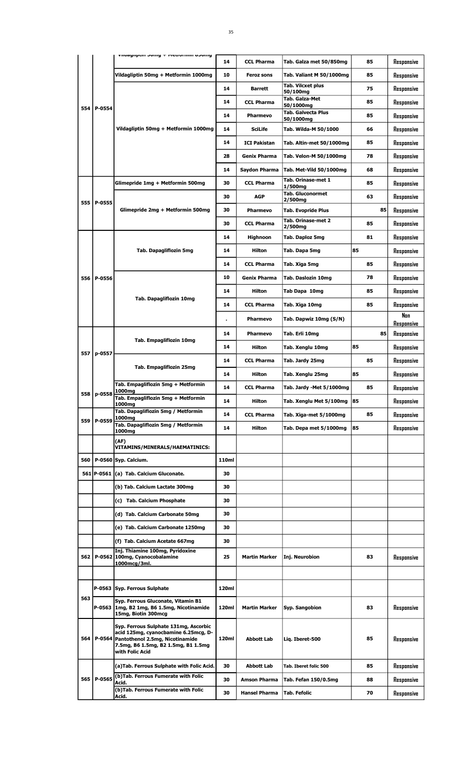|     |              | שוועכס וווווווטוסדיו ד צוווטכ ווואקוופטווי                                                                                                                                 |       |                      |                                        |    |                          |
|-----|--------------|----------------------------------------------------------------------------------------------------------------------------------------------------------------------------|-------|----------------------|----------------------------------------|----|--------------------------|
|     |              |                                                                                                                                                                            | 14    | <b>CCL Pharma</b>    | Tab. Galza met 50/850mg                | 85 | Responsive               |
|     |              | Vildagliptin 50mg + Metformin 1000mg                                                                                                                                       | 10    | <b>Feroz sons</b>    | Tab. Valiant M 50/1000mg               | 85 | Responsive               |
|     |              |                                                                                                                                                                            | 14    | <b>Barrett</b>       | Tab. Vilcxet plus<br>50/100mg          | 75 | Responsive               |
|     |              |                                                                                                                                                                            | 14    | <b>CCL Pharma</b>    | Tab. Galza-Met<br>50/1000mg            | 85 | Responsive               |
| 554 | P-0554       |                                                                                                                                                                            | 14    | <b>Pharmevo</b>      | <b>Tab. Galvecta Plus</b><br>50/1000mg | 85 | Responsive               |
|     |              | Vildagliptin 50mg + Metformin 1000mg                                                                                                                                       | 14    | <b>SciLife</b>       | Tab. Wilda-M 50/1000                   | 66 | Responsive               |
|     |              |                                                                                                                                                                            | 14    | <b>ICI Pakistan</b>  | Tab. Altin-met 50/1000mg               | 85 | Responsive               |
|     |              |                                                                                                                                                                            | 28    | <b>Genix Pharma</b>  | Tab. Velon-M 50/1000mg                 | 78 | Responsive               |
|     |              |                                                                                                                                                                            | 14    | Saydon Pharma        | Tab. Met-Vild 50/1000mg                | 68 | Responsive               |
|     |              | Glimepride 1mg + Metformin 500mg                                                                                                                                           | 30    | <b>CCL Pharma</b>    | Tab. Orinase-met 1<br>1/500mg          | 85 | Responsive               |
|     |              |                                                                                                                                                                            | 30    | <b>AGP</b>           | <b>Tab. Gluconormet</b><br>2/500mg     | 63 | Responsive               |
| 555 | P-0555       | Glimepride 2mg + Metformin 500mg                                                                                                                                           | 30    | Pharmevo             | <b>Tab. Evopride Plus</b>              | 85 | Responsive               |
|     |              |                                                                                                                                                                            | 30    | <b>CCL Pharma</b>    | Tab. Orinase-met 2<br>2/500mg          | 85 | Responsive               |
|     |              |                                                                                                                                                                            | 14    | Highnoon             | Tab. Daploz 5mg                        | 81 | Responsive               |
|     |              | <b>Tab. Dapagliflozin 5mg</b>                                                                                                                                              | 14    | <b>Hilton</b>        | Tab. Dapa 5mg                          | 85 | Responsive               |
|     |              |                                                                                                                                                                            | 14    | <b>CCL Pharma</b>    | Tab. Xiga 5mg                          | 85 | Responsive               |
| 556 | P-0556       |                                                                                                                                                                            | 10    | <b>Genix Pharma</b>  | Tab. Daslozin 10mg                     | 78 | Responsive               |
|     |              |                                                                                                                                                                            | 14    | Hilton               | Tab Dapa 10mg                          | 85 | Responsive               |
|     |              | Tab. Dapagliflozin 10mg                                                                                                                                                    | 14    | <b>CCL Pharma</b>    | Tab. Xiga 10mg                         | 85 | Responsive               |
|     |              |                                                                                                                                                                            |       | <b>Pharmevo</b>      | Tab. Dapwiz 10mg (S/N)                 |    | Nan                      |
|     |              |                                                                                                                                                                            | 14    | <b>Pharmevo</b>      | Tab. Erli 10mg                         | 85 | Responsive<br>Responsive |
|     |              | Tab. Empagliflozin 10mg                                                                                                                                                    | 14    | <b>Hilton</b>        | Tab. Xenglu 10mg                       | 85 | Responsive               |
| 557 | p-0557       |                                                                                                                                                                            | 14    | <b>CCL Pharma</b>    | Tab. Jardy 25mg                        | 85 |                          |
|     |              | Tab. Empagliflozin 25mg                                                                                                                                                    | 14    | <b>Hilton</b>        | Tab. Xenglu 25mg                       | 85 | Responsive               |
|     |              | Tab. Empagliflozin 5mg + Metformin                                                                                                                                         | 14    |                      |                                        | 85 | Responsive               |
|     | 558   p-0558 | 1000mg<br>Tab. Empagliflozin 5mg + Metformin                                                                                                                               |       | <b>CCL Pharma</b>    | Tab. Jardy -Met 5/1000mg               |    | Responsive               |
|     |              | 1000mg<br>Tab. Dapagliflozin 5mg / Metformin                                                                                                                               | 14    | Hilton               | Tab. Xenglu Met 5/100mg 85             |    | Responsive               |
| 559 | P-0559       | 1000mg<br>Tab. Dapagliflozin 5mg / Metformin                                                                                                                               | 14    | <b>CCL Pharma</b>    | Tab. Xiga-met 5/1000mg                 | 85 | Responsive               |
|     |              | 1000mg<br>(AF)                                                                                                                                                             | 14    | Hilton               | Tab. Depa met 5/1000mg                 | 85 | Responsive               |
|     |              | <b>VITAMINS/MINERALS/HAEMATINICS:</b>                                                                                                                                      |       |                      |                                        |    |                          |
| 560 |              | P-0560 Syp. Calcium.                                                                                                                                                       | 110ml |                      |                                        |    |                          |
|     | 561 P-0561   | (a) Tab. Calcium Gluconate.                                                                                                                                                | 30    |                      |                                        |    |                          |
|     |              | (b) Tab. Calcium Lactate 300mg                                                                                                                                             | 30    |                      |                                        |    |                          |
|     |              | (c) Tab. Calcium Phosphate                                                                                                                                                 | 30    |                      |                                        |    |                          |
|     |              | (d) Tab. Calcium Carbonate 50mg                                                                                                                                            | 30    |                      |                                        |    |                          |
|     |              | (e) Tab. Calcium Carbonate 1250mg                                                                                                                                          | 30    |                      |                                        |    |                          |
|     |              | (f) Tab. Calcium Acetate 667mg                                                                                                                                             | 30    |                      |                                        |    |                          |
| 562 | P-0562       | Inj. Thiamine 100mg, Pyridoxine<br>100mg, Cyanocobalamine<br>1000mcg/3ml.                                                                                                  | 25    | <b>Martin Marker</b> | Inj. Neurobion                         | 83 | Responsive               |
|     |              |                                                                                                                                                                            |       |                      |                                        |    |                          |
|     |              | P-0563 Syp. Ferrous Sulphate                                                                                                                                               | 120ml |                      |                                        |    |                          |
| 563 | P-0563       | Syp. Ferrous Gluconate, Vitamin B1<br>1mg, B2 1mg, B6 1.5mg, Nicotinamide<br>15mg, Biotin 300mcg                                                                           | 120ml | Martin Marker        | Syp. Sangobion                         | 83 | Responsive               |
| 564 | $P-0564$     | Syp. Ferrous Sulphate 131mg, Ascorbic<br>acid 125mg, cyanocbamine 6.25mcg, D-<br>Pantothenol 2.5mg, Nicotinamide<br>7.5mg, B6 1.5mg, B2 1.5mg, B1 1.5mg<br>with Folic Acid | 120ml | <b>Abbott Lab</b>    | Liq. Iberet-500                        | 85 | Responsive               |
|     |              | (a) Tab. Ferrous Sulphate with Folic Acid.                                                                                                                                 | 30    | <b>Abbott Lab</b>    | Tab. Iberet folic 500                  | 85 | Responsive               |
|     | 565 P-0565   | (b)Tab. Ferrous Fumerate with Folic<br>Acid.                                                                                                                               | 30    | <b>Amson Pharma</b>  | Tab. Fefan 150/0.5mg                   | 88 | Responsive               |
|     |              | (b)Tab. Ferrous Fumerate with Folic<br>Acid.                                                                                                                               | 30    | <b>Hansel Pharma</b> | <b>Tab. Fefolic</b>                    | 70 | Responsive               |
|     |              |                                                                                                                                                                            |       |                      |                                        |    |                          |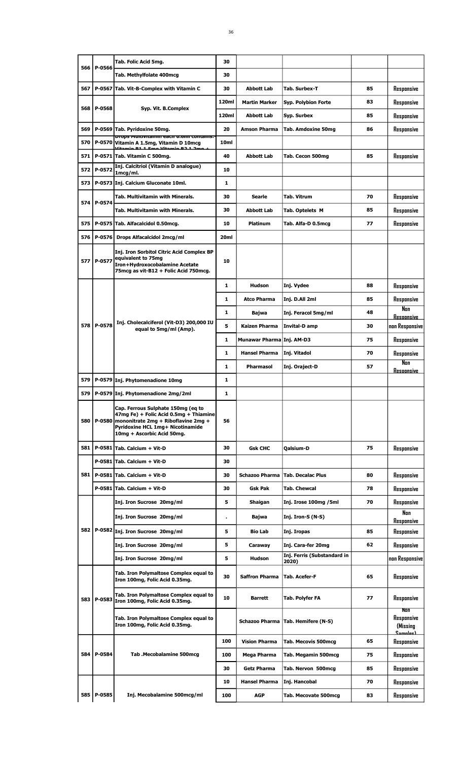|     |              | Tab. Folic Acid 5mg.                                                                                                                                                                                 | 30               |                           |                                      |    |                                                  |
|-----|--------------|------------------------------------------------------------------------------------------------------------------------------------------------------------------------------------------------------|------------------|---------------------------|--------------------------------------|----|--------------------------------------------------|
| 566 | P-0566       | Tab. Methylfolate 400mcg                                                                                                                                                                             | 30               |                           |                                      |    |                                                  |
| 567 |              | P-0567 Tab. Vit-B-Complex with Vitamin C                                                                                                                                                             | 30               | <b>Abbott Lab</b>         | Tab. Surbex-T                        | 85 | Responsive                                       |
|     |              |                                                                                                                                                                                                      | 120ml            | <b>Martin Marker</b>      | <b>Syp. Polybion Forte</b>           | 83 | Responsive                                       |
| 568 | P-0568       | Syp. Vit. B.Complex                                                                                                                                                                                  | 120ml            | <b>Abbott Lab</b>         | Syp. Surbex                          | 85 | Responsive                                       |
| 569 |              | P-0569 Tab. Pyridoxine 50mg.                                                                                                                                                                         | 20               | <b>Amson Pharma</b>       | <b>Tab. Amdoxine 50mg</b>            | 86 | Responsive                                       |
| 570 |              | props multivitamin each 0.6ml contains:<br>P-0570 Vitamin A 1.5mg, Vitamin D 10mcg<br>itanin D1 1 Ema Vitanin D3 1 3r                                                                                | 10 <sub>ml</sub> |                           |                                      |    |                                                  |
| 571 |              | P-0571 Tab. Vitamin C 500mg.                                                                                                                                                                         | 40               | <b>Abbott Lab</b>         | Tab. Cecon 500mg                     | 85 | Responsive                                       |
| 572 | P-0572       | Inj. Calcitriol (Vitamin D analogue)<br>1mcg/ml.                                                                                                                                                     | 10               |                           |                                      |    |                                                  |
| 573 |              | P-0573 Inj. Calcium Gluconate 10ml.                                                                                                                                                                  | 1                |                           |                                      |    |                                                  |
|     |              | Tab. Multivitamin with Minerals.                                                                                                                                                                     | 30               | Searle                    | <b>Tab. Vitrum</b>                   | 70 | Responsive                                       |
| 574 | P-0574       | <b>Tab. Multivitamin with Minerals.</b>                                                                                                                                                              | 30               | <b>Abbott Lab</b>         | Tab. Optelets M                      | 85 | Responsive                                       |
| 575 |              | P-0575 Tab. Alfacalcidol 0.50mcg.                                                                                                                                                                    | 10               | <b>Platinum</b>           | Tab. Alfa-D 0.5mcg                   | 77 | Responsive                                       |
| 576 | P-0576       | Drops Alfacalcidol 2mcg/ml                                                                                                                                                                           | 20ml             |                           |                                      |    |                                                  |
|     | 577   P-0577 | Inj. Iron Sorbitol Citric Acid Complex BP<br>equivalent to 75mg<br>Iron+Hydroxocobalamine Acetate<br>75mcg as vit-B12 + Folic Acid 750mcg.                                                           | 10               |                           |                                      |    |                                                  |
|     |              |                                                                                                                                                                                                      | $\mathbf{1}$     | <b>Hudson</b>             | Inj. Vydee                           | 88 | Responsive                                       |
|     |              |                                                                                                                                                                                                      | 1                | <b>Atco Pharma</b>        | Inj. D.All 2ml                       | 85 | Responsive                                       |
|     |              |                                                                                                                                                                                                      | 1                | Bajwa                     | Inj. Feracol 5mg/ml                  | 48 | Non<br><b>Resoonsive</b>                         |
|     | 578 P-0578   | Inj. Cholecalciferol (Vit-D3) 200,000 IU<br>equal to 5mg/ml (Amp).                                                                                                                                   | 5                | <b>Kaizen Pharma</b>      | Invital-D amp                        | 30 | non Responsive                                   |
|     |              |                                                                                                                                                                                                      | 1                | Munawar Pharma Inj. AM-D3 |                                      | 75 | Responsive                                       |
|     |              |                                                                                                                                                                                                      | 1                | <b>Hansel Pharma</b>      | Inj. Vitadol                         | 70 | Responsive                                       |
|     |              |                                                                                                                                                                                                      | 1                | Pharmasol                 | Inj. Oraject-D                       | 57 | Nan<br><u>Resoonsive</u>                         |
| 579 |              | P-0579 Inj. Phytomenadione 10mg                                                                                                                                                                      | 1                |                           |                                      |    |                                                  |
|     |              | 579   P-0579 Inj. Phytomenadione 2mg/2ml                                                                                                                                                             | 1                |                           |                                      |    |                                                  |
|     |              | Cap. Ferrous Sulphate 150mg (eq to<br>47mg Fe) + Folic Acid 0.5mg + Thiamine<br>580   P-0580   mononitrate 2mg + Riboflavine 2mg +<br>Pyridoxine HCL 1mg+ Nicotinamide<br>10mg + Ascorbic Acid 50mg. | 56               |                           |                                      |    |                                                  |
| 581 |              | P-0581 Tab. Calcium + Vit-D                                                                                                                                                                          | 30               | <b>Gsk CHC</b>            | Qalsium-D                            | 75 | Responsive                                       |
|     |              | P-0581 Tab. Calcium + Vit-D                                                                                                                                                                          | 30               |                           |                                      |    |                                                  |
| 581 |              | P-0581 Tab. Calcium + Vit-D                                                                                                                                                                          | 30               | Schazoo Pharma            | <b>Tab. Decalac Plus</b>             | 80 | Responsive                                       |
|     |              | P-0581 Tab. Calcium + Vit-D                                                                                                                                                                          | 30               | Gsk Pak                   | Tab. Chewcal                         | 78 | Responsive                                       |
|     |              | Inj. Iron Sucrose 20mg/ml                                                                                                                                                                            | 5                | Shaigan                   | Inj. Irose 100mg /5ml                | 70 | Responsive                                       |
|     |              | Inj. Iron Sucrose 20mg/ml                                                                                                                                                                            | $\blacksquare$   | Bajwa                     | Inj. Iron-S (N-S)                    |    | Nan<br>Responsive                                |
|     |              | 582   P-0582   Inj. Iron Sucrose 20mg/ml                                                                                                                                                             | 5                | <b>Bio Lab</b>            | Inj. Iropas                          | 85 | Responsive                                       |
|     |              | Inj. Iron Sucrose 20mg/ml                                                                                                                                                                            | 5                | Caraway                   | Inj. Cara-fer 20mg                   | 62 | Responsive                                       |
|     |              | Inj. Iron Sucrose 20mg/ml                                                                                                                                                                            | 5                | Hudson                    | Inj. Ferris (Substandard in<br>2020) |    | non Responsive                                   |
|     |              | Tab. Iron Polymaltose Complex equal to<br>Iron 100mg, Folic Acid 0.35mg.                                                                                                                             | 30               | <b>Saffron Pharma</b>     | Tab. Acefer-F                        | 65 | Responsive                                       |
|     | 583 P-0583   | Tab. Iron Polymaltose Complex equal to<br>Iron 100mg, Folic Acid 0.35mg.                                                                                                                             | 10               | <b>Barrett</b>            | Tab. Polyfer FA                      | 77 | Responsive                                       |
|     |              | Tab. Iron Polymaltose Complex equal to<br>Iron 100mg, Folic Acid 0.35mg.                                                                                                                             |                  | Schazoo Pharma            | Tab. Hemifere (N-S)                  |    | Non<br>Responsive<br>(Missing<br><u>Camalaa)</u> |
|     |              |                                                                                                                                                                                                      | 100              | <b>Vision Pharma</b>      | Tab. Mecovis 500mcg                  | 65 | Responsive                                       |
|     | 584 P-0584   | Tab .Mecobalamine 500mcg                                                                                                                                                                             | 100              | Mega Pharma               | Tab. Megamin 500mcg                  | 75 | Responsive                                       |
|     |              |                                                                                                                                                                                                      | 30               | Getz Pharma               | Tab. Nervon 500mcg                   | 85 | Responsive                                       |
|     |              |                                                                                                                                                                                                      | 10               | <b>Hansel Pharma</b>      | Inj. Hancobal                        | 70 | Responsive                                       |
|     | 585 P-0585   | Inj. Mecobalamine 500mcg/ml                                                                                                                                                                          | 100              | AGP                       | Tab. Mecovate 500mcg                 | 83 | Responsive                                       |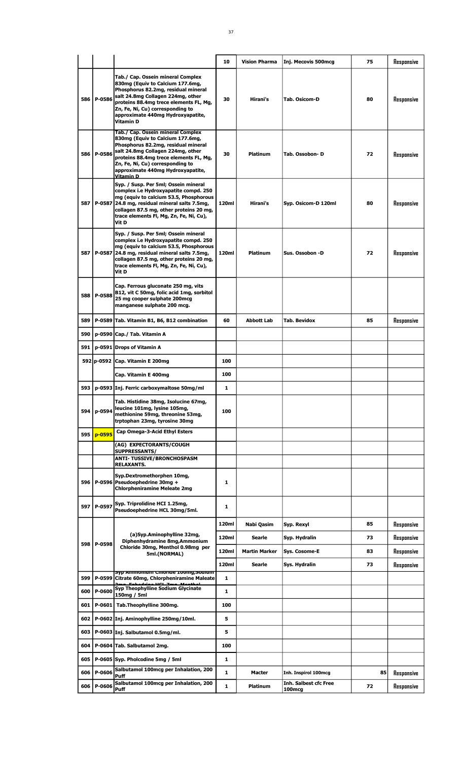|       |            |                                                                                                                                                                                                                                                                                   | 10           | <b>Vision Pharma</b> | Inj. Mecovis 500mcg                                | 75 | Responsive |
|-------|------------|-----------------------------------------------------------------------------------------------------------------------------------------------------------------------------------------------------------------------------------------------------------------------------------|--------------|----------------------|----------------------------------------------------|----|------------|
| 586   | P-0586     | Tab./ Cap. Ossein mineral Complex<br>830mg (Equiv to Calcium 177.6mg,<br>Phosphorus 82.2mg, residual mineral<br>salt 24.8mg Collagen 224mg, other<br>proteins 88.4mg trece elements FL, Mg,<br>Zn, Fe, Ni, Cu) corresponding to<br>approximate 440mg Hydroxyapatite,<br>Vitamin D | 30           | Hirani's             | <b>Tab. Osicom-D</b>                               | 80 | Responsive |
| 586 l | P-0586     | Tab./ Cap. Ossein mineral Complex<br>830mg (Equiv to Calcium 177.6mg,<br>Phosphorus 82.2mg, residual mineral<br>salt 24.8mg Collagen 224mg, other<br>proteins 88.4mg trece elements FL, Mg,<br>Zn, Fe, Ni, Cu) corresponding to<br>approximate 440mg Hydroxyapatite,<br>Vitamin D | 30           | <b>Platinum</b>      | Tab. Ossobon-D                                     | 72 | Responsive |
| 587   |            | Syp. / Susp. Per 5ml; Ossein mineral<br>complex i.e Hydroxyapatite compd. 250<br>mg (equiv to calcium 53.5, Phosphorous<br>P-0587 24.8 mg, residual mineral salts 7.5mg,<br>collagen 87.5 mg, other proteins 20 mg,<br>trace elements Fl, Mg, Zn, Fe, Ni, Cu),<br>Vit D           | 120ml        | Hirani's             | Syp. Osicom-D 120ml                                | 80 | Responsive |
| 587   |            | Syp. / Susp. Per 5ml; Ossein mineral<br>complex i.e Hydroxyapatite compd. 250<br>mg (equiv to calcium 53.5, Phosphorous<br>P-0587 24.8 mg, residual mineral salts 7.5mg,<br>collagen 87.5 mg, other proteins 20 mg,<br>trace elements Fl, Mg, Zn, Fe, Ni, Cu),<br>Vit D           | 120ml        | <b>Platinum</b>      | Sus. Ossobon -D                                    | 72 | Responsive |
| 588   | P-0588     | Cap. Ferrous gluconate 250 mg, vits<br>B12, vit C 50mg, folic acid 1mg, sorbitol<br>25 mg cooper sulphate 200mcg<br>manganese sulphate 200 mcg.                                                                                                                                   |              |                      |                                                    |    |            |
| 589   |            | P-0589 Tab. Vitamin B1, B6, B12 combination                                                                                                                                                                                                                                       | 60           | Abbott Lab           | Tab. Bevidox                                       | 85 | Responsive |
| 590   |            | p-0590 Cap./ Tab. Vitamin A                                                                                                                                                                                                                                                       |              |                      |                                                    |    |            |
| 591   |            | p-0591 Drops of Vitamin A                                                                                                                                                                                                                                                         |              |                      |                                                    |    |            |
|       |            | 592 p-0592 Cap. Vitamin E 200mg                                                                                                                                                                                                                                                   | 100          |                      |                                                    |    |            |
|       |            | Cap. Vitamin E 400mg                                                                                                                                                                                                                                                              | 100          |                      |                                                    |    |            |
|       |            | 593   p-0593   Inj. Ferric carboxymaltose 50mg/ml                                                                                                                                                                                                                                 | 1            |                      |                                                    |    |            |
| 594   | p-0594     | Tab. Histidine 38mg, Isolucine 67mg,<br>leucine 101mg, lysine 105mg,<br>methionine 59mg, threonine 53mg,<br>trptophan 23mg, tyrosine 30mg                                                                                                                                         | 100          |                      |                                                    |    |            |
| 595   | $p - 0595$ | Cap Omega-3-Acid Ethyl Esters                                                                                                                                                                                                                                                     |              |                      |                                                    |    |            |
|       |            | (AG) EXPECTORANTS/COUGH<br><b>SUPPRESSANTS/</b>                                                                                                                                                                                                                                   |              |                      |                                                    |    |            |
|       |            | <b>ANTI- TUSSIVE/BRONCHOSPASM</b><br><b>RELAXANTS.</b>                                                                                                                                                                                                                            |              |                      |                                                    |    |            |
| 596   |            | Syp.Dextromethorphen 10mg,<br>P-0596 Pseudoephedrine 30mg +<br><b>Chlorpheniramine Meleate 2mg</b>                                                                                                                                                                                | 1            |                      |                                                    |    |            |
| 597   | P-0597     | Syp. Triprolidine HCI 1.25mg,<br>Pseudoephedrine HCL 30mg/5ml.                                                                                                                                                                                                                    | 1            |                      |                                                    |    |            |
|       |            |                                                                                                                                                                                                                                                                                   | 120ml        | Nabi Qasim           | Syp. Rexyl                                         | 85 | Responsive |
|       |            | (a)Syp.Aminophylline 32mg,<br>Diphenhydramine 8mg, Ammonium                                                                                                                                                                                                                       | 120ml        | Searle               | Syp. Hydralin                                      | 73 | Responsive |
| 598   | P-0598     | Chloride 30mg, Menthol 0.98mg per<br>5ml.(NORMAL)                                                                                                                                                                                                                                 | 120ml        | <b>Martin Marker</b> | Sys. Cosome-E                                      | 83 | Responsive |
|       |            |                                                                                                                                                                                                                                                                                   | 120ml        | Searle               | Sys. Hydralin                                      | 73 | Responsive |
| 599   |            | <u>syp Ammomum Cmoriae Ioomg,souium</u><br>P-0599 Citrate 60mg, Chlorpheniramine Maleate                                                                                                                                                                                          | 1            |                      |                                                    |    |            |
| 600   | P-0600     | Syp Theophylline Sodium Glycinate<br>150mg / 5ml                                                                                                                                                                                                                                  | 1            |                      |                                                    |    |            |
| 601   | $P-0601$   | Tab.Theophylline 300mg.                                                                                                                                                                                                                                                           | 100          |                      |                                                    |    |            |
| 602   |            | P-0602 Inj. Aminophylline 250mg/10ml.                                                                                                                                                                                                                                             | 5            |                      |                                                    |    |            |
| 603   |            | P-0603 Inj. Salbutamol 0.5mg/ml.                                                                                                                                                                                                                                                  | 5            |                      |                                                    |    |            |
| 604   |            | P-0604 Tab. Salbutamol 2mg.                                                                                                                                                                                                                                                       | 100          |                      |                                                    |    |            |
| 605   |            | P-0605 Syp. Pholcodine 5mg / 5ml                                                                                                                                                                                                                                                  | 1            |                      |                                                    |    |            |
| 606   | P-0606     | Salbutamol 100mcg per Inhalation, 200<br><b>Puff</b>                                                                                                                                                                                                                              | 1            | Macter               | Inh. Inspirol 100mcg                               | 85 | Responsive |
| 606   | P-0606     | Salbutamol 100mcg per Inhalation, 200<br><b>Puff</b>                                                                                                                                                                                                                              | $\mathbf{1}$ | <b>Platinum</b>      | <b>Inh. Salbest cfc Free</b><br>100 <sub>mcg</sub> | 72 | Responsive |
|       |            |                                                                                                                                                                                                                                                                                   |              |                      |                                                    |    |            |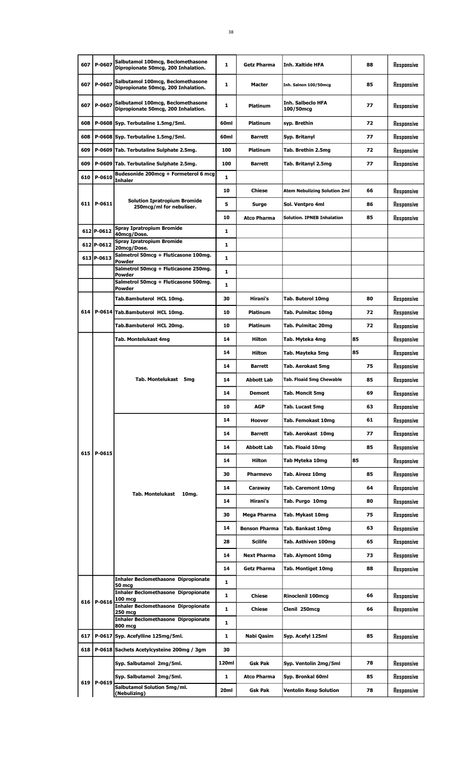| 607 | P-0607       | Salbutamol 100mcg, Beclomethasone<br>Dipropionate 50mcg, 200 Inhalation. | 1            | <b>Getz Pharma</b>   | <b>Inh. Xaltide HFA</b>               | 88 | Responsive |
|-----|--------------|--------------------------------------------------------------------------|--------------|----------------------|---------------------------------------|----|------------|
| 607 | P-0607       | Salbutamol 100mcg, Beclomethasone<br>Dipropionate 50mcg, 200 Inhalation. | $\mathbf{1}$ | <b>Macter</b>        | Inh. Salnon 100/50mcg                 | 85 | Responsive |
| 607 | P-0607       | Salbutamol 100mcg, Beclomethasone<br>Dipropionate 50mcg, 200 Inhalation. | 1            | <b>Platinum</b>      | <b>Inh. Salbeclo HFA</b><br>100/50mcg | 77 | Responsive |
| 608 |              | P-0608 Syp. Terbutaline 1.5mg/5ml.                                       | 60ml         | Platinum             | syp. Brethin                          | 72 | Responsive |
| 608 |              | P-0608 Syp. Terbutaline 1.5mg/5ml.                                       | 60ml         | <b>Barrett</b>       | Syp. Britanyl                         | 77 | Responsive |
| 609 |              | P-0609 Tab. Terbutaline Sulphate 2.5mg.                                  | 100          | <b>Platinum</b>      | Tab. Brethin 2.5mg                    | 72 | Responsive |
| 609 |              | P-0609 Tab. Terbutaline Sulphate 2.5mg.                                  | 100          | <b>Barrett</b>       | Tab. Britanyl 2.5mg                   | 77 | Responsive |
| 610 | P-0610       | Budesonide 200mcg + Formeterol 6 mcg<br>Inhaler                          | 1            |                      |                                       |    |            |
|     |              |                                                                          | 10           | <b>Chiese</b>        | Atem Nebulizing Solution 2ml          | 66 | Responsive |
|     | 611   P-0611 | <b>Solution Ipratropium Bromide</b><br>250mcg/ml for nebuliser.          | 5            | Surge                | Sol. Ventpro 4ml                      | 86 | Responsive |
|     |              |                                                                          | 10           | <b>Atco Pharma</b>   | <b>Solution. IPNEB Inhalation</b>     | 85 | Responsive |
|     | 612 P-0612   | <b>Spray Ipratropium Bromide</b>                                         | 1            |                      |                                       |    |            |
|     | 612 P-0612   | 40mcg/Dose.<br><b>Spray Ipratropium Bromide</b>                          | 1            |                      |                                       |    |            |
|     | 613 P-0613   | 20mcg/Dose.<br>Salmetrol 50mcg + Fluticasone 100mg.                      | 1            |                      |                                       |    |            |
|     |              | Powder<br>Salmetrol 50mcg + Fluticasone 250mg.                           | $\mathbf{1}$ |                      |                                       |    |            |
|     |              | Powder<br>Salmetrol 50mcg + Fluticasone 500mg.                           | 1            |                      |                                       |    |            |
|     |              | Powder                                                                   |              |                      |                                       |    |            |
|     |              | Tab.Bambuterol HCL 10mg.                                                 | 30           | Hirani's             | Tab. Buterol 10mg                     | 80 | Responsive |
| 614 |              | P-0614 Tab.Bambuterol HCL 10mg.                                          | 10           | Platinum             | Tab. Pulmitac 10mg                    | 72 | Responsive |
|     |              | Tab.Bambuterol HCL 20mg.                                                 | 10           | <b>Platinum</b>      | Tab. Pulmitac 20mg                    | 72 | Responsive |
|     |              | Tab. Montelukast 4mg                                                     | 14           | Hilton               | Tab. Myteka 4mg                       | 85 | Responsive |
|     |              |                                                                          | 14           | Hilton               | Tab. Mayteka 5mg                      | 85 | Resoonsive |
|     |              |                                                                          | 14           | <b>Barrett</b>       | Tab. Aerokast 5mg                     | 75 | Responsive |
|     |              | Tab. Montelukast 5mg                                                     | 14           | <b>Abbott Lab</b>    | Tab. Floaid 5mg Chewable              | 85 | Responsive |
|     |              |                                                                          | 14           | Demont               | Tab. Moncit 5mg                       | 69 | Responsive |
|     |              |                                                                          | 10           | <b>AGP</b>           | Tab. Lucast 5mg                       | 63 | Responsive |
|     |              |                                                                          | 14           | Hoover               | Tab. Femokast 10mg                    | 61 | Responsive |
|     |              |                                                                          | 14           | Barrett              | Tab. Aerokast 10mg                    | 77 | Responsive |
| 615 | P-0615       |                                                                          | 14           | <b>Abbott Lab</b>    | Tab. Floaid 10mg                      | 85 | Responsive |
|     |              |                                                                          | 14           | Hilton               | Tab Myteka 10mg                       | 85 | Responsive |
|     |              |                                                                          | 30           | Pharmevo             | Tab. Aireez 10mg                      | 85 | Responsive |
|     |              |                                                                          | 14           | Caraway              | <b>Tab. Caremont 10mg</b>             | 64 | Responsive |
|     |              | <b>Tab. Montelukast</b><br>10mg.                                         | 14           | Hirani's             | Tab. Purgo 10mg                       | 80 | Responsive |
|     |              |                                                                          | 30           | Mega Pharma          | Tab. Mykast 10mg                      | 75 | Responsive |
|     |              |                                                                          | 14           | <b>Benson Pharma</b> | Tab. Bankast 10mg                     | 63 | Responsive |
|     |              |                                                                          | 28           | <b>Scilife</b>       | Tab. Asthiven 100mg                   | 65 | Responsive |
|     |              |                                                                          | 14           | <b>Next Pharma</b>   | Tab. Aiymont 10mg                     | 73 | Responsive |
|     |              |                                                                          | 14           | Getz Pharma          | <b>Tab. Montiget 10mg</b>             | 88 | Responsive |
|     |              | <b>Inhaler Beclomethasone Dipropionate</b>                               | $\mathbf{1}$ |                      |                                       |    |            |
|     |              | <b>50 mcg</b><br><b>Inhaler Beclomethasone Dipropionate</b>              | $\mathbf{1}$ | <b>Chiese</b>        | <b>Rinoclenil 100mcg</b>              | 66 | Responsive |
|     | 616 P-0616   | 100 mcg<br><b>Inhaler Beclomethasone Dipropionate</b>                    | 1            | <b>Chiese</b>        | Clenil 250mcg                         | 66 | Responsive |
|     |              | 250 mcg<br><b>Inhaler Beclomethasone Dipropionate</b>                    | 1            |                      |                                       |    |            |
| 617 |              | 800 mcg<br>P-0617 Syp. Acefylline 125mg/5ml.                             | 1            | Nabi Qasim           | Syp. Acefyl 125ml                     | 85 | Responsive |
| 618 |              | P-0618 Sachets Acetylcysteine 200mg / 3gm                                | 30           |                      |                                       |    |            |
|     |              | Syp. Salbutamol 2mg/5ml.                                                 | 120ml        | <b>Gsk Pak</b>       | Syp. Ventolin 2mg/5ml                 | 78 | Responsive |
|     |              |                                                                          | $\mathbf{1}$ |                      |                                       |    |            |
| 619 | P-0619       | Syp. Salbutamol 2mg/5ml.<br>Salbutamol Solution 5mg/ml.                  |              | Atco Pharma          | Syp. Bronkal 60ml                     | 85 | Responsive |
|     |              | (Nebulizing)                                                             | 20ml         | <b>Gsk Pak</b>       | <b>Ventolin Resp Solution</b>         | 78 | Responsive |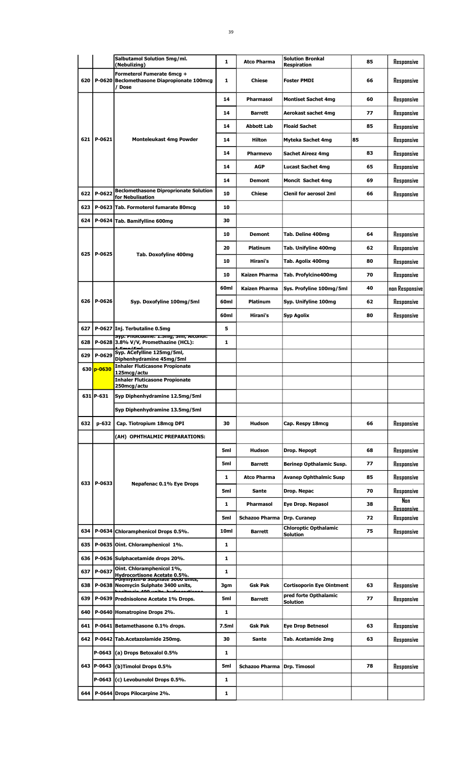|     |              | Salbutamol Solution 5mg/ml.<br>(Nebulizing)                                                   | 1                | <b>Atco Pharma</b>    | <b>Solution Bronkal</b><br><b>Respiration</b> | 85 | Responsive               |
|-----|--------------|-----------------------------------------------------------------------------------------------|------------------|-----------------------|-----------------------------------------------|----|--------------------------|
| 620 |              | Formeterol Fumerate 6mcg +<br>P-0620 Beclomethasone Diapropionate 100mcg<br>/ Dose            | 1                | <b>Chiese</b>         | <b>Foster PMDI</b>                            | 66 | Responsive               |
|     |              |                                                                                               | 14               | <b>Pharmasol</b>      | <b>Montiset Sachet 4mg</b>                    | 60 | Responsive               |
|     |              |                                                                                               | 14               | <b>Barrett</b>        | Aerokast sachet 4mg                           | 77 | Responsive               |
|     |              |                                                                                               | 14               | Abbott Lab            | <b>Floaid Sachet</b>                          | 85 | Responsive               |
|     | 621   P-0621 | <b>Monteleukast 4mg Powder</b>                                                                | 14               | <b>Hilton</b>         | Myteka Sachet 4mg                             | 85 | Responsive               |
|     |              |                                                                                               | 14               | <b>Pharmevo</b>       | <b>Sachet Aireez 4mg</b>                      | 83 | Responsive               |
|     |              |                                                                                               | 14               | <b>AGP</b>            | <b>Lucast Sachet 4mg</b>                      | 65 | Responsive               |
|     |              |                                                                                               | 14               | Demont                | <b>Moncit Sachet 4mg</b>                      | 69 | Responsive               |
| 622 | P-0622       | <b>Beclomethasone Diproprionate Solution</b><br>for Nebulisation                              | 10               | <b>Chiese</b>         | <b>Clenil for aerosol 2ml</b>                 | 66 | Responsive               |
| 623 |              | P-0623 Tab. Formoterol fumarate 80mcg                                                         | 10               |                       |                                               |    |                          |
| 624 |              | P-0624 Tab. Bamifylline 600mg                                                                 | 30               |                       |                                               |    |                          |
|     |              |                                                                                               | 10               | <b>Demont</b>         | Tab. Deline 400mg                             | 64 | Responsive               |
|     | 625 P-0625   | Tab. Doxofyline 400mg                                                                         | 20               | Platinum              | Tab. Unifyline 400mg                          | 62 | Responsive               |
|     |              |                                                                                               | 10               | Hirani's              | Tab. Agolix 400mg                             | 80 | Responsive               |
|     |              |                                                                                               | 10               | Kaizen Pharma         | Tab. Profylcine400mg                          | 70 | Responsive               |
|     |              |                                                                                               | 60ml             | <b>Kaizen Pharma</b>  | Sys. Profyline 100mg/5ml                      | 40 | non Responsive           |
| 626 | P-0626       | Syp. Doxofyline 100mg/5ml                                                                     | 60ml             | <b>Platinum</b>       | Syp. Unifyline 100mg                          | 62 | Responsive               |
|     |              |                                                                                               | 60ml             | Hirani's              | Syp Agolix                                    | 80 | Responsive               |
| 627 |              | P-0627 Inj. Terbutaline 0.5mg                                                                 | 5                |                       |                                               |    |                          |
| 628 |              | syp. Phoicoaine: 1.5mg, 5mi, Alconoi:<br>P-0628 3.8% V/V, Promethazine (HCL):                 | $\mathbf{1}$     |                       |                                               |    |                          |
| 629 | P-0629       | Syp. ACefylline 125mg/5ml,<br>Diphenhydramine 45mg/5ml                                        |                  |                       |                                               |    |                          |
|     | 630 p-0630   | <b>Inhaler Fluticasone Propionate</b><br>125mcg/actu                                          |                  |                       |                                               |    |                          |
|     |              | <b>Inhaler Fluticasone Propionate</b><br>250mcg/actu                                          |                  |                       |                                               |    |                          |
|     | 631 P-631    | Syp Diphenhydramine 12.5mg/5ml                                                                |                  |                       |                                               |    |                          |
|     |              | Syp Diphenhydramine 13.5mg/5ml                                                                |                  |                       |                                               |    |                          |
| 632 | $p - 632$    | Cap. Tiotropium 18mcg DPI                                                                     | 30               | <b>Hudson</b>         | Cap. Respy 18mcg                              | 66 | Responsive               |
|     |              | (AH) OPHTHALMIC PREPARATIONS:                                                                 |                  |                       |                                               |    |                          |
|     |              |                                                                                               | 5ml              | Hudson                | Drop. Nepopt                                  | 68 | Responsive               |
|     |              |                                                                                               | 5ml              | <b>Barrett</b>        | <b>Berinep Opthalamic Susp.</b>               | 77 | Responsive               |
|     |              |                                                                                               | 1                | <b>Atco Pharma</b>    | <b>Avanep Ophthalmic Susp</b>                 | 85 | Responsive               |
| 633 | P-0633       | Nepafenac 0.1% Eye Drops                                                                      | 5ml              | Sante                 | Drop. Nepac                                   | 70 | Responsive               |
|     |              |                                                                                               | 1                | Pharmasol             | <b>Eye Drop. Nepasol</b>                      | 38 | Nan<br><u>Resoonsive</u> |
|     |              |                                                                                               | 5ml              | <b>Schazoo Pharma</b> | Drp. Curanep                                  | 72 | Responsive               |
| 634 |              | P-0634 Chloramphenicol Drops 0.5%.                                                            | 10 <sub>ml</sub> | Barrett               | <b>Chloroptic Opthalamic</b><br>Solution      | 75 | Responsive               |
| 635 |              | P-0635 Oint. Chloramphenicol 1%.                                                              | 1                |                       |                                               |    |                          |
| 636 |              | P-0636 Sulphacetamide drops 20%.                                                              | 1                |                       |                                               |    |                          |
| 637 | P-0637       | Oint. Chloramphenicol 1%,<br>Hydrocortisone Acetate 0.5%.<br>Polymyxin-B Sulphate 5000 units, | 1                |                       |                                               |    |                          |
| 638 |              | P-0638 Neomycin Sulphate 3400 units,                                                          | 3gm              | Gsk Pak               | Cortisoporin Eye Ointment                     | 63 | Responsive               |
| 639 |              | منتسب وومه<br>P-0639 Prednisolone Acetate 1% Drops.                                           | 5ml              | <b>Barrett</b>        | pred forte Opthalamic<br>Solution             | 77 | Responsive               |
| 640 |              | P-0640 Homatropine Drops 2%.                                                                  | 1                |                       |                                               |    |                          |
| 641 | P-0641       | Betamethasone 0.1% drops.                                                                     | 7.5ml            | <b>Gsk Pak</b>        | <b>Eye Drop Betnesol</b>                      | 63 | Responsive               |
| 642 |              | P-0642 Tab.Acetazolamide 250mg.                                                               | 30               | Sante                 | Tab. Acetamide 2mg                            | 63 | Resoonsive               |
|     | P-0643       | (a) Drops Betoxalol 0.5%                                                                      | 1                |                       |                                               |    |                          |
|     | 643   P-0643 | (b)Timolol Drops 0.5%                                                                         | 5ml              | <b>Schazoo Pharma</b> | Drp. Timosol                                  | 78 | Responsive               |
|     | P-0643       | (c) Levobunolol Drops 0.5%.                                                                   | 1                |                       |                                               |    |                          |
| 644 |              | P-0644 Drops Pilocarpine 2%.                                                                  | 1                |                       |                                               |    |                          |
|     |              |                                                                                               |                  |                       |                                               |    |                          |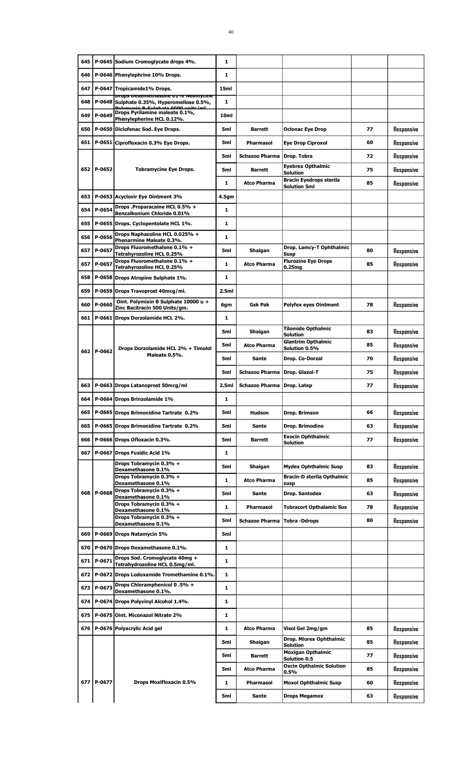|     |            | 645   P-0645 Sodium Cromoglycate drops 4%.                                       | 1                |                           |                                                      |          |                          |
|-----|------------|----------------------------------------------------------------------------------|------------------|---------------------------|------------------------------------------------------|----------|--------------------------|
| 646 |            | P-0646 Phenylephrine 10% Drops.                                                  | 1                |                           |                                                      |          |                          |
| 647 |            | P-0647 Tropicamide1% Drops.                                                      | 15ml             |                           |                                                      |          |                          |
| 648 |            | props pexemetriasone 01% neomycine<br>P-0648 Sulphate 0.35%, Hyperomellose 0.5%, | 1                |                           |                                                      |          |                          |
| 649 | P-0649     | Dehmandia B. Culphato COOO unite (ml.<br>Drops Pyrilamine maleate 0.1%,          | 10 <sub>ml</sub> |                           |                                                      |          |                          |
| 650 |            | Phenylepherine HCL 0.12%.<br>P-0650 Diclofenac Sod. Eye Drops.                   | 5ml              | <b>Barrett</b>            | <b>Oclonac Eye Drop</b>                              | 77       | Responsive               |
|     |            |                                                                                  |                  |                           |                                                      |          |                          |
| 651 |            | P-0651 Ciprofloxacin 0.3% Eye Drops.                                             | 5ml              | <b>Pharmasol</b>          | <b>Eye Drop Ciproxol</b>                             | 60       | Responsive               |
|     |            |                                                                                  | 5ml              | <b>Schazoo Pharma</b>     | Drop. Tobra                                          | 72       | Responsive               |
|     | 652 P-0652 | <b>Tobramycine Eye Drops.</b>                                                    | 5ml              | <b>Barrett</b>            | <b>Eyebrex Opthalmic</b><br>Solution                 | 75       | Responsive               |
|     |            |                                                                                  | 1                | <b>Atco Pharma</b>        | <b>Bracin Eyedrops sterila</b><br>Solution 5ml       | 85       | Responsive               |
| 653 |            | P-0653 Acyclovir Eye Ointment 3%                                                 | 4.5gm            |                           |                                                      |          |                          |
| 654 | P-0654     | Drops .Proparacaine HCL 0.5% +<br>Benzalkonium Chloride 0.01%                    | 1                |                           |                                                      |          |                          |
| 655 |            | P-0655 Drops. Cyclopentolate HCL 1%.                                             | 1                |                           |                                                      |          |                          |
| 656 | P-0656     | Drops Naphazoline HCL 0.025% +                                                   | 1                |                           |                                                      |          |                          |
| 657 | P-0657     | Phenarmine Maleate 0.3%.<br>Drops Fluoromethalone 0.1% +                         | 5ml              | Shaigan                   | Drop. Lamcy-T Ophthalmic                             | 80       | Responsive               |
| 657 | P-0657     | Tetrahyrozoline HCL 0.25%<br>Drops Fluoromethalone 0.1% +                        | 1                | <b>Atco Pharma</b>        | Susp<br><b>Flurozine Eye Drops</b>                   | 85       | Responsive               |
|     |            | Tetrahyrozoline HCL 0.25%                                                        |                  |                           | 0.25mg                                               |          |                          |
| 658 |            | P-0658 Drops Atropine Sulphate 1%.                                               | 1                |                           |                                                      |          |                          |
| 659 |            | P-0659 Drops Travoprost 40mcg/ml.                                                | 2.5ml            |                           |                                                      |          |                          |
| 660 | P-0660     | Oint. Polymixin B Sulphate 10000 u +<br>Zinc Bacitracin 500 Units/gm.            | 6gm              | <b>Gsk Pak</b>            | <b>Polyfex eyes Ointment</b>                         | 78       | Responsive               |
| 661 |            | P-0661 Drops Dorzolamide HCL 2%.                                                 | 1                |                           |                                                      |          |                          |
|     |            |                                                                                  | 5ml              | Shaigan                   | Tilomide Opthalmic<br>Solution                       | 83       | Responsive               |
|     |            | Drops Dorzolamide HCL 2% + Timolol                                               | 5ml              | <b>Atco Pharma</b>        | <b>Glantrim Opthalmic</b><br>Solution 0.5%           | 85       | Responsive               |
|     | 662 P-0662 | Maleate 0.5%.                                                                    | 5ml              | Sante                     | Drop. Co-Dorzal                                      | 70       | Responsive               |
|     |            |                                                                                  | 5ml              | <b>Schazoo Pharma</b>     | Drop. Glazol-T                                       | 75       | Responsive               |
| 663 |            | P-0663 Drops Latanoprost 50mcg/ml                                                | 2.5ml            | <b>Schazoo Pharma</b>     | Drop. Latep                                          | 77       | Responsive               |
|     |            |                                                                                  |                  |                           |                                                      |          |                          |
|     |            |                                                                                  |                  |                           |                                                      |          |                          |
| 664 |            | P-0664 Drops Brinzolamide 1%                                                     | 1                |                           |                                                      |          |                          |
| 665 |            | P-0665 Drops Brimonidine Tartrate 0.2%                                           | 5ml              | <b>Hudson</b>             | Drop. Brimson                                        | 66       | Responsive               |
| 665 |            | P-0665 Drops Brimonidine Tartrate 0.2%                                           | 5ml              | Sante                     | Drop. Brimodine                                      | 63       | Responsive               |
| 666 |            | P-0666 Drops Ofloxacin 0.3%.                                                     | 5ml              | <b>Barrett</b>            | <b>Exocin Ophthalmic</b><br><b>Solution</b>          | 77       | Responsive               |
| 667 |            | P-0667 Drops Fusidic Acid 1%                                                     | $\mathbf{1}$     |                           |                                                      |          |                          |
|     |            | Drops Tobramycin 0.3% +<br>Dexamethasone 0.1%                                    | 5ml              | Shaigan                   | <b>Mydex Ophthalmic Susp</b>                         | 83       | Responsive               |
|     |            | Drops Tobramycin 0.3% +<br>Dexamethasone 0.1%                                    | 1                | <b>Atco Pharma</b>        | <b>Bracin-D sterila Opthalmic</b><br>susp            | 85       | Responsive               |
| 668 | P-0668     | Drops Tobramycin 0.3% +                                                          | 5ml              | Sante                     | Drop. Santodex                                       | 63       | Responsive               |
|     |            | Dexamethasone 0.1%<br>Drops Tobramycin 0.3% +                                    | $\mathbf{1}$     | <b>Pharmasol</b>          | <b>Tobracort Opthalamic Sus</b>                      | 78       | Responsive               |
|     |            | Dexamethasone 0.1%<br>Drops Tobramycin 0.3% +                                    | 5ml              | <b>Schazoo Pharma</b>     | <b>Tobra-Ddrops</b>                                  | 80       |                          |
| 669 |            | Dexamethasone 0.1%                                                               | 5ml              |                           |                                                      |          | Responsive               |
|     |            | P-0669 Drops Natamycin 5%                                                        |                  |                           |                                                      |          |                          |
| 670 |            | P-0670 Drops Dexamethasone 0.1%.<br>Drops Sod. Cromoglycate 40mg +               | $\mathbf{1}$     |                           |                                                      |          |                          |
| 671 | P-0671     | Tetrahydrozoline HCL 0.5mg/ml.                                                   | 1                |                           |                                                      |          |                          |
| 672 |            | P-0672 Drops Lodoxamide Tromethamine 0.1%.                                       | 1                |                           |                                                      |          |                          |
| 673 | P-0673     | Drops Chloramphenicol 0.5% +<br>Dexamethasone 0.1%.                              | 1                |                           |                                                      |          |                          |
| 674 |            | P-0674 Drops Polyvinyl Alcohol 1.4%.                                             | 1                |                           |                                                      |          |                          |
| 675 |            | P-0675 Oint. Miconazol Nitrate 2%                                                | 1                |                           |                                                      |          |                          |
|     |            | 676   P-0676   Polyacrylic Acid gel                                              | 1                | <b>Atco Pharma</b>        | Visol Gel 2mg/gm                                     | 85       | Responsive               |
|     |            |                                                                                  | 5ml              | Shaigan                   | Drop. Miorex Ophthalmic<br>Solution                  | 85       | Responsive               |
|     |            |                                                                                  | 5ml              | <b>Barrett</b>            | <b>Moxigan Opthalmic</b>                             | 77       | Responsive               |
|     |            |                                                                                  | 5ml              | <b>Atco Pharma</b>        | Solution 0.5<br><b>Oxcin Opthalmic Solution</b>      | 85       | Responsive               |
| 677 | P-0677     |                                                                                  |                  |                           | 0.5%                                                 |          |                          |
|     |            | Drops Moxifloxacin 0.5%                                                          | 1<br>5ml         | <b>Pharmasol</b><br>Sante | <b>Moxol Ophthalmic Susp</b><br><b>Drops Megamox</b> | 60<br>63 | Responsive<br>Responsive |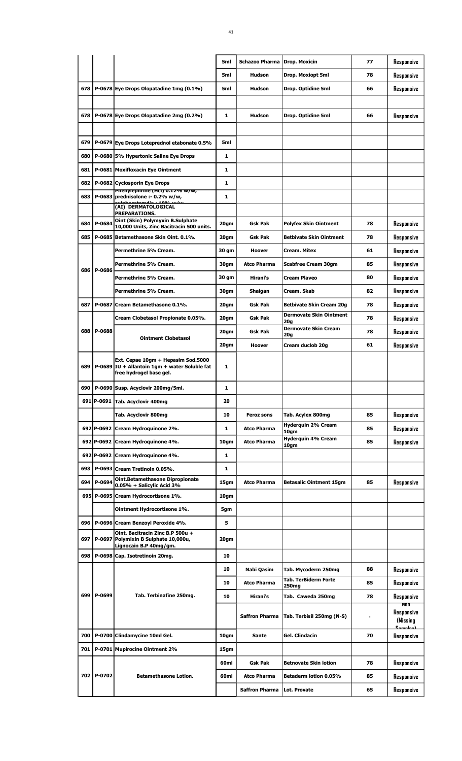|     |            |                                                                                                                | 5ml              | Schazoo Pharma        | Drop. Moxicin                                    | 77 | Responsive                           |
|-----|------------|----------------------------------------------------------------------------------------------------------------|------------------|-----------------------|--------------------------------------------------|----|--------------------------------------|
|     |            |                                                                                                                | 5ml              | <b>Hudson</b>         | Drop. Moxiopt 5ml                                | 78 | Responsive                           |
| 678 |            | P-0678 Eye Drops Olopatadine 1mg (0.1%)                                                                        | 5ml              | <b>Hudson</b>         | Drop. Optidine 5ml                               | 66 | Responsive                           |
|     |            |                                                                                                                |                  |                       |                                                  |    |                                      |
| 678 |            | P-0678 Eye Drops Olopatadine 2mg (0.2%)                                                                        | 1                | Hudson                | Drop. Optidine 5ml                               | 66 | Responsive                           |
|     |            |                                                                                                                |                  |                       |                                                  |    |                                      |
| 679 |            | P-0679 Eye Drops Loteprednol etabonate 0.5%                                                                    | 5ml              |                       |                                                  |    |                                      |
| 680 |            | P-0680 5% Hypertonic Saline Eye Drops                                                                          | 1                |                       |                                                  |    |                                      |
| 681 |            | P-0681 Moxifloxacin Eye Ointment                                                                               | 1                |                       |                                                  |    |                                      |
| 682 |            | P-0682 Cyclosporin Eye Drops                                                                                   | 1                |                       |                                                  |    |                                      |
| 683 |            | <del>, rnenyiepm me (nci) v.12% w/w</del><br>P-0683 prednisolone :- 0.2% w/w,<br>1004ء منامہ                   | $\mathbf{1}$     |                       |                                                  |    |                                      |
|     |            | (AI) DERMATOLOGICAL<br>PREPARATIONS.                                                                           |                  |                       |                                                  |    |                                      |
| 684 | P-0684     | Oint (Skin) Polymyxin B.Sulphate<br>10,000 Units, Zinc Bacitracin 500 units.                                   | 20gm             | <b>Gsk Pak</b>        | <b>Polyfex Skin Ointment</b>                     | 78 | Responsive                           |
| 685 |            | P-0685 Betamethasone Skin Oint. 0.1%.                                                                          | 20gm             | Gsk Pak               | <b>Betbivate Skin Ointment</b>                   | 78 | Responsive                           |
|     |            | Permethrine 5% Cream.                                                                                          | 30 gm            | Hoover                | Cream. Mitex                                     | 61 | Responsive                           |
|     | 686 P-0686 | Permethrine 5% Cream.                                                                                          | 30gm             | <b>Atco Pharma</b>    | <b>Scabfree Cream 30gm</b>                       | 85 | Responsive                           |
|     |            | Permethrine 5% Cream.                                                                                          | 30 gm            | Hirani's              | <b>Cream Plaveo</b>                              | 80 | Responsive                           |
|     |            | Permethrine 5% Cream.                                                                                          | 30gm             | Shaigan               | Cream. Skab                                      | 82 | Responsive                           |
| 687 | P-0687     | lCream Betamethasone 0.1%.                                                                                     | 20gm             | Gsk Pak               | <b>Betbivate Skin Cream 20g</b>                  | 78 | Responsive                           |
|     |            | Cream Clobetasol Propionate 0.05%.                                                                             | 20gm             | Gsk Pak               | <b>Dermovate Skin Ointment</b><br>20q            | 78 | Responsive                           |
| 688 | P-0688     | <b>Ointment Clobetasol</b>                                                                                     | 20gm             | Gsk Pak               | <b>Dermovate Skin Cream</b><br>20g               | 78 | Responsive                           |
|     |            |                                                                                                                | 20gm             | Hoover                | Cream duclob 20g                                 | 61 | Responsive                           |
| 689 |            | Ext. Cepae 10gm + Hepasim Sod.5000<br>P-0689 IU + Allantoin 1gm + water Soluble fat<br>free hydrogel base gel. | 1                |                       |                                                  |    |                                      |
| 690 |            | P-0690 Susp. Acyclovir 200mg/5ml.                                                                              | 1                |                       |                                                  |    |                                      |
|     |            | 691 P-0691 Tab. Acyclovir 400mg                                                                                | 20               |                       |                                                  |    |                                      |
|     |            | Tab. Acyclovir 800mg                                                                                           | 10               | <b>Feroz sons</b>     | Tab. Acylex 800mg                                | 85 | Responsive                           |
|     |            | 692 P-0692 Cream Hydroquinone 2%.                                                                              | 1                | <b>Atco Pharma</b>    | Hyderquin 2% Cream<br>10am                       | 85 | Responsive                           |
|     | 692 P-0692 | Cream Hydroquinone 4%.                                                                                         | 10gm             | <b>Atco Pharma</b>    | <b>Hyderquin 4% Cream</b><br>10am                | 85 | Responsive                           |
|     | 692 P-0692 | Cream Hydroquinone 4%.                                                                                         | 1                |                       |                                                  |    |                                      |
| 693 |            | P-0693 Cream Tretinoin 0.05%.                                                                                  | 1                |                       |                                                  |    |                                      |
| 694 | P-0694     | <b>Oint.Betamethasone Dipropionate</b><br>0.05% + Salicylic Acid 3%                                            | 15gm             | <b>Atco Pharma</b>    | <b>Betasalic Ointment 15gm</b>                   | 85 | Responsive                           |
|     |            | 695   P-0695   Cream Hydrocortisone 1%.                                                                        | 10gm             |                       |                                                  |    |                                      |
|     |            | Ointment Hydrocortisone 1%.                                                                                    | 5gm              |                       |                                                  |    |                                      |
| 696 |            | P-0696 Cream Benzoyl Peroxide 4%.                                                                              | 5                |                       |                                                  |    |                                      |
| 697 |            | Oint. Bacitracin Zinc B.P 500u +<br>P-0697 Polymixin B Sulphate 10,000u,<br>Lignocain B.P 40mg/gm.             | 20gm             |                       |                                                  |    |                                      |
| 698 |            | P-0698 Cap. Isotretinoin 20mg.                                                                                 | 10               |                       |                                                  |    |                                      |
|     |            |                                                                                                                | 10               | Nabi Qasim            | Tab. Mycoderm 250mg                              | 88 | Responsive                           |
|     |            |                                                                                                                | 10               | <b>Atco Pharma</b>    | <b>Tab. TerBiderm Forte</b><br>250 <sub>mg</sub> | 85 | Responsive                           |
|     | 699 P-0699 | Tab. Terbinafine 250mg.                                                                                        | 10               | Hirani's              | Tab. Caweda 250mg                                | 78 | Responsive<br>NON                    |
|     |            |                                                                                                                |                  | <b>Saffron Pharma</b> | Tab. Terbisil 250mg (N-S)                        |    | Responsive<br>(Missing<br>$Camalach$ |
| 700 |            | P-0700 Clindamycine 10ml Gel.                                                                                  | 10gm             | Sante                 | Gel. Clindacin                                   | 70 | Responsive                           |
| 701 |            | P-0701 Mupirocine Ointment 2%                                                                                  | 15gm             |                       |                                                  |    |                                      |
|     |            |                                                                                                                | 60ml             | Gsk Pak               | <b>Betnovate Skin lotion</b>                     | 78 | Responsive                           |
|     | 702 P-0702 | <b>Betamethasone Lotion.</b>                                                                                   | 60 <sub>ml</sub> | <b>Atco Pharma</b>    | Betaderm lotion 0.05%                            | 85 | Responsive                           |
|     |            |                                                                                                                |                  | <b>Saffron Pharma</b> | Lot. Provate                                     | 65 | Responsive                           |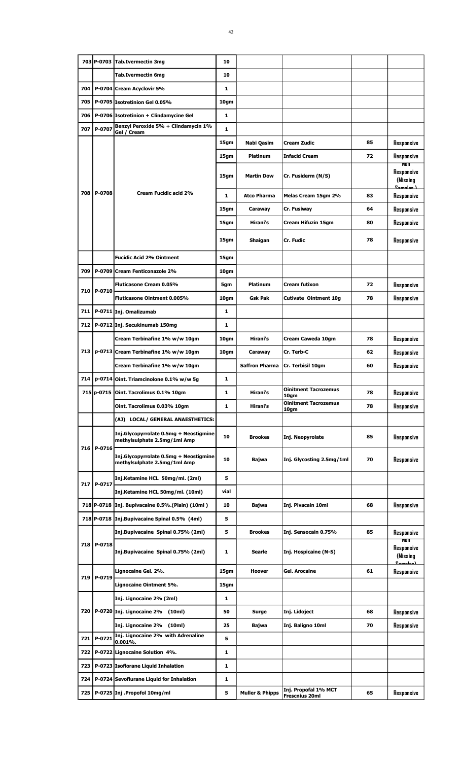|       |              | 703 P-0703 Tab.Ivermectin 3mg                                          | 10           |                            |                                               |    |                                           |
|-------|--------------|------------------------------------------------------------------------|--------------|----------------------------|-----------------------------------------------|----|-------------------------------------------|
|       |              | Tab.Ivermectin 6mg                                                     | 10           |                            |                                               |    |                                           |
| 704   |              | P-0704 Cream Acyclovir 5%                                              | $\mathbf{1}$ |                            |                                               |    |                                           |
| 705   |              | P-0705 Isotretinion Gel 0.05%                                          | $10q$ m      |                            |                                               |    |                                           |
| 706   |              | P-0706 Isotretinion + Clindamycine Gel                                 | $\mathbf{1}$ |                            |                                               |    |                                           |
| 707   | P-0707       | Benzyl Peroxide 5% + Clindamycin 1%<br>Gel / Cream                     | 1            |                            |                                               |    |                                           |
|       |              |                                                                        | 15gm         | Nabi Qasim                 | <b>Cream Zudic</b>                            | 85 | Responsive                                |
|       |              |                                                                        | 15gm         | <b>Platinum</b>            | <b>Infacid Cream</b>                          | 72 | Responsive                                |
|       |              |                                                                        | 15gm         | <b>Martin Dow</b>          | Cr. Fusiderm (N/S)                            |    | Non<br>Responsive<br>(Missing             |
|       | 708 P-0708   | <b>Cream Fucidic acid 2%</b>                                           | 1            | <b>Atco Pharma</b>         | Melas Cream 15gm 2%                           | 83 | Camplan 1<br>Responsive                   |
|       |              |                                                                        | 15gm         | Caraway                    | Cr. Fusiway                                   | 64 | Responsive                                |
|       |              |                                                                        | 15gm         | Hirani's                   | Cream Hifuzin 15gm                            | 80 | Responsive                                |
|       |              |                                                                        | 15gm         | Shaigan                    | Cr. Fudic                                     | 78 | Responsive                                |
|       |              | <b>Fucidic Acid 2% Ointment</b>                                        | 15gm         |                            |                                               |    |                                           |
| 709   |              | P-0709 Cream Fenticonazole 2%                                          | 10gm         |                            |                                               |    |                                           |
|       |              | Fluticasone Cream 0.05%                                                | 5gm          | <b>Platinum</b>            | Cream futixon                                 | 72 | Responsive                                |
| 710   | P-0710       | Fluticasone Ointment 0.005%                                            | 10gm         | Gsk Pak                    | Cutivate Ointment 10g                         | 78 | Responsive                                |
| 711   |              | P-0711 Inj. Omalizumab                                                 | 1            |                            |                                               |    |                                           |
| 712   |              | P-0712 Inj. Secukinumab 150mg                                          | 1            |                            |                                               |    |                                           |
|       |              | Cream Terbinafine 1% w/w 10gm                                          | 10gm         | Hirani's                   | Cream Caweda 10gm                             | 78 | Responsive                                |
| 713 I |              | p-0713 Cream Terbinafine 1% w/w 10gm                                   | 10gm         | Caraway                    | Cr. Terb-C                                    | 62 | Responsive                                |
|       |              | Cream Terbinafine 1% w/w 10gm                                          |              | <b>Saffron Pharma</b>      | Cr. Terbisil 10gm                             | 60 | Responsive                                |
| 714   |              | p-0714 Oint. Triamcinolone $0.1\%$ w/w 5g                              | 1            |                            |                                               |    |                                           |
|       |              | 715 p-0715 Oint. Tacrolimus 0.1% 10gm                                  | 1            | Hirani's                   | <b>Oinitment Tacrozemus</b><br>10gm           | 78 | Responsive                                |
|       |              | Oint. Tacrolimus 0.03% 10gm                                            | $\mathbf{1}$ | Hirani's                   | <b>Oinitment Tacrozemus</b><br>10gm           | 78 | Responsive                                |
|       |              | (AJ) LOCAL/ GENERAL ANAESTHETICS:                                      |              |                            |                                               |    |                                           |
|       |              | Inj.Glycopyrrolate 0.5mg + Neostigmine<br>methylsulphate 2.5mg/1ml Amp | 10           | <b>Brookes</b>             | Inj. Neopyrolate                              | 85 | Responsive                                |
|       | 716   P-0716 | Inj.Glycopyrrolate 0.5mg + Neostigmine<br>methylsulphate 2.5mg/1ml Amp | 10           | Bajwa                      | Inj. Glycosting 2.5mg/1ml                     | 70 | Responsive                                |
|       |              | Inj.Ketamine HCL 50mg/ml. (2ml)                                        | 5            |                            |                                               |    |                                           |
|       | 717   P-0717 | Inj.Ketamine HCL 50mg/ml. (10ml)                                       | vial         |                            |                                               |    |                                           |
|       |              | 718 P-0718   Inj. Bupivacaine 0.5%. (Plain) (10ml)                     | 10           | Bajwa                      | Inj. Pivacain 10ml                            | 68 | Responsive                                |
|       |              | 718 P-0718 Inj.Bupivacaine Spinal 0.5% (4ml)                           | 5            |                            |                                               |    |                                           |
|       |              | Inj.Bupivacaine Spinal 0.75% (2ml)                                     | 5            | <b>Brookes</b>             | Inj. Sensocain 0.75%                          | 85 | Responsive                                |
|       | 718 P-0718   | Inj.Bupivacaine Spinal 0.75% (2ml)                                     | 1            | Searle                     | Inj. Hospicaine (N-S)                         |    | Non<br>Responsive<br>(Missing<br>لمملمسمى |
|       |              | Lignocaine Gel. 2%.                                                    | 15gm         | Hoover                     | Gel. Arocaine                                 | 61 | Responsive                                |
|       | 719   P-0719 | Lignocaine Ointment 5%.                                                | 15gm         |                            |                                               |    |                                           |
|       |              | Inj. Lignocaine 2% (2ml)                                               | 1            |                            |                                               |    |                                           |
|       |              | 720   P-0720   Inj. Lignocaine 2% (10ml)                               | 50           | Surge                      | Inj. Lidoject                                 | 68 | Responsive                                |
|       |              | Inj. Lignocaine 2% (10ml)                                              | 25           | Bajwa                      | Inj. Baligno 10ml                             | 70 | Responsive                                |
| 721   | P-0721       | Inj. Lignocaine 2% with Adrenaline<br>$0.001%$ .                       | 5            |                            |                                               |    |                                           |
|       |              | 722   P-0722   Lignocaine Solution 4%.                                 | 1            |                            |                                               |    |                                           |
| 723   |              | P-0723 Isoflorane Liquid Inhalation                                    | 1            |                            |                                               |    |                                           |
|       |              | 724   P-0724 Sevoflurane Liquid for Inhalation                         | 1            |                            |                                               |    |                                           |
|       |              | 725   P-0725   Inj . Propofol 10mg/ml                                  | 5            | <b>Muller &amp; Phipps</b> | Inj. Propofal 1% MCT<br><b>Frescnius 20ml</b> | 65 | Responsive                                |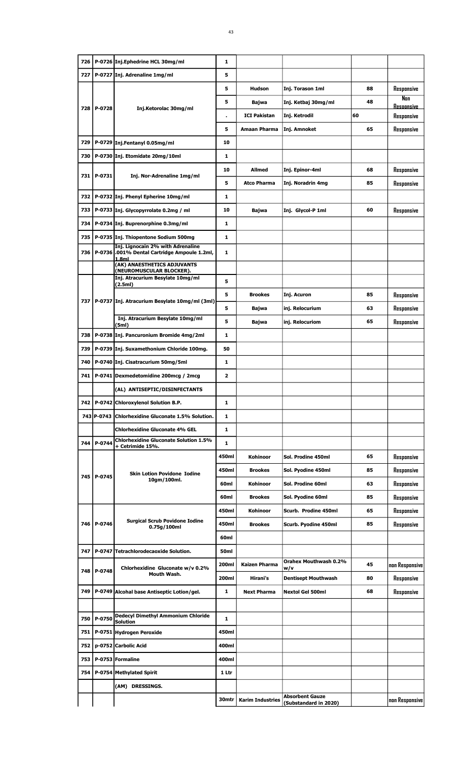| 726   |              | P-0726 Inj.Ephedrine HCL 30mg/ml                                                      | 1                |                         |                            |    |                          |
|-------|--------------|---------------------------------------------------------------------------------------|------------------|-------------------------|----------------------------|----|--------------------------|
| 727   |              | P-0727 Inj. Adrenaline 1mg/ml                                                         | 5                |                         |                            |    |                          |
|       |              |                                                                                       | 5                | Hudson                  | Inj. Torason 1ml           | 88 | Responsive               |
|       |              |                                                                                       | 5                | Bajwa                   | Inj. Ketbaj 30mg/ml        | 48 | Non<br><b>Resoonsive</b> |
|       | 728   P-0728 | Inj.Ketorolac 30mg/ml                                                                 |                  | <b>ICI Pakistan</b>     | Inj. Ketrodil              | 60 | Responsive               |
|       |              |                                                                                       | 5                | Amaan Pharma            | Inj. Amnoket               | 65 | Responsive               |
| 729   |              | P-0729 Inj.Fentanyl 0.05mg/ml                                                         | 10               |                         |                            |    |                          |
| 730   |              | P-0730 Inj. Etomidate 20mg/10ml                                                       | 1                |                         |                            |    |                          |
|       |              |                                                                                       | 10               | Allmed                  | Inj. Epinor-4ml            | 68 | Responsive               |
| 731 I | P-0731       | Inj. Nor-Adrenaline 1mg/ml                                                            | 5                | <b>Atco Pharma</b>      | Inj. Noradrin 4mg          | 85 | Responsive               |
| 732   |              | P-0732 Inj. Phenyl Epherine 10mg/ml                                                   | 1                |                         |                            |    |                          |
| 733   |              | P-0733 Inj. Glycopyrrolate 0.2mg / ml                                                 | 10               | Bajwa                   | Inj. Glycol-P 1ml          | 60 | Responsive               |
| 734   |              | P-0734 Inj. Buprenorphine 0.3mg/ml                                                    | 1                |                         |                            |    |                          |
| 735   |              | P-0735 Inj. Thiopentone Sodium 500mg                                                  | 1                |                         |                            |    |                          |
| 736   |              | Inj. Lignocain 2% with Adrenaline<br>P-0736 .001% Dental Cartridge Ampoule 1.2ml,     | 1                |                         |                            |    |                          |
|       |              | 1.8ml<br>(AK) ANAESTHETICS ADJUVANTS                                                  |                  |                         |                            |    |                          |
|       |              | (NEUROMUSCULAR BLOCKER).<br>Inj. Atracurium Besylate 10mg/ml                          | 5                |                         |                            |    |                          |
|       |              | (2.5ml)                                                                               |                  |                         |                            |    |                          |
| 737   |              | P-0737 Inj. Atracurium Besylate 10mg/ml (3ml)                                         | 5                | <b>Brookes</b>          | Inj. Acuron                | 85 | Responsive               |
|       |              | Inj. Atracurium Besylate 10mg/ml                                                      | 5                | Bajwa                   | inj. Relocurium            | 63 | Responsive               |
|       |              | (5ml)                                                                                 | 5                | Bajwa                   | inj. Relocuriom            | 65 | Responsive               |
| 738   |              | P-0738 Inj. Pancuronium Bromide 4mg/2ml                                               | 1                |                         |                            |    |                          |
| 739   |              | P-0739 Inj. Suxamethonium Chloride 100mg.                                             | 50               |                         |                            |    |                          |
| 740   |              | P-0740 Inj. Cisatracurium 50mg/5ml                                                    | 1                |                         |                            |    |                          |
| 741   |              | P-0741 Dexmedetomidine 200mcg / 2mcg                                                  | $\overline{2}$   |                         |                            |    |                          |
|       |              | (AL) ANTISEPTIC/DISINFECTANTS                                                         |                  |                         |                            |    |                          |
|       |              | 742   P-0742 Chloroxylenol Solution B.P.                                              | 1                |                         |                            |    |                          |
|       | 743 P-0743   | <b>Chlorhexidine Gluconate 1.5% Solution.</b>                                         | $\mathbf{1}$     |                         |                            |    |                          |
|       |              | <b>Chlorhexidine Gluconate 4% GEL</b><br><b>Chlorhexidine Gluconate Solution 1.5%</b> | $\mathbf{1}$     |                         |                            |    |                          |
| 744   | P-0744       | + Cetrimide 15%.                                                                      | $\mathbf{1}$     |                         |                            |    |                          |
|       |              |                                                                                       | 450ml            | <b>Kohinoor</b>         | Sol. Prodine 450ml         | 65 | Responsive               |
|       | 745   P-0745 | <b>Skin Lotion Povidone Iodine</b><br>10gm/100ml.                                     | 450ml            | <b>Brookes</b>          | Sol. Pyodine 450ml         | 85 | Responsive               |
|       |              |                                                                                       | 60ml             | <b>Kohinoor</b>         | Sol. Prodine 60ml          | 63 | Responsive               |
|       |              |                                                                                       | 60ml             | <b>Brookes</b>          | Sol. Pyodine 60ml          | 85 | Responsive               |
|       |              | <b>Surgical Scrub Povidone Iodine</b>                                                 | 450ml            | Kohinoor                | Scurb. Prodine 450ml       | 65 | Responsive               |
|       | 746 P-0746   | 0.75g/100ml                                                                           | 450ml            | <b>Brookes</b>          | Scurb. Pyodine 450ml       | 85 | Responsive               |
|       |              |                                                                                       | 60ml             |                         |                            |    |                          |
| 747   |              | P-0747 Tetrachlorodecaoxide Solution.                                                 | 50 <sub>ml</sub> |                         | Orahex Mouthwash 0.2%      |    |                          |
| 748   | P-0748       | Chlorhexidine Gluconate w/v 0.2%<br>Mouth Wash.                                       | 200ml            | <b>Kaizen Pharma</b>    | w/v                        | 45 | non Responsive           |
|       |              |                                                                                       | 200ml            | Hirani's                | <b>Dentisept Mouthwash</b> | 80 | Responsive               |
| 749   |              | P-0749 Alcohal base Antiseptic Lotion/gel.                                            | $\mathbf{1}$     | <b>Next Pharma</b>      | <b>Nextol Gel 500ml</b>    | 68 | Responsive               |
|       |              | <b>Dedecyl Dimethyl Ammonium Chloride</b>                                             |                  |                         |                            |    |                          |
| 750   | P-0750       | <b>Solution</b>                                                                       | $\mathbf{1}$     |                         |                            |    |                          |
| 751   |              | P-0751 Hydrogen Peroxide                                                              | 450ml            |                         |                            |    |                          |
| 752   |              | p-0752 Carbolic Acid                                                                  | 400ml            |                         |                            |    |                          |
| 753   |              | P-0753 Formaline                                                                      | 400ml            |                         |                            |    |                          |
| 754   |              | P-0754 Methylated Spirit                                                              | 1 Ltr            |                         |                            |    |                          |
|       |              | (AM) DRESSINGS.                                                                       |                  |                         | <b>Absorbent Gauze</b>     |    |                          |
|       |              |                                                                                       | 30mtr            | <b>Karim Industries</b> | (Substandard in 2020)      |    | non Responsive           |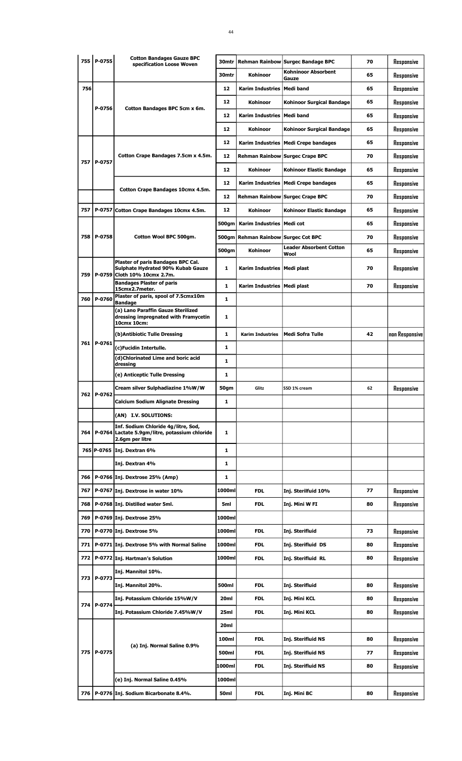|     | 755 P-0755 | <b>Cotton Bandages Gauze BPC</b><br>specification Loose Woven                                     | 30mtr            |                                     | Rehman Rainbow Surgec Bandage BPC      | 70 | Responsive     |
|-----|------------|---------------------------------------------------------------------------------------------------|------------------|-------------------------------------|----------------------------------------|----|----------------|
|     |            |                                                                                                   | 30mtr            | <b>Kohinoor</b>                     | <b>Kohninoor Absorbent</b><br>Gauze    | 65 | Responsive     |
| 756 |            |                                                                                                   | 12               | Karim Industries   Medi band        |                                        | 65 | Responsive     |
|     |            |                                                                                                   | 12               | <b>Kohinoor</b>                     | <b>Kohinoor Surgical Bandage</b>       | 65 | Responsive     |
|     | P-0756     | Cotton Bandages BPC 5cm x 6m.                                                                     | 12               | Karim Industries   Medi band        |                                        | 65 | Responsive     |
|     |            |                                                                                                   | 12               | <b>Kohinoor</b>                     | <b>Kohinoor Surgical Bandage</b>       | 65 | Responsive     |
|     |            |                                                                                                   | 12               |                                     | Karim Industries   Medi Crepe bandages | 65 | Responsive     |
|     |            | Cotton Crape Bandages 7.5cm x 4.5m.                                                               | 12               |                                     | Rehman Rainbow Surgec Crape BPC        | 70 | Responsive     |
| 757 | P-0757     |                                                                                                   | 12               | <b>Kohinoor</b>                     | <b>Kohinoor Elastic Bandage</b>        | 65 | Responsive     |
|     |            |                                                                                                   | 12               |                                     | Karim Industries   Medi Crepe bandages | 65 | Responsive     |
|     |            | Cotton Crape Bandages 10cmx 4.5m.                                                                 | 12               |                                     | Rehman Rainbow Surgec Crape BPC        | 70 | Responsive     |
| 757 |            | P-0757 Cotton Crape Bandages 10cmx 4.5m.                                                          | 12               | <b>Kohinoor</b>                     | <b>Kohinoor Elastic Bandage</b>        | 65 | Responsive     |
|     |            |                                                                                                   | 500gm            | Karim Industries   Medi cot         |                                        | 65 | Responsive     |
| 758 | P-0758     | Cotton Wool BPC 500gm.                                                                            |                  | 500gm Rehman Rainbow Surgec Cot BPC |                                        | 70 | Responsive     |
|     |            |                                                                                                   | 500gm            | Kohinoor                            | <b>Leader Absorbent Cotton</b>         | 65 | Responsive     |
|     |            | Plaster of paris Bandages BPC Cal.                                                                |                  |                                     | Wool                                   |    |                |
| 759 |            | Sulphate Hydrated 90% Kubab Gauze<br>P-0759 Cloth 10% 10cmx 2.7m.                                 | 1                | Karim Industries   Medi plast       |                                        | 70 | Responsive     |
|     |            | <b>Bandages Plaster of paris</b><br>15cmx2.7meter.                                                | $\mathbf{1}$     | Karim Industries   Medi plast       |                                        | 70 | Responsive     |
| 760 | P-0760     | Plaster of paris, spool of 7.5cmx10m<br><b>Bandage</b>                                            | $\mathbf{1}$     |                                     |                                        |    |                |
|     |            | (a) Lano Paraffin Gauze Sterilized<br>dressing impregnated with Framycetin<br>10cmx 10cm:         | 1                |                                     |                                        |    |                |
|     |            | (b) Antibiotic Tulle Dressing                                                                     | 1                | <b>Karim Industries</b>             | Medi Sofra Tulle                       | 42 | non Responsive |
| 761 | P-0761     | (c)Fucidin Intertulle.                                                                            | 1                |                                     |                                        |    |                |
|     |            | (d)Chlorinated Lime and boric acid<br>dressing                                                    | $\mathbf{1}$     |                                     |                                        |    |                |
|     |            | (e) Anticeptic Tulle Dressing                                                                     | 1                |                                     |                                        |    |                |
|     |            | Cream silver Sulphadiazine 1%W/W                                                                  | 50gm             | Glitz                               | SSD 1% cream                           | 62 | Responsive     |
| 762 | P-0762     | <b>Calcium Sodium Alignate Dressing</b>                                                           | 1                |                                     |                                        |    |                |
|     |            | (AN) I.V. SOLUTIONS:                                                                              |                  |                                     |                                        |    |                |
| 764 | P-0764     | Inf. Sodium Chloride 4g/litre, Sod,<br>Lactate 5.9gm/litre, potassium chloride<br>2.6gm per litre | 1                |                                     |                                        |    |                |
|     |            | 765 P-0765 Inj. Dextran 6%                                                                        | 1                |                                     |                                        |    |                |
|     |            | Inj. Dextran 4%                                                                                   | 1                |                                     |                                        |    |                |
| 766 |            | P-0766 Inj. Dextrose 25% (Amp)                                                                    | 1                |                                     |                                        |    |                |
| 767 |            | P-0767 Inj. Dextrose in water 10%                                                                 | 1000ml           | <b>FDL</b>                          | Inj. Sterilfuid 10%                    | 77 | Responsive     |
| 768 |            | P-0768 Inj. Distilled water 5ml.                                                                  | 5ml              | <b>FDL</b>                          | Inj. Mini W FI                         | 80 | Responsive     |
| 769 |            | P-0769 Inj. Dextrose 25%                                                                          | 1000ml           |                                     |                                        |    |                |
| 770 |            | P-0770 Inj. Dextrose 5%                                                                           | 1000ml           | <b>FDL</b>                          | Inj. Sterifluid                        | 73 | Responsive     |
| 771 |            | P-0771 Inj. Dextrose 5% with Normal Saline                                                        | 1000ml           | <b>FDL</b>                          | Inj. Sterifluid DS                     | 80 | Responsive     |
| 772 |            |                                                                                                   | 1000ml           |                                     |                                        | 80 |                |
|     |            | P-0772 Inj. Hartman's Solution                                                                    |                  | <b>FDL</b>                          | Inj. Sterifluid RL                     |    | Responsive     |
| 773 | P-0773     | Inj. Mannitol 10%.                                                                                |                  |                                     |                                        |    |                |
|     |            | Inj. Mannitol 20%.                                                                                | 500ml            | <b>FDL</b>                          | Inj. Sterifluid                        | 80 | Responsive     |
| 774 | P-0774     | Inj. Potassium Chloride 15%W/V                                                                    | 20ml             | <b>FDL</b>                          | Inj. Mini KCL                          | 80 | Responsive     |
|     |            | Inj. Potassium Chloride 7.45%W/V                                                                  | 25 <sub>ml</sub> | <b>FDL</b>                          | Inj. Mini KCL                          | 80 | Responsive     |
|     |            |                                                                                                   | 20ml             |                                     |                                        |    |                |
|     |            | (a) Inj. Normal Saline 0.9%                                                                       | 100ml            | <b>FDL</b>                          | <b>Inj. Sterifluid NS</b>              | 80 | Responsive     |
| 775 | P-0775     |                                                                                                   | 500ml            | <b>FDL</b>                          | Inj. Sterifluid NS                     | 77 | Responsive     |
|     |            |                                                                                                   | 1000ml           | <b>FDL</b>                          | Inj. Sterifluid NS                     | 80 | Responsive     |
|     |            | (e) Inj. Normal Saline 0.45%                                                                      | 1000ml           |                                     |                                        |    |                |
| 776 |            | P-0776 Inj. Sodium Bicarbonate 8.4%.                                                              | 50ml             | <b>FDL</b>                          | Inj. Mini BC                           | 80 | Responsive     |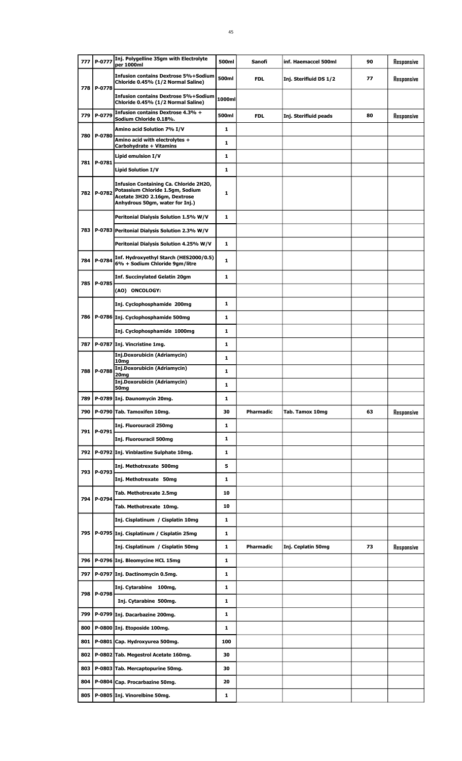| 777 | P-0777       | Inj. Polygelline 35gm with Electrolyte<br>per 1000ml                                                                                           | 500ml  | Sanofi           | inf. Haemaccel 500ml   | 90 | Responsive |
|-----|--------------|------------------------------------------------------------------------------------------------------------------------------------------------|--------|------------------|------------------------|----|------------|
|     | 778 P-0778   | <b>Infusion contains Dextrose 5%+Sodium</b><br>Chloride 0.45% (1/2 Normal Saline)                                                              | 500ml  | <b>FDL</b>       | Inj. Sterifluid DS 1/2 | 77 | Responsive |
|     |              | <b>Infusion contains Dextrose 5%+Sodium</b><br>Chloride 0.45% (1/2 Normal Saline)                                                              | 1000ml |                  |                        |    |            |
| 779 | P-0779       | Infusion contains Dextrose 4.3% +<br>Sodium Chloride 0.18%.                                                                                    | 500ml  | <b>FDL</b>       | Inj. Sterifluid peads  | 80 | Responsive |
|     |              | Amino acid Solution 7% I/V                                                                                                                     | 1      |                  |                        |    |            |
| 780 | P-0780       | Amino acid with electrolytes +<br>Carbohydrate + Vitamins                                                                                      | 1      |                  |                        |    |            |
|     |              | Lipid emulsion I/V                                                                                                                             | 1      |                  |                        |    |            |
|     | 781 P-0781   | <b>Lipid Solution I/V</b>                                                                                                                      | 1      |                  |                        |    |            |
|     | 782 P-0782   | Infusion Containing Ca. Chloride 2H2O,<br>Potassium Chloride 1.5gm, Sodium<br>Acetate 3H2O 2.16gm, Dextrose<br>Anhydrous 50gm, water for Inj.) | 1      |                  |                        |    |            |
|     |              | Peritonial Dialysis Solution 1.5% W/V                                                                                                          | 1      |                  |                        |    |            |
|     |              | 783   P-0783   Peritonial Dialysis Solution 2.3% W/V                                                                                           |        |                  |                        |    |            |
|     |              | Peritonial Dialysis Solution 4.25% W/V                                                                                                         | 1      |                  |                        |    |            |
| 784 | P-0784       | Inf. Hydroxyethyl Starch (HES2000/0.5)<br>6% + Sodium Chloride 9gm/litre                                                                       | 1      |                  |                        |    |            |
|     |              | <b>Inf. Succinylated Gelatin 20gm</b>                                                                                                          | 1      |                  |                        |    |            |
| 785 | P-0785       | (AO) ONCOLOGY:                                                                                                                                 |        |                  |                        |    |            |
|     |              | Inj. Cyclophosphamide 200mg                                                                                                                    | 1      |                  |                        |    |            |
|     |              | 786   P-0786   Inj. Cyclophosphamide 500mg                                                                                                     | 1      |                  |                        |    |            |
|     |              | Inj. Cyclophosphamide 1000mg                                                                                                                   | 1      |                  |                        |    |            |
| 787 |              | P-0787 Inj. Vincristine 1mg.                                                                                                                   | 1      |                  |                        |    |            |
|     |              | Inj.Doxorubicin (Adriamycin)<br>10 <sub>mg</sub>                                                                                               | 1      |                  |                        |    |            |
|     | 788   P-0788 | Inj.Doxorubicin (Adriamycin)<br>20mg                                                                                                           | 1      |                  |                        |    |            |
|     |              | Inj.Doxorubicin (Adriamycin)<br>50 <sub>mg</sub>                                                                                               | 1      |                  |                        |    |            |
| 789 |              | P-0789 Inj. Daunomycin 20mg.                                                                                                                   | 1      |                  |                        |    |            |
| 790 |              | P-0790 Tab. Tamoxifen 10mg.                                                                                                                    | 30     | <b>Pharmadic</b> | Tab. Tamox 10mg        | 63 | Responsive |
|     |              | Inj. Fluorouracil 250mg                                                                                                                        | 1      |                  |                        |    |            |
|     | 791   P-0791 | Inj. Fluorouracil 500mg                                                                                                                        | 1      |                  |                        |    |            |
|     |              | 792   P-0792 Inj. Vinblastine Sulphate 10mg.                                                                                                   | 1      |                  |                        |    |            |
|     |              | Inj. Methotrexate 500mg                                                                                                                        | 5      |                  |                        |    |            |
|     | 793 P-0793   | Inj. Methotrexate 50mg                                                                                                                         | 1      |                  |                        |    |            |
|     |              | Tab. Methotrexate 2.5mg                                                                                                                        | 10     |                  |                        |    |            |
|     | 794   P-0794 | Tab. Methotrexate 10mg.                                                                                                                        | 10     |                  |                        |    |            |
|     |              | Inj. Cisplatinum / Cisplatin 10mg                                                                                                              | 1      |                  |                        |    |            |
|     |              | 795   P-0795   Inj. Cisplatinum / Cisplatin 25mg                                                                                               | 1      |                  |                        |    |            |
|     |              | Inj. Cisplatinum / Cisplatin 50mg                                                                                                              | 1      | <b>Pharmadic</b> | Inj. Ceplatin 50mg     | 73 | Responsive |
|     |              | 796   P-0796 Inj. Bleomycine HCL 15mg                                                                                                          | 1      |                  |                        |    |            |
| 797 |              | P-0797 Inj. Dactinomycin 0.5mg.                                                                                                                | 1      |                  |                        |    |            |
|     |              | Inj. Cytarabine 100mg,                                                                                                                         | 1      |                  |                        |    |            |
| 798 | P-0798       | Inj. Cytarabine 500mg.                                                                                                                         | 1      |                  |                        |    |            |
| 799 |              | P-0799 Inj. Dacarbazine 200mg.                                                                                                                 | 1      |                  |                        |    |            |
| 800 |              | P-0800 Inj. Etoposide 100mg.                                                                                                                   | 1      |                  |                        |    |            |
| 801 |              | P-0801 Cap. Hydroxyurea 500mg.                                                                                                                 | 100    |                  |                        |    |            |
| 802 |              | P-0802 Tab. Megestrol Acetate 160mg.                                                                                                           | 30     |                  |                        |    |            |
| 803 |              | P-0803 Tab. Mercaptopurine 50mg.                                                                                                               | 30     |                  |                        |    |            |
| 804 |              | P-0804 Cap. Procarbazine 50mg.                                                                                                                 | 20     |                  |                        |    |            |
| 805 |              | P-0805 Inj. Vinorelbine 50mg.                                                                                                                  | 1      |                  |                        |    |            |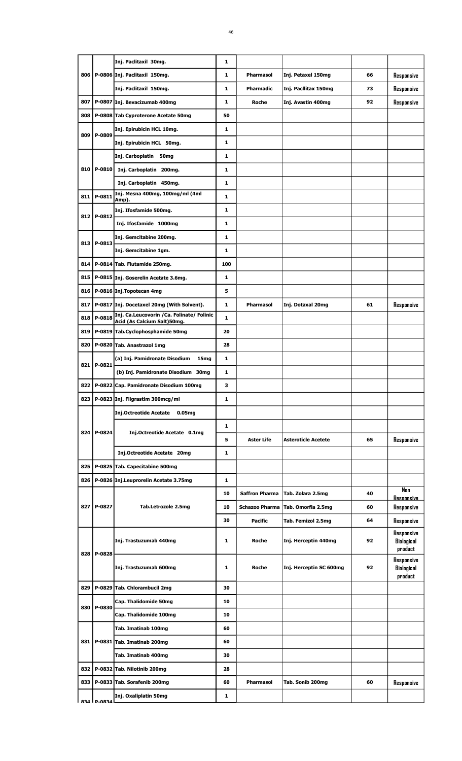|       |                   | Inj. Paclitaxil 30mg.                                                     | 1            |                       |                            |    |                                 |
|-------|-------------------|---------------------------------------------------------------------------|--------------|-----------------------|----------------------------|----|---------------------------------|
|       |                   | 806   P-0806   Inj. Paclitaxil 150mg.                                     | 1            | Pharmasol             | Inj. Petaxel 150mg         | 66 | Responsive                      |
|       |                   | Inj. Paclitaxil 150mg.                                                    | 1            | <b>Pharmadic</b>      | Inj. Pacilitax 150mg       | 73 | Responsive                      |
| 807   |                   | P-0807 Inj. Bevacizumab 400mg                                             | 1            | <b>Roche</b>          | Inj. Avastin 400mg         | 92 | Responsive                      |
| 808   |                   | P-0808 Tab Cyproterone Acetate 50mg                                       | 50           |                       |                            |    |                                 |
|       |                   | Inj. Epirubicin HCL 10mg.                                                 | 1            |                       |                            |    |                                 |
| 809   | P-0809            | Inj. Epirubicin HCL 50mg.                                                 | 1            |                       |                            |    |                                 |
|       |                   | Inj. Carboplatin 50mg                                                     | 1            |                       |                            |    |                                 |
|       | 810   P-0810      | Inj. Carboplatin 200mg.                                                   | 1            |                       |                            |    |                                 |
|       |                   | Inj. Carboplatin 450mg.                                                   | 1            |                       |                            |    |                                 |
|       | 811   P-0811      | Inj. Mesna 400mg, 100mg/ml (4ml                                           | 1            |                       |                            |    |                                 |
|       |                   | Amp).                                                                     |              |                       |                            |    |                                 |
|       | 812 P-0812        | Inj. Ifosfamide 500mg.                                                    | 1            |                       |                            |    |                                 |
|       |                   | Inj. Ifosfamide 1000mg                                                    | 1            |                       |                            |    |                                 |
|       | 813   P-0813      | Inj. Gemcitabine 200mg.                                                   | 1            |                       |                            |    |                                 |
|       |                   | Inj. Gemcitabine 1gm.                                                     | 1            |                       |                            |    |                                 |
| 814   |                   | P-0814 Tab. Flutamide 250mg.                                              | 100          |                       |                            |    |                                 |
| 815   |                   | P-0815 Inj. Goserelin Acetate 3.6mg.                                      | 1            |                       |                            |    |                                 |
| 816   |                   | P-0816 Inj.Topotecan 4mg                                                  | 5            |                       |                            |    |                                 |
| 817   |                   | P-0817 Inj. Docetaxel 20mg (With Solvent).                                | 1            | <b>Pharmasol</b>      | Inj. Dotaxal 20mg          | 61 | Responsive                      |
| 818   | P-0818            | Inj. Ca.Leucovorin / Ca. Folinate/ Folinic<br>Acid (As Calcium Salt)50mg. | 1            |                       |                            |    |                                 |
| 819   |                   | P-0819 Tab.Cyclophosphamide 50mg                                          | 20           |                       |                            |    |                                 |
| 820   |                   | P-0820 Tab. Anastrazol 1mg                                                | 28           |                       |                            |    |                                 |
| 821   | P-0821            | (a) Inj. Pamidronate Disodium<br>15mg                                     | 1            |                       |                            |    |                                 |
|       |                   | (b) Inj. Pamidronate Disodium 30mg                                        | 1            |                       |                            |    |                                 |
| 822   |                   | P-0822 Cap. Pamidronate Disodium 100mg                                    | з            |                       |                            |    |                                 |
|       |                   | 823   P-0823   Inj. Filgrastim 300mcg/ml                                  | 1            |                       |                            |    |                                 |
|       |                   | <b>Inj.Octreotide Acetate</b><br>0.05 <sub>mg</sub>                       |              |                       |                            |    |                                 |
|       |                   |                                                                           | $\mathbf{1}$ |                       |                            |    |                                 |
|       | 824   P-0824      | Inj.Octreotide Acetate 0.1mg                                              | 5            | <b>Aster Life</b>     | <b>Asteroticle Acetete</b> | 65 | Responsive                      |
|       |                   | Inj.Octreotide Acetate 20mg                                               | 1            |                       |                            |    |                                 |
| 825   |                   | P-0825 Tab. Capecitabine 500mg                                            |              |                       |                            |    |                                 |
| 826   |                   | P-0826 Inj.Leuprorelin Acetate 3.75mg                                     | 1            |                       |                            |    |                                 |
|       |                   |                                                                           | 10           | <b>Saffron Pharma</b> | Tab. Zolara 2.5mg          | 40 | Nan                             |
|       | 827   P-0827      | Tab.Letrozole 2.5mg                                                       | 10           | <b>Schazoo Pharma</b> | Tab. Omorfia 2.5mg         | 60 | <b>Resoonsive</b><br>Responsive |
|       |                   |                                                                           | 30           | <b>Pacific</b>        | Tab. Femizol 2.5mg         | 64 | Responsive                      |
|       |                   |                                                                           |              |                       |                            |    | Responsive                      |
|       |                   | Inj. Trastuzumab 440mg                                                    | 1            | <b>Roche</b>          | Inj. Herceptin 440mg       | 92 | Biological                      |
| 828   | P-0828            |                                                                           |              |                       |                            |    | product<br>Responsive           |
|       |                   | Inj. Trastuzumab 600mg                                                    | 1            | <b>Roche</b>          | Inj. Herceptin SC 600mg    | 92 | Biological                      |
| 829   |                   |                                                                           | 30           |                       |                            |    | product                         |
|       |                   | P-0829 Tab. Chlorambucil 2mg<br>Cap. Thalidomide 50mg                     | 10           |                       |                            |    |                                 |
| 830   | P-0830            |                                                                           |              |                       |                            |    |                                 |
|       |                   | Cap. Thalidomide 100mg                                                    | 10           |                       |                            |    |                                 |
|       |                   | Tab. Imatinab 100mg                                                       | 60           |                       |                            |    |                                 |
| 831 I |                   | P-0831 Tab. Imatinab 200mg                                                | 60           |                       |                            |    |                                 |
|       |                   | Tab. Imatinab 400mg                                                       | 30           |                       |                            |    |                                 |
| 832   |                   | P-0832 Tab. Nilotinib 200mg                                               | 28           |                       |                            |    |                                 |
| 833   |                   | P-0833 Tab. Sorafenib 200mg                                               | 60           | <b>Pharmasol</b>      | Tab. Sonib 200mg           | 60 | Responsive                      |
|       | <b>834 D-0834</b> | Inj. Oxaliplatin 50mg                                                     | 1            |                       |                            |    |                                 |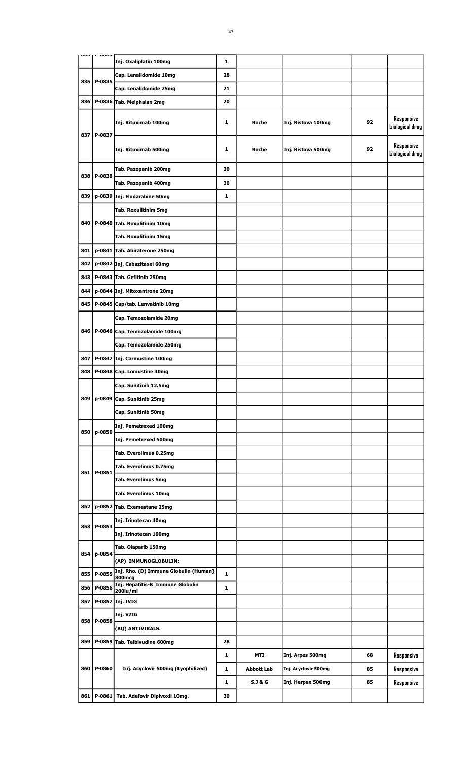|     | ັບບວ   | Inj. Oxaliplatin 100mg                     | 1  |                    |                      |    |                               |
|-----|--------|--------------------------------------------|----|--------------------|----------------------|----|-------------------------------|
|     |        | Cap. Lenalidomide 10mg                     | 28 |                    |                      |    |                               |
| 835 | P-0835 |                                            |    |                    |                      |    |                               |
|     |        | Cap. Lenalidomide 25mg                     | 21 |                    |                      |    |                               |
| 836 |        | P-0836 Tab. Melphalan 2mg                  | 20 |                    |                      |    |                               |
| 837 | P-0837 | Inj. Rituximab 100mg                       | 1  | Roche              | Inj. Ristova 100mg   | 92 | Responsive<br>biological drug |
|     |        | Inj. Rituximab 500mg                       | 1  | <b>Roche</b>       | Inj. Ristova 500mg   | 92 | Responsive<br>biological drug |
|     |        | Tab. Pazopanib 200mg                       | 30 |                    |                      |    |                               |
| 838 | P-0838 | Tab. Pazopanib 400mg                       | 30 |                    |                      |    |                               |
| 839 | p-0839 | Inj. Fludarabine 50mg                      | 1  |                    |                      |    |                               |
|     |        | Tab. Roxulitinim 5mg                       |    |                    |                      |    |                               |
| 840 |        | P-0840 Tab. Roxulitinim 10mg               |    |                    |                      |    |                               |
|     |        | Tab. Roxulitinim 15mg                      |    |                    |                      |    |                               |
| 841 |        | p-0841 Tab. Abiraterone 250mg              |    |                    |                      |    |                               |
| 842 |        | p-0842 Inj. Cabazitaxel 60mg               |    |                    |                      |    |                               |
| 843 |        | P-0843 Tab. Gefitinib 250mg                |    |                    |                      |    |                               |
| 844 |        | p-0844 Inj. Mitoxantrone 20mg              |    |                    |                      |    |                               |
| 845 | P-0845 | Cap/tab. Lenvatinib 10mg                   |    |                    |                      |    |                               |
|     |        | Cap. Temozolamide 20mg                     |    |                    |                      |    |                               |
| 846 | P-0846 | Cap. Temozolamide 100mg                    |    |                    |                      |    |                               |
|     |        | Cap. Temozolamide 250mg                    |    |                    |                      |    |                               |
| 847 | P-0847 | Inj. Carmustine 100mg                      |    |                    |                      |    |                               |
| 848 | P-0848 | Cap. Lomustine 40mg                        |    |                    |                      |    |                               |
|     |        | Cap. Sunitinib 12.5mg                      |    |                    |                      |    |                               |
| 849 | p-0849 | Cap. Sunitinib 25mg                        |    |                    |                      |    |                               |
|     |        | Cap. Sunitinib 50mg                        |    |                    |                      |    |                               |
|     |        | Inj. Pemetrexed 100mg                      |    |                    |                      |    |                               |
| 850 | p-0850 | Inj. Pemetrexed 500mg                      |    |                    |                      |    |                               |
|     |        | Tab. Everolimus 0.25mg                     |    |                    |                      |    |                               |
|     |        | Tab. Everolimus 0.75mg                     |    |                    |                      |    |                               |
| 851 | P-0851 | <b>Tab. Everolimus 5mg</b>                 |    |                    |                      |    |                               |
|     |        | Tab. Everolimus 10mg                       |    |                    |                      |    |                               |
| 852 |        | p-0852 Tab. Exemestane 25mg                |    |                    |                      |    |                               |
|     |        | Inj. Irinotecan 40mg                       |    |                    |                      |    |                               |
| 853 | P-0853 | Inj. Irinotecan 100mg                      |    |                    |                      |    |                               |
|     |        | Tab. Olaparib 150mg                        |    |                    |                      |    |                               |
| 854 | p-0854 | (AP) IMMUNOGLOBULIN:                       |    |                    |                      |    |                               |
| 855 | P-0855 | Inj. Rho. (D) Immune Globulin (Human)      | 1  |                    |                      |    |                               |
| 856 | P-0856 | 300mcg<br>Inj. Hepatitis-B Immune Globulin | 1  |                    |                      |    |                               |
| 857 | P-0857 | 200iu/ml<br>Inj. IVIG                      |    |                    |                      |    |                               |
|     |        | Inj. VZIG                                  |    |                    |                      |    |                               |
| 858 | P-0858 | (AQ) ANTIVIRALS.                           |    |                    |                      |    |                               |
| 859 | P-0859 | Tab. Telbivudine 600mg                     | 28 |                    |                      |    |                               |
|     |        |                                            | 1  | MTI                | Inj. Arpes 500mg     | 68 | Responsive                    |
| 860 | P-0860 | Inj. Acyclovir 500mg (Lyophilized)         | 1  | <b>Abbott Lab</b>  | Inj. Acyclovir 500mg | 85 | Responsive                    |
|     |        |                                            | 1  | <b>S.J &amp; G</b> | Inj. Herpex 500mg    | 85 | Responsive                    |
| 861 |        | P-0861 Tab. Adefovir Dipivoxil 10mg.       | 30 |                    |                      |    |                               |
|     |        |                                            |    |                    |                      |    |                               |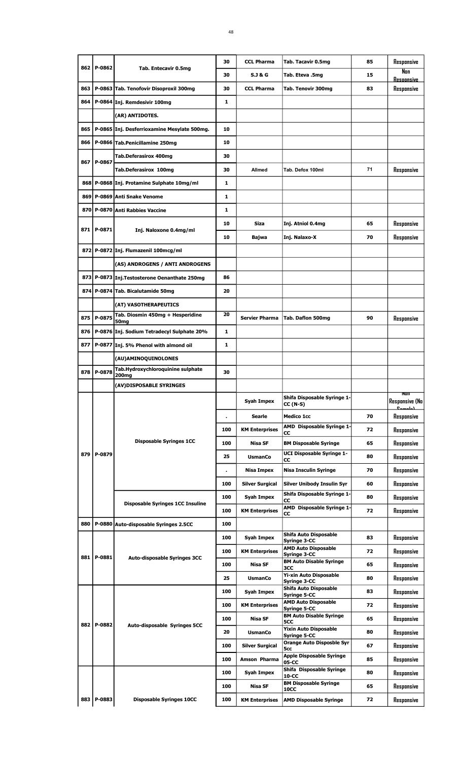|     |            |                                                      | 30  | <b>CCL Pharma</b>      | Tab. Tacavir 0.5mg                             | 85 | Responsive                                  |
|-----|------------|------------------------------------------------------|-----|------------------------|------------------------------------------------|----|---------------------------------------------|
| 862 | P-0862     | Tab. Entecavir 0.5mg                                 | 30  | <b>S.J &amp; G</b>     | Tab. Eteva .5mg                                | 15 | Nan<br><b>Resoonsive</b>                    |
| 863 |            | P-0863 Tab. Tenofovir Disoproxil 300mg               | 30  | <b>CCL Pharma</b>      | Tab. Tenovir 300mg                             | 83 | Responsive                                  |
| 864 |            | P-0864 Inj. Remdesivir 100mg                         | 1   |                        |                                                |    |                                             |
|     |            | (AR) ANTIDOTES.                                      |     |                        |                                                |    |                                             |
| 865 |            | P-0865 Inj. Desferrioxamine Mesylate 500mg.          | 10  |                        |                                                |    |                                             |
| 866 |            | P-0866 Tab.Penicillamine 250mg                       | 10  |                        |                                                |    |                                             |
|     |            | Tab.Deferasirox 400mg                                | 30  |                        |                                                |    |                                             |
| 867 | P-0867     | Tab.Deferasirox 100mg                                | 30  | Allmed                 | Tab. Defox 100ml                               | 71 | Responsive                                  |
| 868 |            | P-0868 Inj. Protamine Sulphate 10mg/ml               | 1   |                        |                                                |    |                                             |
| 869 |            | P-0869 Anti Snake Venome                             | 1   |                        |                                                |    |                                             |
|     |            |                                                      |     |                        |                                                |    |                                             |
| 870 |            | P-0870 Anti Rabbies Vaccine                          | 1   |                        |                                                |    |                                             |
| 871 | P-0871     | Inj. Naloxone 0.4mg/ml                               | 10  | <b>Siza</b>            | Inj. Atniol 0.4mg                              | 65 | Responsive                                  |
|     |            |                                                      | 10  | Bajwa                  | Inj. Nalaxo-X                                  | 70 | Responsive                                  |
|     |            | 872 P-0872 Inj. Flumazenil 100mcg/ml                 |     |                        |                                                |    |                                             |
|     |            | (AS) ANDROGENS / ANTI ANDROGENS                      |     |                        |                                                |    |                                             |
|     |            | 873 P-0873 Inj. Testosterone Oenanthate 250mg        | 86  |                        |                                                |    |                                             |
| 874 |            | P-0874 Tab. Bicalutamide 50mg                        | 20  |                        |                                                |    |                                             |
|     |            | (AT) VASOTHERAPEUTICS                                |     |                        |                                                |    |                                             |
| 875 | P-0875     | Tab. Diosmin 450mg + Hesperidine<br>50 <sub>mg</sub> | 20  | <b>Servier Pharma</b>  | Tab. Daflon 500mg                              | 90 | Responsive                                  |
| 876 |            | P-0876 Inj. Sodium Tetradecyl Sulphate 20%           | 1   |                        |                                                |    |                                             |
| 877 |            | P-0877 Inj. 5% Phenol with almond oil                | 1   |                        |                                                |    |                                             |
|     |            | (AU)AMINOQUINOLONES                                  |     |                        |                                                |    |                                             |
| 878 | P-0878     | Tab.Hydroxychloroquinine sulphate                    | 30  |                        |                                                |    |                                             |
|     |            | 200ma<br>(AV)DISPOSABLE SYRINGES                     |     |                        |                                                |    |                                             |
|     |            |                                                      |     |                        |                                                |    |                                             |
|     |            |                                                      |     |                        |                                                |    |                                             |
|     |            |                                                      |     | Syah Impex             | Shifa Disposable Syringe 1-<br><b>CC (N-S)</b> |    | <b>Responsive (No</b><br>$P_{\text{model}}$ |
|     |            |                                                      |     | Searle                 | <b>Medico 1cc</b>                              | 70 | Responsive                                  |
|     |            |                                                      | 100 | <b>KM Enterprises</b>  | AMD Disposable Syringe 1-<br>CС                | 72 | Responsive                                  |
|     |            | <b>Disposable Syringes 1CC</b>                       | 100 | <b>Nisa SF</b>         | <b>BM Disposable Syringe</b>                   | 65 | Responsive                                  |
| 879 | P-0879     |                                                      | 25  | <b>UsmanCo</b>         | <b>UCI Disposable Syringe 1-</b><br>CС         | 80 | Responsive                                  |
|     |            |                                                      |     | Nisa Impex             | <b>Nisa Insculin Syringe</b>                   | 70 | Responsive                                  |
|     |            |                                                      | 100 | <b>Silver Surgical</b> | <b>Silver Unibody Insulin Syr</b>              | 60 | Responsive                                  |
|     |            |                                                      | 100 | Syah Impex             | Shifa Disposable Syringe 1-                    | 80 | Responsive                                  |
|     |            | <b>Disposable Syringes 1CC Insuline</b>              | 100 | <b>KM Enterprises</b>  | CC<br>AMD Disposable Syringe 1-                | 72 | Responsive                                  |
| 880 |            | P-0880 Auto-disposable Syringes 2.5CC                | 100 |                        | CC                                             |    |                                             |
|     |            |                                                      | 100 | Syah Impex             | Shifa Auto Disposable                          | 83 | Responsive                                  |
|     |            |                                                      | 100 | <b>KM Enterprises</b>  | Syringe 3-CC<br><b>AMD Auto Disposable</b>     | 72 |                                             |
|     | 881 P-0881 | <b>Auto-disposable Syringes 3CC</b>                  |     |                        | Syringe 3-CC<br><b>BM Auto Disable Syringe</b> |    | Responsive                                  |
|     |            |                                                      | 100 | Nisa SF                | зсс<br>Yi-xin Auto Disposable                  | 65 | Responsive                                  |
|     |            |                                                      | 25  | <b>UsmanCo</b>         | Syringe 3-CC<br>Shifa Auto Disposable          | 80 | Responsive                                  |
|     |            |                                                      | 100 | Syah Impex             | Syringe 5-CC<br><b>AMD Auto Disposable</b>     | 83 | Responsive                                  |
|     |            |                                                      | 100 | <b>KM Enterprises</b>  | <b>Syringe 5-CC</b>                            | 72 | Responsive                                  |
| 882 | P-0882     | Auto-disposable Syringes 5CC                         | 100 | <b>Nisa SF</b>         | <b>BM Auto Disable Syringe</b><br>5CC          | 65 | Responsive                                  |
|     |            |                                                      | 20  | <b>UsmanCo</b>         | <b>Yixin Auto Disposable</b><br>Syringe 5-CC   | 80 | Responsive                                  |
|     |            |                                                      | 100 | <b>Silver Surgical</b> | <b>Orange Auto Disposble Syr</b><br>5cc        | 67 | Responsive                                  |
|     |            |                                                      | 100 | Amson Pharma           | <b>Apple Disposable Syringe</b><br>05-CC       | 85 | Responsive                                  |
|     |            |                                                      | 100 | Syah Impex             | Shifa Disposable Syringe<br>10-CC              | 80 | Responsive                                  |
|     |            |                                                      | 100 | <b>Nisa SF</b>         | <b>BM Disposable Syringe</b><br><b>10CC</b>    | 65 | Responsive                                  |